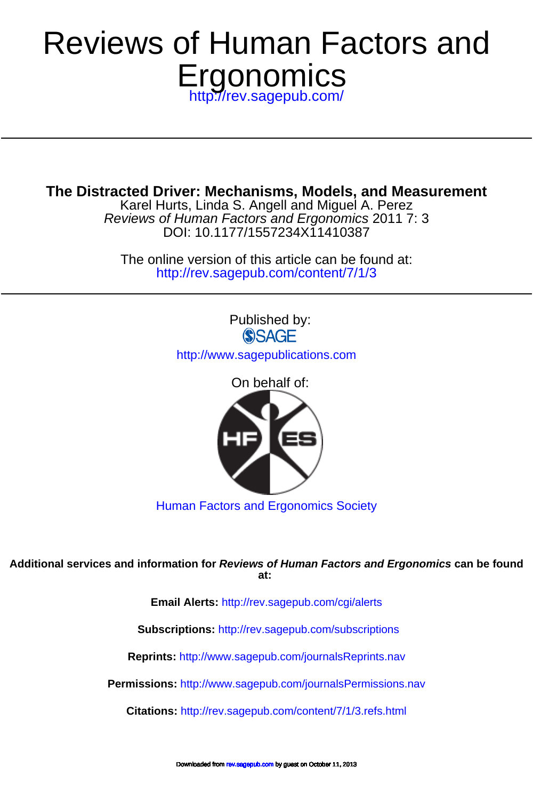# **Ergonomics** Reviews of Human Factors and

<http://rev.sagepub.com/>

**The Distracted Driver: Mechanisms, Models, and Measurement**

DOI: 10.1177/1557234X11410387 Reviews of Human Factors and Ergonomics 2011 7: 3 Karel Hurts, Linda S. Angell and Miguel A. Perez

<http://rev.sagepub.com/content/7/1/3> The online version of this article can be found at:

> Published by: **SSAGE** <http://www.sagepublications.com>

> > On behalf of:



[Human Factors and Ergonomics Society](http://www.hfes.org)

**at: Additional services and information for Reviews of Human Factors and Ergonomics can be found**

**Email Alerts:** <http://rev.sagepub.com/cgi/alerts>

**Subscriptions:** <http://rev.sagepub.com/subscriptions>

**Reprints:** <http://www.sagepub.com/journalsReprints.nav>

**Permissions:** <http://www.sagepub.com/journalsPermissions.nav>

**Citations:** <http://rev.sagepub.com/content/7/1/3.refs.html>

d fro[m rev.sagepub.com](http://rev.sagepub.com/) by guest on October 11, 2013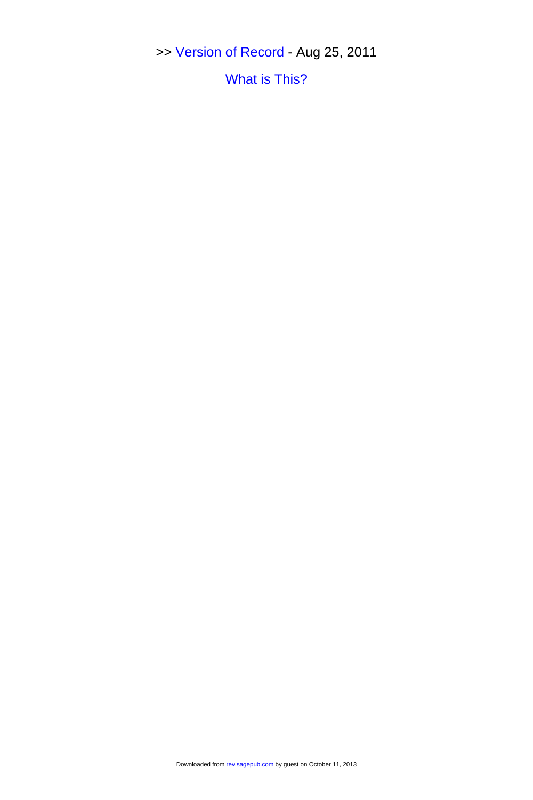>> [Version of Record -](http://rev.sagepub.com/content/7/1/3.full.pdf) Aug 25, 2011

[What is This?](http://online.sagepub.com/site/sphelp/vorhelp.xhtml)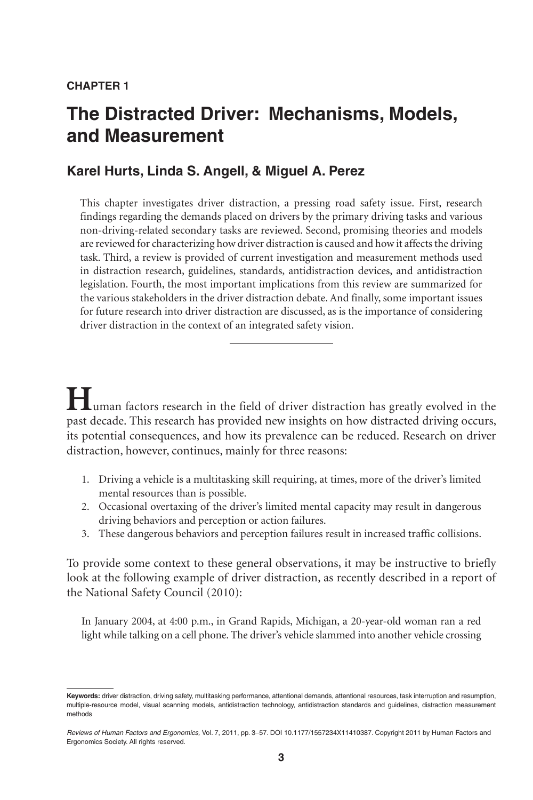# **The Distracted Driver: Mechanisms, Models, and Measurement**

## **Karel Hurts, Linda S. Angell, & Miguel A. Perez**

This chapter investigates driver distraction, a pressing road safety issue. First, research findings regarding the demands placed on drivers by the primary driving tasks and various non-driving-related secondary tasks are reviewed. Second, promising theories and models are reviewed for characterizing how driver distraction is caused and how it affects the driving task. Third, a review is provided of current investigation and measurement methods used in distraction research, guidelines, standards, antidistraction devices, and antidistraction legislation. Fourth, the most important implications from this review are summarized for the various stakeholders in the driver distraction debate. And finally, some important issues for future research into driver distraction are discussed, as is the importance of considering driver distraction in the context of an integrated safety vision.

**Human factors research in the field of driver distraction has greatly evolved in the** past decade. This research has provided new insights on how distracted driving occurs, its potential consequences, and how its prevalence can be reduced. Research on driver distraction, however, continues, mainly for three reasons:

- 1. Driving a vehicle is a multitasking skill requiring, at times, more of the driver's limited mental resources than is possible.
- 2. Occasional overtaxing of the driver's limited mental capacity may result in dangerous driving behaviors and perception or action failures.
- 3. These dangerous behaviors and perception failures result in increased traffic collisions.

To provide some context to these general observations, it may be instructive to briefly look at the following example of driver distraction, as recently described in a report of the National Safety Council (2010):

In January 2004, at 4:00 p.m., in Grand Rapids, Michigan, a 20-year-old woman ran a red light while talking on a cell phone. The driver's vehicle slammed into another vehicle crossing

**Keywords:** driver distraction, driving safety, multitasking performance, attentional demands, attentional resources, task interruption and resumption, multiple-resource model, visual scanning models, antidistraction technology, antidistraction standards and guidelines, distraction measurement methods

*Reviews of Human Factors and Ergonomics,* Vol. 7, 2011, pp. 3–57. DOI 10.1177/1557234X11410387. Copyright 2011 by Human Factors and Ergonomics Society. All rights reserved.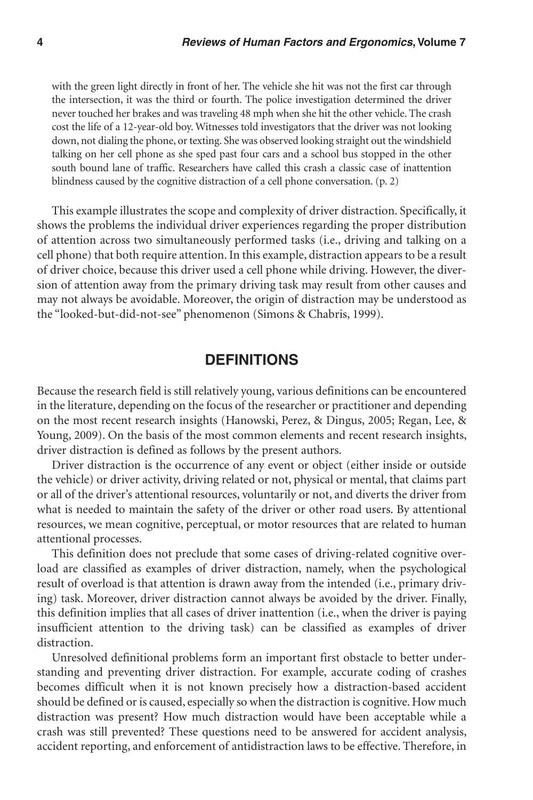with the green light directly in front of her. The vehicle she hit was not the first car through the intersection, it was the third or fourth. The police investigation determined the driver never touched her brakes and was traveling 48 mph when she hit the other vehicle. The crash cost the life of a 12-year-old boy. Witnesses told investigators that the driver was not looking down, not dialing the phone, or texting. She was observed looking straight out the windshield talking on her cell phone as she sped past four cars and a school bus stopped in the other south bound lane of traffic. Researchers have called this crash a classic case of inattention blindness caused by the cognitive distraction of a cell phone conversation. (p. 2)

This example illustrates the scope and complexity of driver distraction. Specifically, it shows the problems the individual driver experiences regarding the proper distribution of attention across two simultaneously performed tasks (i.e., driving and talking on a cell phone) that both require attention. In this example, distraction appears to be a result of driver choice, because this driver used a cell phone while driving. However, the diversion of attention away from the primary driving task may result from other causes and may not always be avoidable. Moreover, the origin of distraction may be understood as the "looked-but-did-not-see" phenomenon (Simons & Chabris, 1999).

#### **Definitions**

Because the research field is still relatively young, various definitions can be encountered in the literature, depending on the focus of the researcher or practitioner and depending on the most recent research insights (Hanowski, Perez, & Dingus, 2005; Regan, Lee, & Young, 2009). On the basis of the most common elements and recent research insights, driver distraction is defined as follows by the present authors.

Driver distraction is the occurrence of any event or object (either inside or outside the vehicle) or driver activity, driving related or not, physical or mental, that claims part or all of the driver's attentional resources, voluntarily or not, and diverts the driver from what is needed to maintain the safety of the driver or other road users. By attentional resources, we mean cognitive, perceptual, or motor resources that are related to human attentional processes.

This definition does not preclude that some cases of driving-related cognitive overload are classified as examples of driver distraction, namely, when the psychological result of overload is that attention is drawn away from the intended (i.e., primary driving) task. Moreover, driver distraction cannot always be avoided by the driver. Finally, this definition implies that all cases of driver inattention (i.e., when the driver is paying insufficient attention to the driving task) can be classified as examples of driver distraction.

Unresolved definitional problems form an important first obstacle to better understanding and preventing driver distraction. For example, accurate coding of crashes becomes difficult when it is not known precisely how a distraction-based accident should be defined or is caused, especially so when the distraction is cognitive. How much distraction was present? How much distraction would have been acceptable while a crash was still prevented? These questions need to be answered for accident analysis, accident reporting, and enforcement of antidistraction laws to be effective. Therefore, in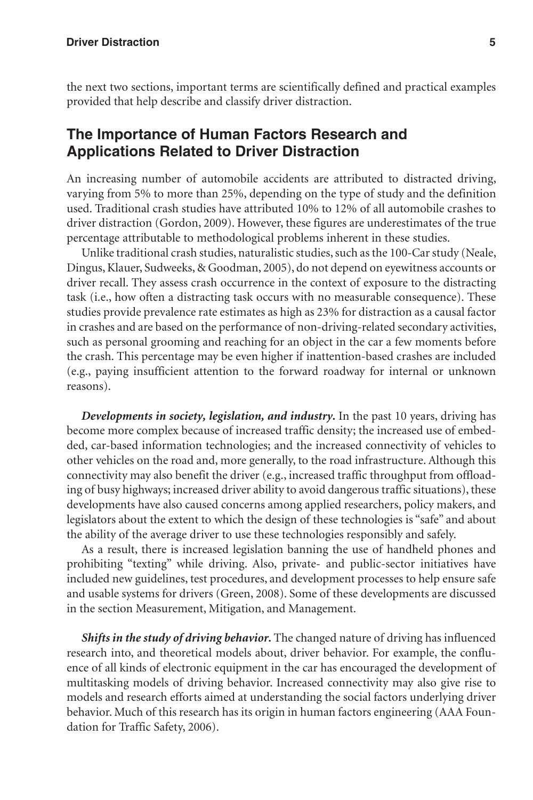the next two sections, important terms are scientifically defined and practical examples provided that help describe and classify driver distraction.

## **The Importance of Human Factors Research and Applications Related to Driver Distraction**

An increasing number of automobile accidents are attributed to distracted driving, varying from 5% to more than 25%, depending on the type of study and the definition used. Traditional crash studies have attributed 10% to 12% of all automobile crashes to driver distraction (Gordon, 2009). However, these figures are underestimates of the true percentage attributable to methodological problems inherent in these studies.

Unlike traditional crash studies, naturalistic studies, such as the 100-Car study (Neale, Dingus, Klauer, Sudweeks, & Goodman, 2005), do not depend on eyewitness accounts or driver recall. They assess crash occurrence in the context of exposure to the distracting task (i.e., how often a distracting task occurs with no measurable consequence). These studies provide prevalence rate estimates as high as 23% for distraction as a causal factor in crashes and are based on the performance of non-driving-related secondary activities, such as personal grooming and reaching for an object in the car a few moments before the crash. This percentage may be even higher if inattention-based crashes are included (e.g., paying insufficient attention to the forward roadway for internal or unknown reasons).

*Developments in society, legislation, and industry.* In the past 10 years, driving has become more complex because of increased traffic density; the increased use of embedded, car-based information technologies; and the increased connectivity of vehicles to other vehicles on the road and, more generally, to the road infrastructure. Although this connectivity may also benefit the driver (e.g., increased traffic throughput from offloading of busy highways; increased driver ability to avoid dangerous traffic situations), these developments have also caused concerns among applied researchers, policy makers, and legislators about the extent to which the design of these technologies is "safe" and about the ability of the average driver to use these technologies responsibly and safely.

As a result, there is increased legislation banning the use of handheld phones and prohibiting "texting" while driving. Also, private- and public-sector initiatives have included new guidelines, test procedures, and development processes to help ensure safe and usable systems for drivers (Green, 2008). Some of these developments are discussed in the section Measurement, Mitigation, and Management.

*Shifts in the study of driving behavior.* The changed nature of driving has influenced research into, and theoretical models about, driver behavior. For example, the confluence of all kinds of electronic equipment in the car has encouraged the development of multitasking models of driving behavior. Increased connectivity may also give rise to models and research efforts aimed at understanding the social factors underlying driver behavior. Much of this research has its origin in human factors engineering (AAA Foundation for Traffic Safety, 2006).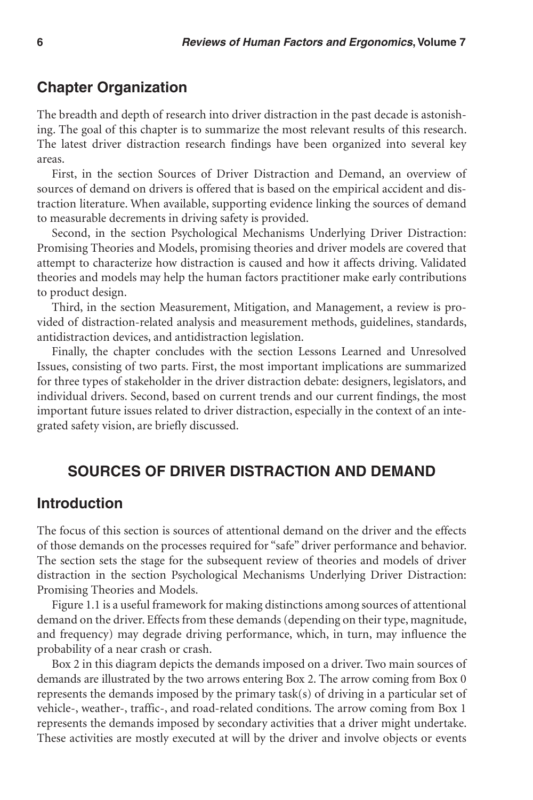## **Chapter Organization**

The breadth and depth of research into driver distraction in the past decade is astonishing. The goal of this chapter is to summarize the most relevant results of this research. The latest driver distraction research findings have been organized into several key areas.

First, in the section Sources of Driver Distraction and Demand, an overview of sources of demand on drivers is offered that is based on the empirical accident and distraction literature. When available, supporting evidence linking the sources of demand to measurable decrements in driving safety is provided.

Second, in the section Psychological Mechanisms Underlying Driver Distraction: Promising Theories and Models, promising theories and driver models are covered that attempt to characterize how distraction is caused and how it affects driving. Validated theories and models may help the human factors practitioner make early contributions to product design.

Third, in the section Measurement, Mitigation, and Management, a review is provided of distraction-related analysis and measurement methods, guidelines, standards, antidistraction devices, and antidistraction legislation.

Finally, the chapter concludes with the section Lessons Learned and Unresolved Issues, consisting of two parts. First, the most important implications are summarized for three types of stakeholder in the driver distraction debate: designers, legislators, and individual drivers. Second, based on current trends and our current findings, the most important future issues related to driver distraction, especially in the context of an integrated safety vision, are briefly discussed.

## **Sources of Driver Distraction and Demand**

#### **Introduction**

The focus of this section is sources of attentional demand on the driver and the effects of those demands on the processes required for "safe" driver performance and behavior. The section sets the stage for the subsequent review of theories and models of driver distraction in the section Psychological Mechanisms Underlying Driver Distraction: Promising Theories and Models.

Figure 1.1 is a useful framework for making distinctions among sources of attentional demand on the driver. Effects from these demands (depending on their type, magnitude, and frequency) may degrade driving performance, which, in turn, may influence the probability of a near crash or crash.

Box 2 in this diagram depicts the demands imposed on a driver. Two main sources of demands are illustrated by the two arrows entering Box 2. The arrow coming from Box 0 represents the demands imposed by the primary task(s) of driving in a particular set of vehicle-, weather-, traffic-, and road-related conditions. The arrow coming from Box 1 represents the demands imposed by secondary activities that a driver might undertake. These activities are mostly executed at will by the driver and involve objects or events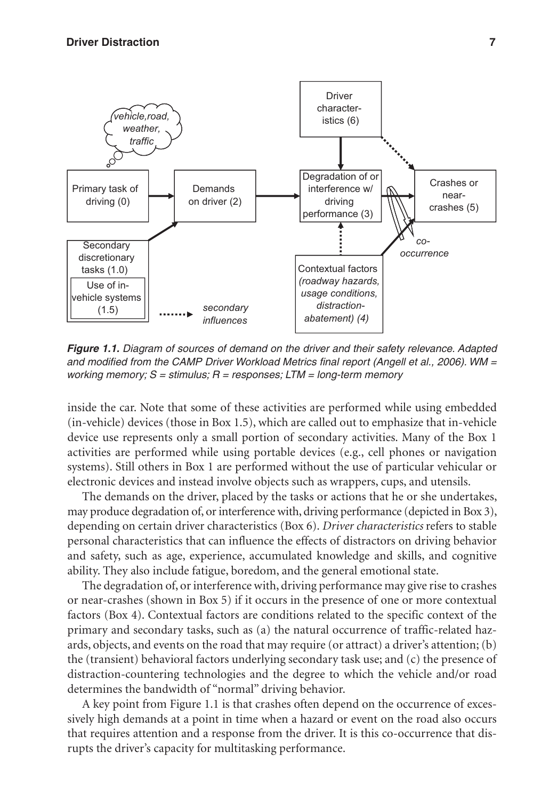

*Figure 1.1. Diagram of sources of demand on the driver and their safety relevance. Adapted and modified from the CAMP Driver Workload Metrics final report (Angell et al., 2006). WM = working memory; S = stimulus; R = responses; LTM = long-term memory*

inside the car. Note that some of these activities are performed while using embedded (in-vehicle) devices (those in Box 1.5), which are called out to emphasize that in-vehicle device use represents only a small portion of secondary activities. Many of the Box 1 activities are performed while using portable devices (e.g., cell phones or navigation systems). Still others in Box 1 are performed without the use of particular vehicular or electronic devices and instead involve objects such as wrappers, cups, and utensils.

The demands on the driver, placed by the tasks or actions that he or she undertakes, may produce degradation of, or interference with, driving performance (depicted in Box 3), depending on certain driver characteristics (Box 6). *Driver characteristics* refers to stable personal characteristics that can influence the effects of distractors on driving behavior and safety, such as age, experience, accumulated knowledge and skills, and cognitive ability. They also include fatigue, boredom, and the general emotional state.

The degradation of, or interference with, driving performance may give rise to crashes or near-crashes (shown in Box 5) if it occurs in the presence of one or more contextual factors (Box 4). Contextual factors are conditions related to the specific context of the primary and secondary tasks, such as (a) the natural occurrence of traffic-related hazards, objects, and events on the road that may require (or attract) a driver's attention; (b) the (transient) behavioral factors underlying secondary task use; and (c) the presence of distraction-countering technologies and the degree to which the vehicle and/or road determines the bandwidth of "normal" driving behavior.

A key point from Figure 1.1 is that crashes often depend on the occurrence of excessively high demands at a point in time when a hazard or event on the road also occurs that requires attention and a response from the driver. It is this co-occurrence that disrupts the driver's capacity for multitasking performance.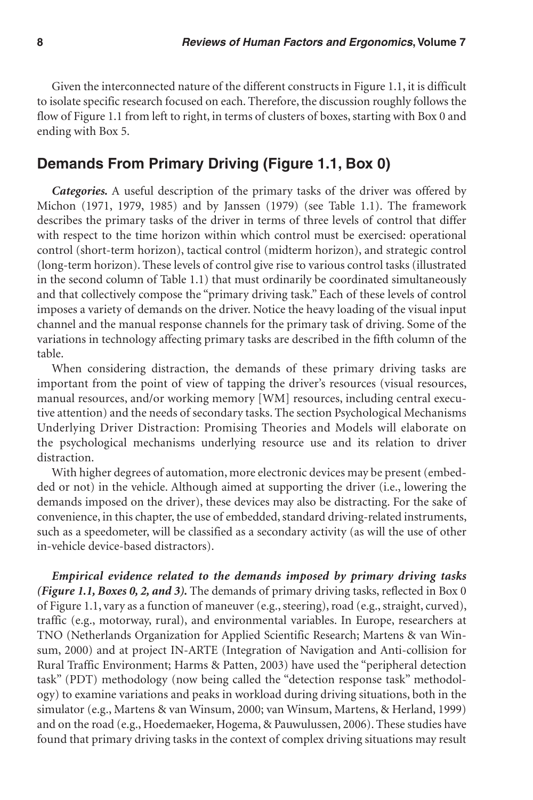Given the interconnected nature of the different constructs in Figure 1.1, it is difficult to isolate specific research focused on each. Therefore, the discussion roughly follows the flow of Figure 1.1 from left to right, in terms of clusters of boxes, starting with Box 0 and ending with Box 5.

## **Demands From Primary Driving (Figure 1.1, Box 0)**

*Categories.* A useful description of the primary tasks of the driver was offered by Michon (1971, 1979, 1985) and by Janssen (1979) (see Table 1.1). The framework describes the primary tasks of the driver in terms of three levels of control that differ with respect to the time horizon within which control must be exercised: operational control (short-term horizon), tactical control (midterm horizon), and strategic control (long-term horizon). These levels of control give rise to various control tasks (illustrated in the second column of Table 1.1) that must ordinarily be coordinated simultaneously and that collectively compose the "primary driving task." Each of these levels of control imposes a variety of demands on the driver. Notice the heavy loading of the visual input channel and the manual response channels for the primary task of driving. Some of the variations in technology affecting primary tasks are described in the fifth column of the table.

When considering distraction, the demands of these primary driving tasks are important from the point of view of tapping the driver's resources (visual resources, manual resources, and/or working memory [WM] resources, including central executive attention) and the needs of secondary tasks. The section Psychological Mechanisms Underlying Driver Distraction: Promising Theories and Models will elaborate on the psychological mechanisms underlying resource use and its relation to driver distraction.

With higher degrees of automation, more electronic devices may be present (embedded or not) in the vehicle. Although aimed at supporting the driver (i.e., lowering the demands imposed on the driver), these devices may also be distracting. For the sake of convenience, in this chapter, the use of embedded, standard driving-related instruments, such as a speedometer, will be classified as a secondary activity (as will the use of other in-vehicle device-based distractors).

*Empirical evidence related to the demands imposed by primary driving tasks (Figure 1.1, Boxes 0, 2, and 3).* The demands of primary driving tasks, reflected in Box 0 of Figure 1.1, vary as a function of maneuver (e.g., steering), road (e.g., straight, curved), traffic (e.g., motorway, rural), and environmental variables. In Europe, researchers at TNO (Netherlands Organization for Applied Scientific Research; Martens & van Winsum, 2000) and at project IN-ARTE (Integration of Navigation and Anti-collision for Rural Traffic Environment; Harms & Patten, 2003) have used the "peripheral detection task" (PDT) methodology (now being called the "detection response task" methodology) to examine variations and peaks in workload during driving situations, both in the simulator (e.g., Martens & van Winsum, 2000; van Winsum, Martens, & Herland, 1999) and on the road (e.g., Hoedemaeker, Hogema, & Pauwulussen, 2006). These studies have found that primary driving tasks in the context of complex driving situations may result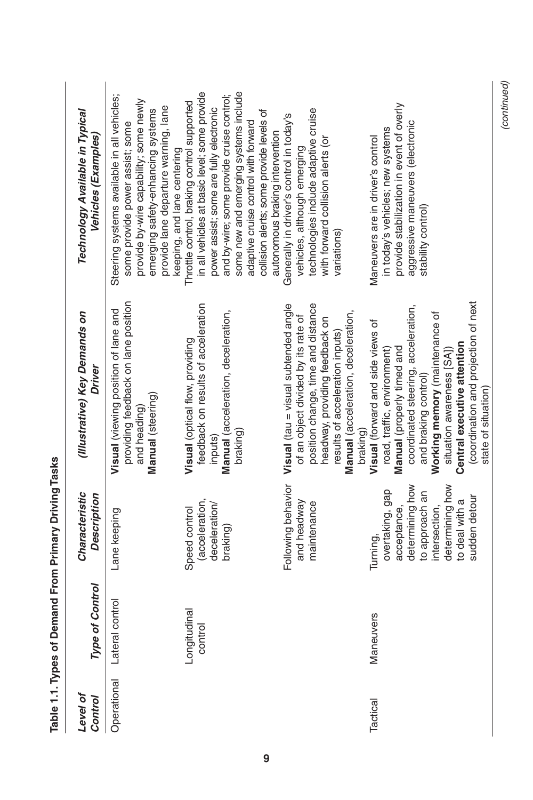| Level of<br>Control | <b>Type of Control</b>  | Characteristic<br><b>Description</b>                                                                                                                   | (Illustrative) Key Demands on<br>Driver                                                                                                                                                                                                                                                                                    | Technology Available in Typical<br>Vehicles (Examples)                                                                                                                                                                                                                                                           |
|---------------------|-------------------------|--------------------------------------------------------------------------------------------------------------------------------------------------------|----------------------------------------------------------------------------------------------------------------------------------------------------------------------------------------------------------------------------------------------------------------------------------------------------------------------------|------------------------------------------------------------------------------------------------------------------------------------------------------------------------------------------------------------------------------------------------------------------------------------------------------------------|
| Operational         | control<br>Lateral      | Lane keeping                                                                                                                                           | providing feedback on lane position<br>Visual (viewing position of lane and<br>Manual (steering)<br>and heading)                                                                                                                                                                                                           | Steering systems available in all vehicles;<br>provide by-wire capability; some newly<br>provide lane departure warning, lane<br>emerging safety-enhancing systems<br>some provide power assist; some<br>keeping, and lane centering                                                                             |
|                     | Longitudinal<br>control | (acceleration,<br>deceleration<br>Speed control<br>braking)                                                                                            | feedback on results of acceleration<br>Manual (acceleration, deceleration,<br>Visual (optical flow, providing<br>braking)<br>inputs)                                                                                                                                                                                       | some new and emerging systems include<br>in all vehicles at basic level; some provide<br>and by-wire; some provide cruise control;<br>Throttle control, braking control supported<br>power assist; some are fully electronic<br>collision alerts; some provide levels of<br>adaptive cruise control with forward |
|                     |                         | Following behavior<br>and headway<br>maintenance                                                                                                       | <b>Visual</b> (tau = visual subtended angle<br>position change, time and distance<br>Manual (acceleration, deceleration,<br>of an object divided by its rate of<br>headway, providing feedback on<br>results of acceleration inputs)<br>braking)                                                                           | technologies include adaptive cruise<br>Generally in driver's control in today's<br>autonomous braking intervention<br>with forward collision alerts (or<br>vehicles, although emerging<br>variations)                                                                                                           |
| Tactical            | <b>Maneuvers</b>        | determining how<br>determining how<br>overtaking, gap<br>to approach an<br>sudden detour<br>to deal with a<br>acceptance,<br>intersection,<br>Turning, | (coordination and projection of next<br>coordinated steering, acceleration,<br>Working memory (maintenance of<br>Visual (forward and side views of<br>Central executive attention<br>Manual (properly timed and<br>road, traffic, environment)<br>situation awareness [SA])<br>and braking control)<br>state of situation) | provide stabilization in event of overly<br>aggressive maneuvers (electronic<br>in today's vehicles; new systems<br>Maneuvers are in driver's control<br>stability control)                                                                                                                                      |

Table 1.1. Types of Demand From Primary Driving Tasks **Table 1.1. Types of Demand From Primary Driving Tasks** (continued) *(continued)*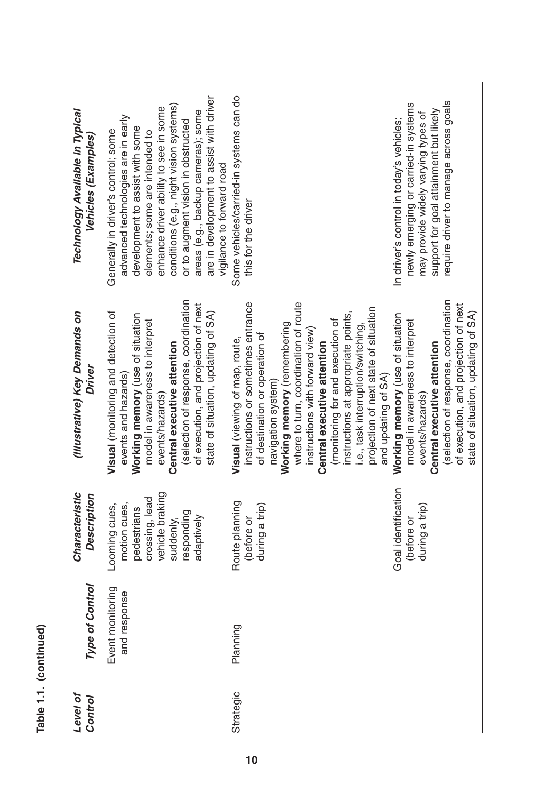| Table 1.1. (continued) |                                           |                                                                                                                            |                                                                                                                                                                                                                                                                                                                                                                                                                                                        |                                                                                                                                                                                                                                                                                                                                                                                         |
|------------------------|-------------------------------------------|----------------------------------------------------------------------------------------------------------------------------|--------------------------------------------------------------------------------------------------------------------------------------------------------------------------------------------------------------------------------------------------------------------------------------------------------------------------------------------------------------------------------------------------------------------------------------------------------|-----------------------------------------------------------------------------------------------------------------------------------------------------------------------------------------------------------------------------------------------------------------------------------------------------------------------------------------------------------------------------------------|
| Level of<br>Control    | <b>Type of Control</b>                    | Characteristic<br>Description                                                                                              | (Illustrative) Key Demands on<br>Driver                                                                                                                                                                                                                                                                                                                                                                                                                | Technology Available in Typical<br>/ehicles (Examples)                                                                                                                                                                                                                                                                                                                                  |
|                        | nonitoring<br>esponse<br>and r<br>Event r | vehicle braking<br>crossing, lead<br>motion cues,<br>Looming cues,<br>pedestrians<br>responding<br>adaptively<br>suddenly, | (selection of response, coordination<br>of execution, and projection of next<br>state of situation, updating of SA)<br>Visual (monitoring and detection of<br>Working memory (use of situation<br>model in awareness to interpret<br>Central executive attention<br>events and hazards)<br>events/hazards)                                                                                                                                             | are in development to assist with driver<br>conditions (e.g., night vision systems)<br>enhance driver ability to see in some<br>areas (e.g., backup cameras); some<br>advanced technologies are in early<br>or to augment vision in obstructed<br>development to assist with some<br>Generally in driver's control; some<br>elements; some are intended to<br>vigilance to forward road |
| Strategic              | Planning                                  | Route planning<br>during a trip)<br>(before or                                                                             | where to turn, coordination of route<br>instructions or sometimes entrance<br>projection of next state of situation<br>instructions at appropriate points,<br>(monitoring for and execution of<br>Working memory (remembering<br>i.e., task interruption/switching,<br>instructions with forward view)<br>of destination or operation of<br>Visual (viewing of map, route,<br>Central executive attention<br>and updating of SA)<br>navigation system) | Some vehicles/carried-in systems can do<br>this for the driver                                                                                                                                                                                                                                                                                                                          |
|                        |                                           | Goal identification<br>during a trip)<br>(before or                                                                        | (selection of response, coordination<br>of execution, and projection of next<br>state of situation, updating of SA)<br>Working memory (use of situation<br>model in awareness to interpret<br>Central executive attention<br>events/hazards)                                                                                                                                                                                                           | require driver to manage across goals<br>newly emerging or carried-in systems<br>support for goal attainment but likely<br>may provide widely varying types of<br>In driver's control in today's vehicles;                                                                                                                                                                              |

**10**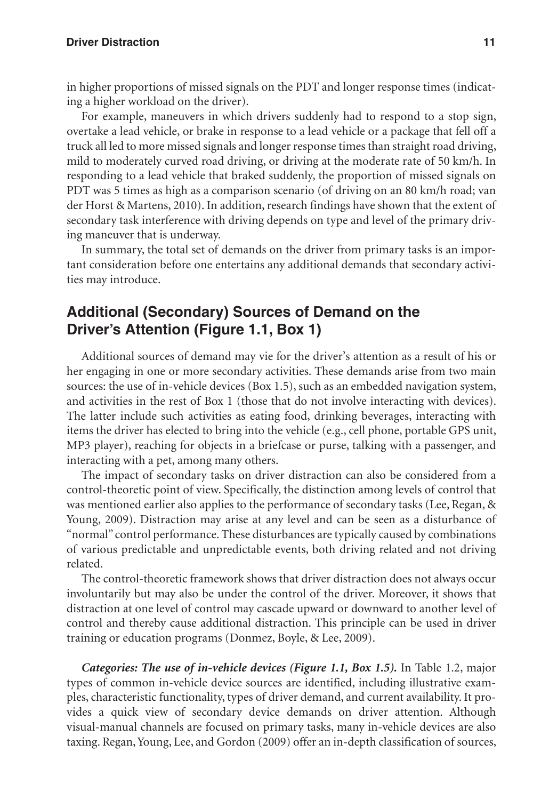#### **Driver Distraction 11**

in higher proportions of missed signals on the PDT and longer response times (indicating a higher workload on the driver).

For example, maneuvers in which drivers suddenly had to respond to a stop sign, overtake a lead vehicle, or brake in response to a lead vehicle or a package that fell off a truck all led to more missed signals and longer response times than straight road driving, mild to moderately curved road driving, or driving at the moderate rate of 50 km/h. In responding to a lead vehicle that braked suddenly, the proportion of missed signals on PDT was 5 times as high as a comparison scenario (of driving on an 80 km/h road; van der Horst & Martens, 2010). In addition, research findings have shown that the extent of secondary task interference with driving depends on type and level of the primary driving maneuver that is underway.

In summary, the total set of demands on the driver from primary tasks is an important consideration before one entertains any additional demands that secondary activities may introduce.

## **Additional (Secondary) Sources of Demand on the Driver's Attention (Figure 1.1, Box 1)**

Additional sources of demand may vie for the driver's attention as a result of his or her engaging in one or more secondary activities. These demands arise from two main sources: the use of in-vehicle devices (Box 1.5), such as an embedded navigation system, and activities in the rest of Box 1 (those that do not involve interacting with devices). The latter include such activities as eating food, drinking beverages, interacting with items the driver has elected to bring into the vehicle (e.g., cell phone, portable GPS unit, MP3 player), reaching for objects in a briefcase or purse, talking with a passenger, and interacting with a pet, among many others.

The impact of secondary tasks on driver distraction can also be considered from a control-theoretic point of view. Specifically, the distinction among levels of control that was mentioned earlier also applies to the performance of secondary tasks (Lee, Regan, & Young, 2009). Distraction may arise at any level and can be seen as a disturbance of "normal" control performance. These disturbances are typically caused by combinations of various predictable and unpredictable events, both driving related and not driving related.

The control-theoretic framework shows that driver distraction does not always occur involuntarily but may also be under the control of the driver. Moreover, it shows that distraction at one level of control may cascade upward or downward to another level of control and thereby cause additional distraction. This principle can be used in driver training or education programs (Donmez, Boyle, & Lee, 2009).

*Categories: The use of in-vehicle devices (Figure 1.1, Box 1.5).* In Table 1.2, major types of common in-vehicle device sources are identified, including illustrative examples, characteristic functionality, types of driver demand, and current availability. It provides a quick view of secondary device demands on driver attention. Although visual-manual channels are focused on primary tasks, many in-vehicle devices are also taxing. Regan, Young, Lee, and Gordon (2009) offer an in-depth classification of sources,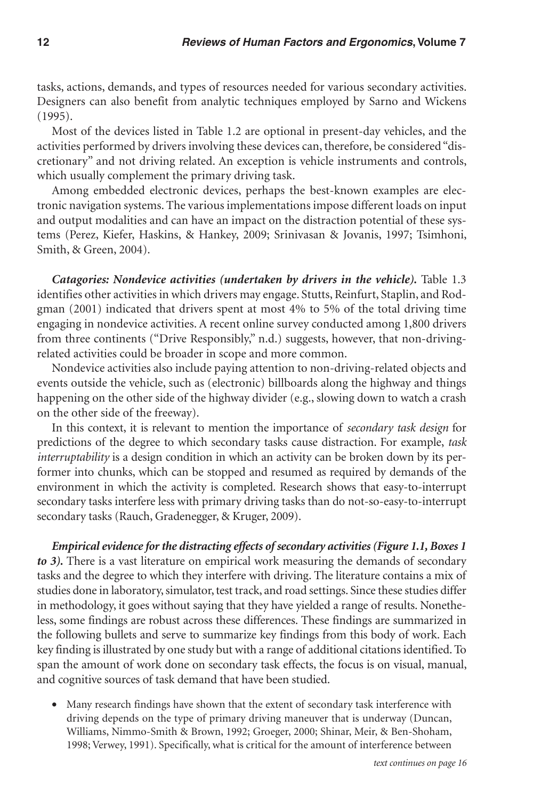tasks, actions, demands, and types of resources needed for various secondary activities. Designers can also benefit from analytic techniques employed by Sarno and Wickens (1995).

Most of the devices listed in Table 1.2 are optional in present-day vehicles, and the activities performed by drivers involving these devices can, therefore, be considered "discretionary" and not driving related. An exception is vehicle instruments and controls, which usually complement the primary driving task.

Among embedded electronic devices, perhaps the best-known examples are electronic navigation systems. The various implementations impose different loads on input and output modalities and can have an impact on the distraction potential of these systems (Perez, Kiefer, Haskins, & Hankey, 2009; Srinivasan & Jovanis, 1997; Tsimhoni, Smith, & Green, 2004).

*Catagories: Nondevice activities (undertaken by drivers in the vehicle).* Table 1.3 identifies other activities in which drivers may engage. Stutts, Reinfurt, Staplin, and Rodgman (2001) indicated that drivers spent at most 4% to 5% of the total driving time engaging in nondevice activities. A recent online survey conducted among 1,800 drivers from three continents ("Drive Responsibly," n.d.) suggests, however, that non-drivingrelated activities could be broader in scope and more common.

Nondevice activities also include paying attention to non-driving-related objects and events outside the vehicle, such as (electronic) billboards along the highway and things happening on the other side of the highway divider (e.g., slowing down to watch a crash on the other side of the freeway).

In this context, it is relevant to mention the importance of *secondary task design* for predictions of the degree to which secondary tasks cause distraction. For example, *task interruptability* is a design condition in which an activity can be broken down by its performer into chunks, which can be stopped and resumed as required by demands of the environment in which the activity is completed. Research shows that easy-to-interrupt secondary tasks interfere less with primary driving tasks than do not-so-easy-to-interrupt secondary tasks (Rauch, Gradenegger, & Kruger, 2009).

*Empirical evidence for the distracting effects of secondary activities (Figure 1.1, Boxes 1*  to 3). There is a vast literature on empirical work measuring the demands of secondary tasks and the degree to which they interfere with driving. The literature contains a mix of studies done in laboratory, simulator, test track, and road settings. Since these studies differ in methodology, it goes without saying that they have yielded a range of results. Nonetheless, some findings are robust across these differences. These findings are summarized in the following bullets and serve to summarize key findings from this body of work. Each key finding is illustrated by one study but with a range of additional citations identified. To span the amount of work done on secondary task effects, the focus is on visual, manual, and cognitive sources of task demand that have been studied.

• Many research findings have shown that the extent of secondary task interference with driving depends on the type of primary driving maneuver that is underway (Duncan, Williams, Nimmo-Smith & Brown, 1992; Groeger, 2000; Shinar, Meir, & Ben-Shoham, 1998; Verwey, 1991). Specifically, what is critical for the amount of interference between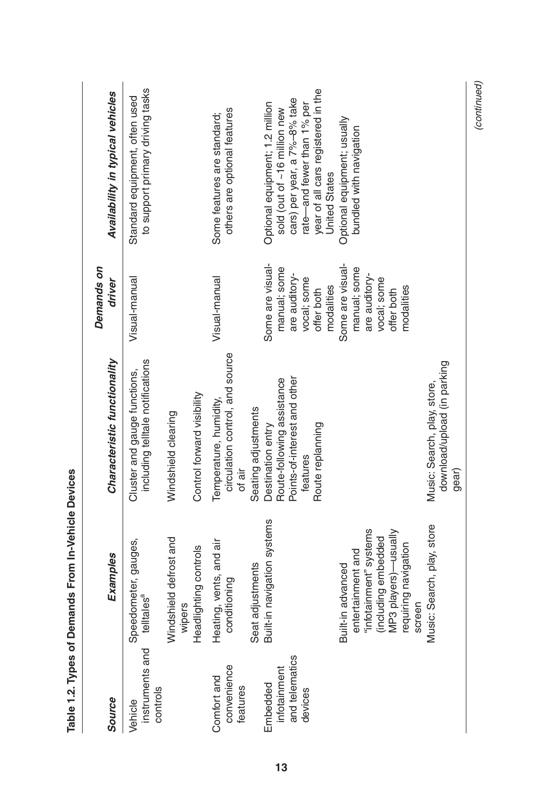|            | Availability in typical vehicles | to support primary driving tasks<br>Standard equipment, often used |                                                           | others are optional features<br>Some features are standard;         |                     | Optional equipment; 1.2 million | sold (out of ~16 million new | cars) per year, a 7%-8% take | rate—and fewer than 1% per | year of all cars registered in the | <b>United States</b> | Optional equipment; usually | bundled with navigation |                        |                     |                      |                                |                                                            |
|------------|----------------------------------|--------------------------------------------------------------------|-----------------------------------------------------------|---------------------------------------------------------------------|---------------------|---------------------------------|------------------------------|------------------------------|----------------------------|------------------------------------|----------------------|-----------------------------|-------------------------|------------------------|---------------------|----------------------|--------------------------------|------------------------------------------------------------|
| Demands on | driver                           | Visual-manual                                                      |                                                           | Visual-manual                                                       |                     | Some are visual-                | manual; some                 | are auditory-                | vocal; some                | offer both                         | modalities           | Some are visual-            | manual; some            | are auditory-          | vocal; some         | offer both           | modalities                     |                                                            |
|            | Characteristic functionality     | including telltale notifications<br>Cluster and gauge functions,   | Control forward visibility<br>Windshield clearing         | circulation control, and source<br>Temperature, humidity,<br>of air | Seating adjustments | Destination entry               | Route-following assistance   | Points-of-interest and other | features                   | Route replanning                   |                      |                             |                         |                        |                     |                      |                                | download/upload (in parking<br>Music: Search, play, store, |
|            | Examples                         | Speedometer, gauges,<br>telltales <sup>a</sup>                     | Windshield defrost and<br>Headlighting controls<br>wipers | Heating, vents, and air<br>conditioning                             | Seat adjustments    | Built-in navigation systems     |                              |                              |                            |                                    |                      | Built-in advanced           | entertainment and       | "infotainment" systems | (including embedded | MP3 players)-usually | requiring navigation<br>screen | Music: Search, play, store                                 |
|            | Source                           | instruments and<br>controls<br>Vehicle                             |                                                           | Comfort and<br>convenience<br>features                              |                     | Embedded<br>infotainment        |                              | and telematics<br>devices    |                            |                                    |                      |                             |                         |                        |                     |                      |                                |                                                            |

(continued) *(continued)*

Table 1.2. Types of Demands From In-Vehicle Devices **Table 1.2. Types of Demands From In-Vehicle Devices**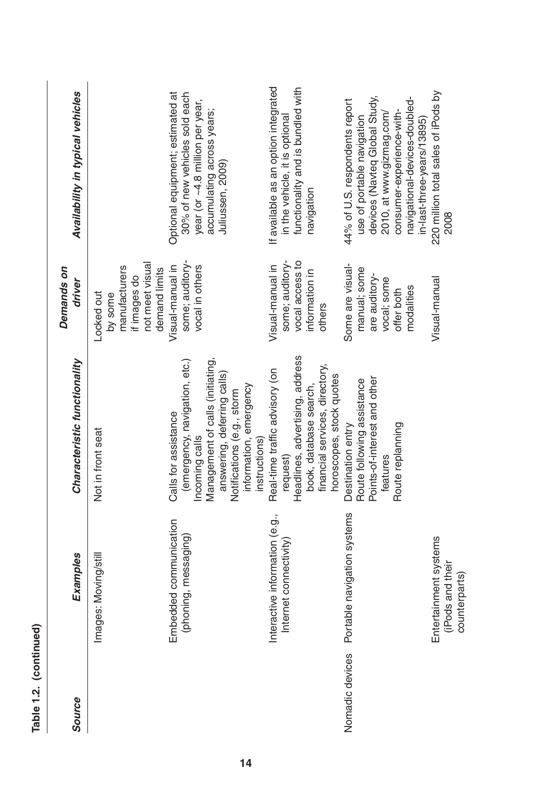| ¢ |
|---|
|   |
|   |
|   |
|   |

| <b>Source</b>   | <b>Examples</b>                                            | Characteristic functionality                                                                                                                                                                                        | Demands on<br>driver                                                                         | Availability in typical vehicles                                                                                                                                                                                      |
|-----------------|------------------------------------------------------------|---------------------------------------------------------------------------------------------------------------------------------------------------------------------------------------------------------------------|----------------------------------------------------------------------------------------------|-----------------------------------------------------------------------------------------------------------------------------------------------------------------------------------------------------------------------|
|                 | Images: Moving/still                                       | Not in front seat                                                                                                                                                                                                   | not meet visual<br>manufacturers<br>demand limits<br>if images do<br>Locked out<br>by some   |                                                                                                                                                                                                                       |
|                 | Embedded communication<br>(phoning, messaging)             | (emergency, navigation, etc.)<br>Management of calls (initiating,<br>answering, deferring calls)<br>information, emergency<br>Notifications (e.g., storm<br>Calls for assistance<br>Incoming calls<br>instructions) | some; auditory-<br>Visual-manual in<br>vocal in others                                       | Optional equipment; estimated at<br>30% of new vehicles sold each<br>year (or ~4.8 million per year,<br>accumulating across years;<br>Juliussen, 2009)                                                                |
|                 | Interactive information (e.g.,<br>Internet connectivity    | Headlines, advertising, address<br>financial services, directory,<br>Real-time traffic advisory (on<br>horoscopes, stock quotes<br>book, database search,<br>request)                                               | some; auditory-<br>vocal access to<br>Visual-manual in<br>information in<br>others           | If available as an option integrated<br>functionality and is bundled with<br>in the vehicle, it is optional<br>navigation                                                                                             |
| Nomadic devices | Portable navigation systems                                | Points-of-interest and other<br>Route following assistance<br>Route replanning<br>Destination entry<br>teatures                                                                                                     | Some are visual-<br>manual; some<br>are auditory-<br>vocal; some<br>modalities<br>offer both | devices (Navteq Global Study,<br>navigational-devices-doubled-<br>44% of U.S. respondents report<br>consumer-experience-with-<br>2010, at www.gizmag.com/<br>use of portable navigation<br>in-last-three-years/13895) |
|                 | Entertainment systems<br>(iPods and their<br>counterparts) |                                                                                                                                                                                                                     | Visual-manual                                                                                | 220 million total sales of iPods by<br>2008                                                                                                                                                                           |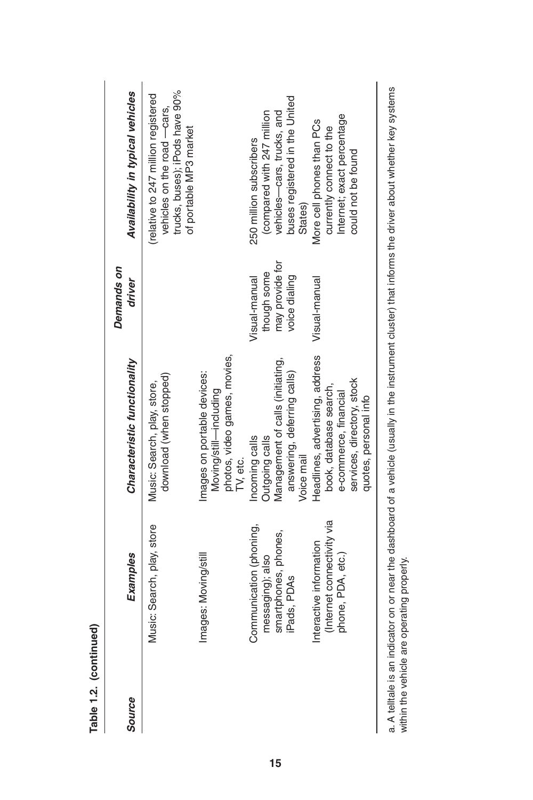| Source | <b>Examples</b>                                                                   | Characteristic functionality                                                                                                              | Demands on<br>driver                                             | Availability in typical vehicles                                                                                                 |
|--------|-----------------------------------------------------------------------------------|-------------------------------------------------------------------------------------------------------------------------------------------|------------------------------------------------------------------|----------------------------------------------------------------------------------------------------------------------------------|
|        | usic: Search, play, store                                                         | download (when stopped)<br>Music: Search, play, store,                                                                                    |                                                                  | trucks, buses); iPods have 90%<br>(relative to 247 million registered<br>vehicles on the road -cars,<br>of portable MP3 market   |
|        | ages: Moving/still<br>Ĕ                                                           | photos, video games, movies,<br>Images on portable devices:<br>Moving/still—including<br>TV, etc.                                         |                                                                  |                                                                                                                                  |
|        | Communication (phoning,<br>smartphones, phones,<br>messaging); also<br>Pads, PDAs | Management of calls (initiating,<br>answering, deferring calls)<br><b>Outgoing calls</b><br>Incoming calls<br>Voice mail                  | may provide for<br>though some<br>voice dialing<br>Visual-manual | buses registered in the United<br>vehicles-cars, trucks, and<br>(compared with 247 million<br>250 million subscribers<br>States) |
|        | Internet connectivity via<br>eractive information<br>phone, PDA, etc.)<br>Ĕ       | Headlines, advertising, address<br>services, directory, stock<br>book, database search,<br>e-commerce, financial<br>quotes, personal info | Visual-manual                                                    | Internet; exact percentage<br>More cell phones than PCs<br>currently connect to the<br>could not be found                        |

a. A telltale is an indicator on or near the dashboard of a vehicle (usually in the instrument cluster) that informs the driver about whether key systems a. A telltale is an indicator on or near the dashboard of a vehicle (usually in the instrument cluster) that informs the driver about whether key systems within the vehicle are operating properly. within the vehicle are operating properly.

**Table 1.2. (continued)**

Table 1.2. (continued)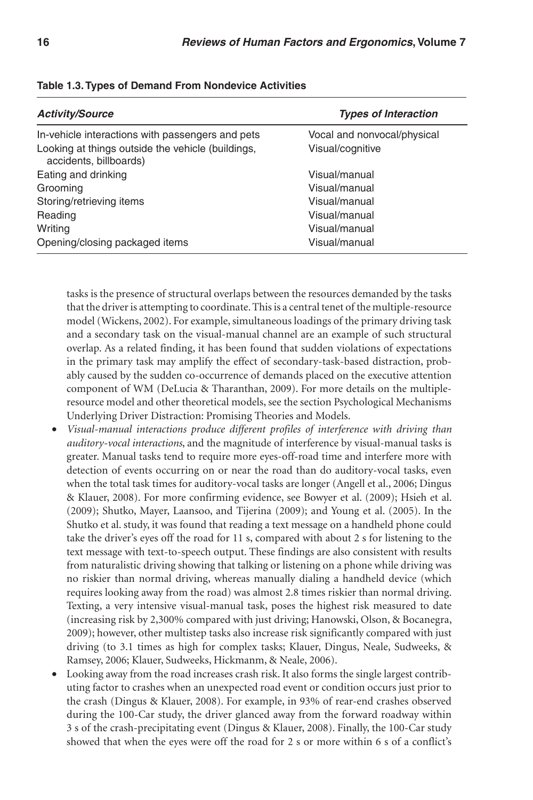| <b>Activity/Source</b>                                                      | <b>Types of Interaction</b> |
|-----------------------------------------------------------------------------|-----------------------------|
| In-vehicle interactions with passengers and pets                            | Vocal and nonvocal/physical |
| Looking at things outside the vehicle (buildings,<br>accidents, billboards) | Visual/cognitive            |
| Eating and drinking                                                         | Visual/manual               |
| Grooming                                                                    | Visual/manual               |
| Storing/retrieving items                                                    | Visual/manual               |
| Reading                                                                     | Visual/manual               |
| Writing                                                                     | Visual/manual               |
| Opening/closing packaged items                                              | Visual/manual               |

#### **Table 1.3. Types of Demand From Nondevice Activities**

tasks is the presence of structural overlaps between the resources demanded by the tasks that the driver is attempting to coordinate. This is a central tenet of the multiple-resource model (Wickens, 2002). For example, simultaneous loadings of the primary driving task and a secondary task on the visual-manual channel are an example of such structural overlap. As a related finding, it has been found that sudden violations of expectations in the primary task may amplify the effect of secondary-task-based distraction, probably caused by the sudden co-occurrence of demands placed on the executive attention component of WM (DeLucia & Tharanthan, 2009). For more details on the multipleresource model and other theoretical models, see the section Psychological Mechanisms Underlying Driver Distraction: Promising Theories and Models.

- *Visual-manual interactions produce different profiles of interference with driving than auditory-vocal interactions*, and the magnitude of interference by visual-manual tasks is greater. Manual tasks tend to require more eyes-off-road time and interfere more with detection of events occurring on or near the road than do auditory-vocal tasks, even when the total task times for auditory-vocal tasks are longer (Angell et al., 2006; Dingus & Klauer, 2008). For more confirming evidence, see Bowyer et al. (2009); Hsieh et al. (2009); Shutko, Mayer, Laansoo, and Tijerina (2009); and Young et al. (2005). In the Shutko et al. study, it was found that reading a text message on a handheld phone could take the driver's eyes off the road for 11 s, compared with about 2 s for listening to the text message with text-to-speech output. These findings are also consistent with results from naturalistic driving showing that talking or listening on a phone while driving was no riskier than normal driving, whereas manually dialing a handheld device (which requires looking away from the road) was almost 2.8 times riskier than normal driving. Texting, a very intensive visual-manual task, poses the highest risk measured to date (increasing risk by 2,300% compared with just driving; Hanowski, Olson, & Bocanegra, 2009); however, other multistep tasks also increase risk significantly compared with just driving (to 3.1 times as high for complex tasks; Klauer, Dingus, Neale, Sudweeks, & Ramsey, 2006; Klauer, Sudweeks, Hickmanm, & Neale, 2006).
- Looking away from the road increases crash risk. It also forms the single largest contributing factor to crashes when an unexpected road event or condition occurs just prior to the crash (Dingus & Klauer, 2008). For example, in 93% of rear-end crashes observed during the 100-Car study, the driver glanced away from the forward roadway within 3 s of the crash-precipitating event (Dingus & Klauer, 2008). Finally, the 100-Car study showed that when the eyes were off the road for 2 s or more within 6 s of a conflict's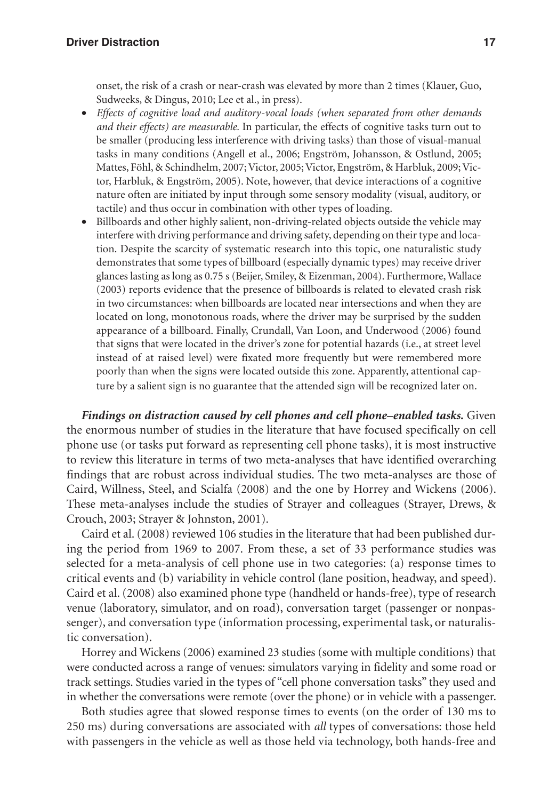#### **Driver Distraction 17**

onset, the risk of a crash or near-crash was elevated by more than 2 times (Klauer, Guo, Sudweeks, & Dingus, 2010; Lee et al., in press).

- *Effects of cognitive load and auditory-vocal loads (when separated from other demands and their effects) are measurable.* In particular, the effects of cognitive tasks turn out to be smaller (producing less interference with driving tasks) than those of visual-manual tasks in many conditions (Angell et al., 2006; Engström, Johansson, & Ostlund, 2005; Mattes, Föhl, & Schindhelm, 2007; Victor, 2005; Victor, Engström, & Harbluk, 2009; Victor, Harbluk, & Engström, 2005). Note, however, that device interactions of a cognitive nature often are initiated by input through some sensory modality (visual, auditory, or tactile) and thus occur in combination with other types of loading.
- Billboards and other highly salient, non-driving-related objects outside the vehicle may interfere with driving performance and driving safety, depending on their type and location. Despite the scarcity of systematic research into this topic, one naturalistic study demonstrates that some types of billboard (especially dynamic types) may receive driver glances lasting as long as 0.75 s (Beijer, Smiley, & Eizenman, 2004). Furthermore, Wallace (2003) reports evidence that the presence of billboards is related to elevated crash risk in two circumstances: when billboards are located near intersections and when they are located on long, monotonous roads, where the driver may be surprised by the sudden appearance of a billboard. Finally, Crundall, Van Loon, and Underwood (2006) found that signs that were located in the driver's zone for potential hazards (i.e., at street level instead of at raised level) were fixated more frequently but were remembered more poorly than when the signs were located outside this zone. Apparently, attentional capture by a salient sign is no guarantee that the attended sign will be recognized later on.

*Findings on distraction caused by cell phones and cell phone–enabled tasks.* Given the enormous number of studies in the literature that have focused specifically on cell phone use (or tasks put forward as representing cell phone tasks), it is most instructive to review this literature in terms of two meta-analyses that have identified overarching findings that are robust across individual studies. The two meta-analyses are those of Caird, Willness, Steel, and Scialfa (2008) and the one by Horrey and Wickens (2006). These meta-analyses include the studies of Strayer and colleagues (Strayer, Drews, & Crouch, 2003; Strayer & Johnston, 2001).

Caird et al. (2008) reviewed 106 studies in the literature that had been published during the period from 1969 to 2007. From these, a set of 33 performance studies was selected for a meta-analysis of cell phone use in two categories: (a) response times to critical events and (b) variability in vehicle control (lane position, headway, and speed). Caird et al. (2008) also examined phone type (handheld or hands-free), type of research venue (laboratory, simulator, and on road), conversation target (passenger or nonpassenger), and conversation type (information processing, experimental task, or naturalistic conversation).

Horrey and Wickens (2006) examined 23 studies (some with multiple conditions) that were conducted across a range of venues: simulators varying in fidelity and some road or track settings. Studies varied in the types of "cell phone conversation tasks" they used and in whether the conversations were remote (over the phone) or in vehicle with a passenger.

Both studies agree that slowed response times to events (on the order of 130 ms to 250 ms) during conversations are associated with *all* types of conversations: those held with passengers in the vehicle as well as those held via technology, both hands-free and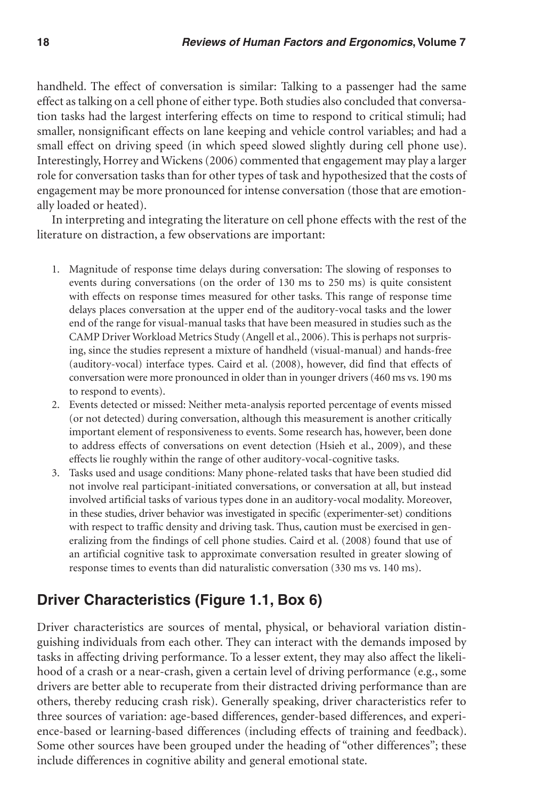handheld. The effect of conversation is similar: Talking to a passenger had the same effect as talking on a cell phone of either type. Both studies also concluded that conversation tasks had the largest interfering effects on time to respond to critical stimuli; had smaller, nonsignificant effects on lane keeping and vehicle control variables; and had a small effect on driving speed (in which speed slowed slightly during cell phone use). Interestingly, Horrey and Wickens (2006) commented that engagement may play a larger role for conversation tasks than for other types of task and hypothesized that the costs of engagement may be more pronounced for intense conversation (those that are emotionally loaded or heated).

In interpreting and integrating the literature on cell phone effects with the rest of the literature on distraction, a few observations are important:

- 1. Magnitude of response time delays during conversation: The slowing of responses to events during conversations (on the order of 130 ms to 250 ms) is quite consistent with effects on response times measured for other tasks. This range of response time delays places conversation at the upper end of the auditory-vocal tasks and the lower end of the range for visual-manual tasks that have been measured in studies such as the CAMP Driver Workload Metrics Study (Angell et al., 2006). This is perhaps not surprising, since the studies represent a mixture of handheld (visual-manual) and hands-free (auditory-vocal) interface types. Caird et al. (2008), however, did find that effects of conversation were more pronounced in older than in younger drivers (460 ms vs. 190 ms to respond to events).
- 2. Events detected or missed: Neither meta-analysis reported percentage of events missed (or not detected) during conversation, although this measurement is another critically important element of responsiveness to events. Some research has, however, been done to address effects of conversations on event detection (Hsieh et al., 2009), and these effects lie roughly within the range of other auditory-vocal-cognitive tasks.
- 3. Tasks used and usage conditions: Many phone-related tasks that have been studied did not involve real participant-initiated conversations, or conversation at all, but instead involved artificial tasks of various types done in an auditory-vocal modality. Moreover, in these studies, driver behavior was investigated in specific (experimenter-set) conditions with respect to traffic density and driving task. Thus, caution must be exercised in generalizing from the findings of cell phone studies. Caird et al. (2008) found that use of an artificial cognitive task to approximate conversation resulted in greater slowing of response times to events than did naturalistic conversation (330 ms vs. 140 ms).

# **Driver Characteristics (Figure 1.1, Box 6)**

Driver characteristics are sources of mental, physical, or behavioral variation distinguishing individuals from each other. They can interact with the demands imposed by tasks in affecting driving performance. To a lesser extent, they may also affect the likelihood of a crash or a near-crash, given a certain level of driving performance (e.g., some drivers are better able to recuperate from their distracted driving performance than are others, thereby reducing crash risk). Generally speaking, driver characteristics refer to three sources of variation: age-based differences, gender-based differences, and experience-based or learning-based differences (including effects of training and feedback). Some other sources have been grouped under the heading of "other differences"; these include differences in cognitive ability and general emotional state.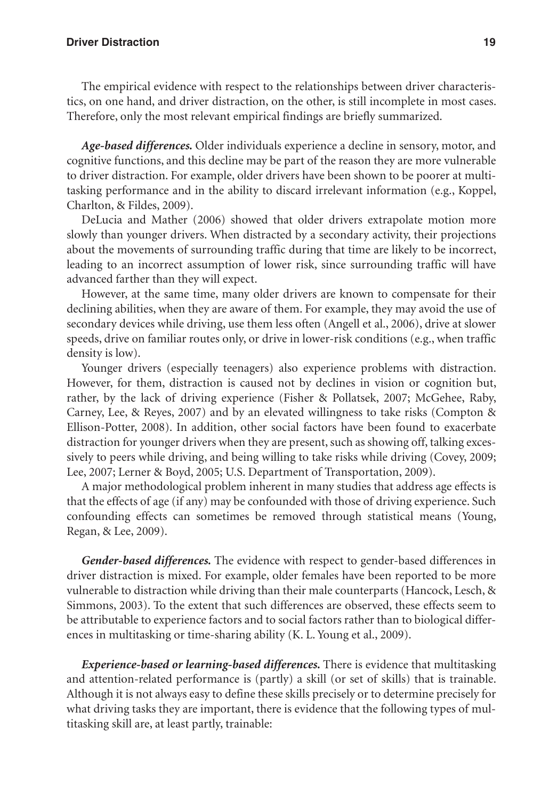#### **Driver Distraction 19**

The empirical evidence with respect to the relationships between driver characteristics, on one hand, and driver distraction, on the other, is still incomplete in most cases. Therefore, only the most relevant empirical findings are briefly summarized.

*Age-based differences.* Older individuals experience a decline in sensory, motor, and cognitive functions, and this decline may be part of the reason they are more vulnerable to driver distraction. For example, older drivers have been shown to be poorer at multitasking performance and in the ability to discard irrelevant information (e.g., Koppel, Charlton, & Fildes, 2009).

DeLucia and Mather (2006) showed that older drivers extrapolate motion more slowly than younger drivers. When distracted by a secondary activity, their projections about the movements of surrounding traffic during that time are likely to be incorrect, leading to an incorrect assumption of lower risk, since surrounding traffic will have advanced farther than they will expect.

However, at the same time, many older drivers are known to compensate for their declining abilities, when they are aware of them. For example, they may avoid the use of secondary devices while driving, use them less often (Angell et al., 2006), drive at slower speeds, drive on familiar routes only, or drive in lower-risk conditions (e.g., when traffic density is low).

Younger drivers (especially teenagers) also experience problems with distraction. However, for them, distraction is caused not by declines in vision or cognition but, rather, by the lack of driving experience (Fisher & Pollatsek, 2007; McGehee, Raby, Carney, Lee, & Reyes, 2007) and by an elevated willingness to take risks (Compton & Ellison-Potter, 2008). In addition, other social factors have been found to exacerbate distraction for younger drivers when they are present, such as showing off, talking excessively to peers while driving, and being willing to take risks while driving (Covey, 2009; Lee, 2007; Lerner & Boyd, 2005; U.S. Department of Transportation, 2009).

A major methodological problem inherent in many studies that address age effects is that the effects of age (if any) may be confounded with those of driving experience. Such confounding effects can sometimes be removed through statistical means (Young, Regan, & Lee, 2009).

*Gender-based differences.* The evidence with respect to gender-based differences in driver distraction is mixed. For example, older females have been reported to be more vulnerable to distraction while driving than their male counterparts (Hancock, Lesch, & Simmons, 2003). To the extent that such differences are observed, these effects seem to be attributable to experience factors and to social factors rather than to biological differences in multitasking or time-sharing ability (K. L. Young et al., 2009).

*Experience-based or learning-based differences.* There is evidence that multitasking and attention-related performance is (partly) a skill (or set of skills) that is trainable. Although it is not always easy to define these skills precisely or to determine precisely for what driving tasks they are important, there is evidence that the following types of multitasking skill are, at least partly, trainable: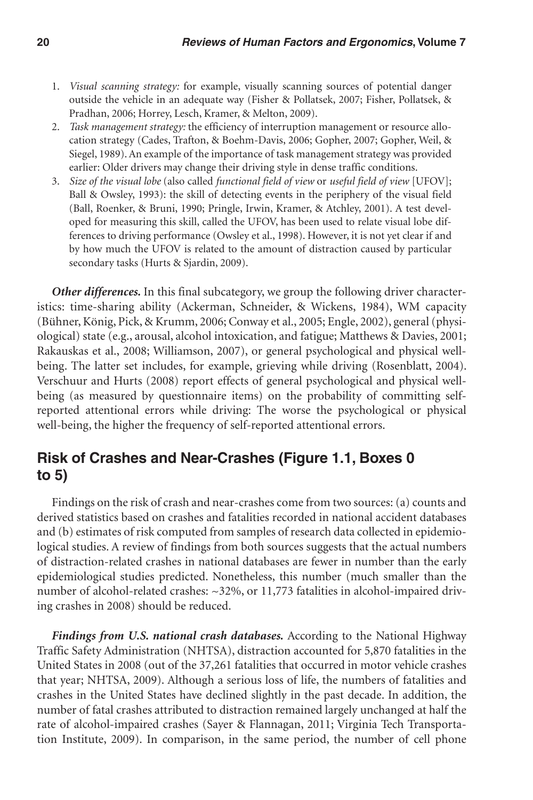- 1. *Visual scanning strategy:* for example, visually scanning sources of potential danger outside the vehicle in an adequate way (Fisher & Pollatsek, 2007; Fisher, Pollatsek, & Pradhan, 2006; Horrey, Lesch, Kramer, & Melton, 2009).
- 2. *Task management strategy:* the efficiency of interruption management or resource allocation strategy (Cades, Trafton, & Boehm-Davis, 2006; Gopher, 2007; Gopher, Weil, & Siegel, 1989). An example of the importance of task management strategy was provided earlier: Older drivers may change their driving style in dense traffic conditions.
- 3. *Size of the visual lobe* (also called *functional field of view* or *useful field of view* [UFOV]; Ball & Owsley, 1993): the skill of detecting events in the periphery of the visual field (Ball, Roenker, & Bruni, 1990; Pringle, Irwin, Kramer, & Atchley, 2001). A test developed for measuring this skill, called the UFOV, has been used to relate visual lobe differences to driving performance (Owsley et al., 1998). However, it is not yet clear if and by how much the UFOV is related to the amount of distraction caused by particular secondary tasks (Hurts & Sjardin, 2009).

*Other differences.* In this final subcategory, we group the following driver characteristics: time-sharing ability (Ackerman, Schneider, & Wickens, 1984), WM capacity (Bühner, König, Pick, & Krumm, 2006; Conway et al., 2005; Engle, 2002), general (physiological) state (e.g., arousal, alcohol intoxication, and fatigue; Matthews & Davies, 2001; Rakauskas et al., 2008; Williamson, 2007), or general psychological and physical wellbeing. The latter set includes, for example, grieving while driving (Rosenblatt, 2004). Verschuur and Hurts (2008) report effects of general psychological and physical wellbeing (as measured by questionnaire items) on the probability of committing selfreported attentional errors while driving: The worse the psychological or physical well-being, the higher the frequency of self-reported attentional errors.

# **Risk of Crashes and Near-Crashes (Figure 1.1, Boxes 0 to 5)**

Findings on the risk of crash and near-crashes come from two sources: (a) counts and derived statistics based on crashes and fatalities recorded in national accident databases and (b) estimates of risk computed from samples of research data collected in epidemiological studies. A review of findings from both sources suggests that the actual numbers of distraction-related crashes in national databases are fewer in number than the early epidemiological studies predicted. Nonetheless, this number (much smaller than the number of alcohol-related crashes: ~32%, or 11,773 fatalities in alcohol-impaired driving crashes in 2008) should be reduced.

Findings from U.S. national crash databases. According to the National Highway Traffic Safety Administration (NHTSA), distraction accounted for 5,870 fatalities in the United States in 2008 (out of the 37,261 fatalities that occurred in motor vehicle crashes that year; NHTSA, 2009). Although a serious loss of life, the numbers of fatalities and crashes in the United States have declined slightly in the past decade. In addition, the number of fatal crashes attributed to distraction remained largely unchanged at half the rate of alcohol-impaired crashes (Sayer & Flannagan, 2011; Virginia Tech Transportation Institute, 2009). In comparison, in the same period, the number of cell phone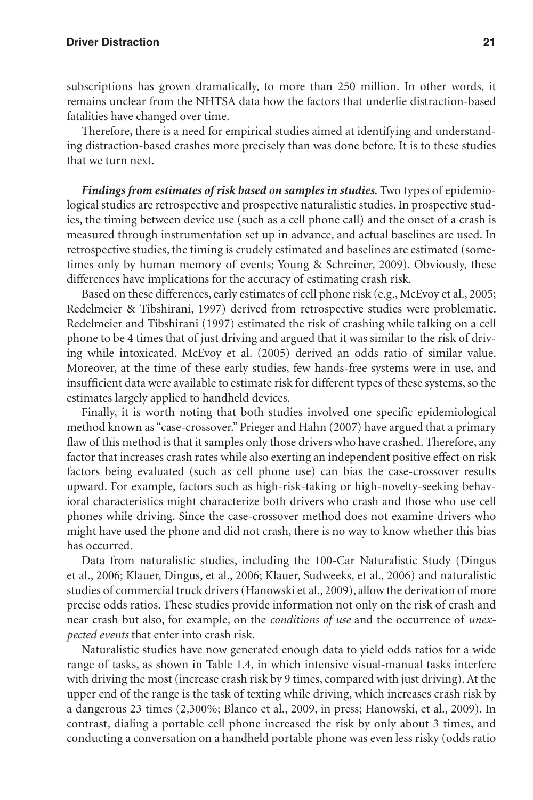subscriptions has grown dramatically, to more than 250 million. In other words, it remains unclear from the NHTSA data how the factors that underlie distraction-based fatalities have changed over time.

Therefore, there is a need for empirical studies aimed at identifying and understanding distraction-based crashes more precisely than was done before. It is to these studies that we turn next.

*Findings from estimates of risk based on samples in studies.* Two types of epidemiological studies are retrospective and prospective naturalistic studies. In prospective studies, the timing between device use (such as a cell phone call) and the onset of a crash is measured through instrumentation set up in advance, and actual baselines are used. In retrospective studies, the timing is crudely estimated and baselines are estimated (sometimes only by human memory of events; Young & Schreiner, 2009). Obviously, these differences have implications for the accuracy of estimating crash risk.

Based on these differences, early estimates of cell phone risk (e.g., McEvoy et al., 2005; Redelmeier & Tibshirani, 1997) derived from retrospective studies were problematic. Redelmeier and Tibshirani (1997) estimated the risk of crashing while talking on a cell phone to be 4 times that of just driving and argued that it was similar to the risk of driving while intoxicated. McEvoy et al. (2005) derived an odds ratio of similar value. Moreover, at the time of these early studies, few hands-free systems were in use, and insufficient data were available to estimate risk for different types of these systems, so the estimates largely applied to handheld devices.

Finally, it is worth noting that both studies involved one specific epidemiological method known as "case-crossover." Prieger and Hahn (2007) have argued that a primary flaw of this method is that it samples only those drivers who have crashed. Therefore, any factor that increases crash rates while also exerting an independent positive effect on risk factors being evaluated (such as cell phone use) can bias the case-crossover results upward. For example, factors such as high-risk-taking or high-novelty-seeking behavioral characteristics might characterize both drivers who crash and those who use cell phones while driving. Since the case-crossover method does not examine drivers who might have used the phone and did not crash, there is no way to know whether this bias has occurred.

Data from naturalistic studies, including the 100-Car Naturalistic Study (Dingus et al., 2006; Klauer, Dingus, et al., 2006; Klauer, Sudweeks, et al., 2006) and naturalistic studies of commercial truck drivers (Hanowski et al., 2009), allow the derivation of more precise odds ratios. These studies provide information not only on the risk of crash and near crash but also, for example, on the *conditions of use* and the occurrence of *unexpected events* that enter into crash risk.

Naturalistic studies have now generated enough data to yield odds ratios for a wide range of tasks, as shown in Table 1.4, in which intensive visual-manual tasks interfere with driving the most (increase crash risk by 9 times, compared with just driving). At the upper end of the range is the task of texting while driving, which increases crash risk by a dangerous 23 times (2,300%; Blanco et al., 2009, in press; Hanowski, et al., 2009). In contrast, dialing a portable cell phone increased the risk by only about 3 times, and conducting a conversation on a handheld portable phone was even less risky (odds ratio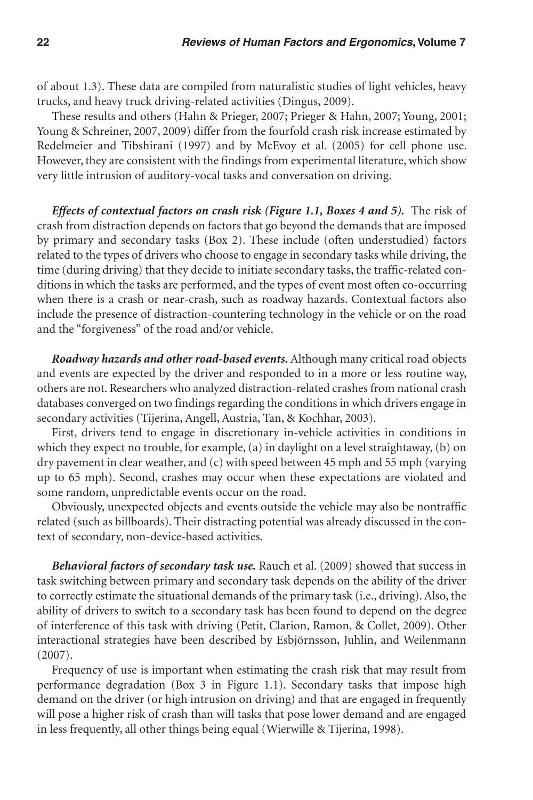of about 1.3). These data are compiled from naturalistic studies of light vehicles, heavy trucks, and heavy truck driving-related activities (Dingus, 2009).

These results and others (Hahn & Prieger, 2007; Prieger & Hahn, 2007; Young, 2001; Young & Schreiner, 2007, 2009) differ from the fourfold crash risk increase estimated by Redelmeier and Tibshirani (1997) and by McEvoy et al. (2005) for cell phone use. However, they are consistent with the findings from experimental literature, which show very little intrusion of auditory-vocal tasks and conversation on driving.

*Effects of contextual factors on crash risk (Figure 1.1, Boxes 4 and 5).* **The risk of** crash from distraction depends on factors that go beyond the demands that are imposed by primary and secondary tasks (Box 2). These include (often understudied) factors related to the types of drivers who choose to engage in secondary tasks while driving, the time (during driving) that they decide to initiate secondary tasks, the traffic-related conditions in which the tasks are performed, and the types of event most often co-occurring when there is a crash or near-crash, such as roadway hazards. Contextual factors also include the presence of distraction-countering technology in the vehicle or on the road and the "forgiveness" of the road and/or vehicle.

*Roadway hazards and other road-based events.* Although many critical road objects and events are expected by the driver and responded to in a more or less routine way, others are not. Researchers who analyzed distraction-related crashes from national crash databases converged on two findings regarding the conditions in which drivers engage in secondary activities (Tijerina, Angell, Austria, Tan, & Kochhar, 2003).

First, drivers tend to engage in discretionary in-vehicle activities in conditions in which they expect no trouble, for example, (a) in daylight on a level straightaway, (b) on dry pavement in clear weather, and (c) with speed between 45 mph and 55 mph (varying up to 65 mph). Second, crashes may occur when these expectations are violated and some random, unpredictable events occur on the road.

Obviously, unexpected objects and events outside the vehicle may also be nontraffic related (such as billboards). Their distracting potential was already discussed in the context of secondary, non-device-based activities.

*Behavioral factors of secondary task use.* Rauch et al. (2009) showed that success in task switching between primary and secondary task depends on the ability of the driver to correctly estimate the situational demands of the primary task (i.e., driving). Also, the ability of drivers to switch to a secondary task has been found to depend on the degree of interference of this task with driving (Petit, Clarion, Ramon, & Collet, 2009). Other interactional strategies have been described by Esbjörnsson, Juhlin, and Weilenmann (2007).

Frequency of use is important when estimating the crash risk that may result from performance degradation (Box 3 in Figure 1.1). Secondary tasks that impose high demand on the driver (or high intrusion on driving) and that are engaged in frequently will pose a higher risk of crash than will tasks that pose lower demand and are engaged in less frequently, all other things being equal (Wierwille & Tijerina, 1998).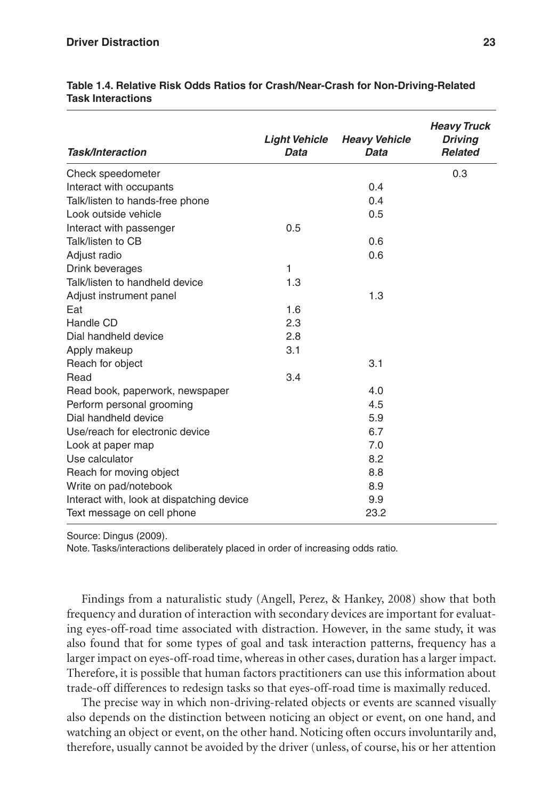| <b>Task/Interaction</b>                   | <b>Light Vehicle</b><br>Data | <b>Heavy Vehicle</b><br>Data | <b>Heavy Truck</b><br><b>Driving</b><br><b>Related</b> |
|-------------------------------------------|------------------------------|------------------------------|--------------------------------------------------------|
| Check speedometer                         |                              |                              | 0.3                                                    |
| Interact with occupants                   |                              | 0.4                          |                                                        |
| Talk/listen to hands-free phone           |                              | 0.4                          |                                                        |
| Look outside vehicle                      |                              | 0.5                          |                                                        |
| Interact with passenger                   | 0.5                          |                              |                                                        |
| Talk/listen to CB                         |                              | 0.6                          |                                                        |
| Adjust radio                              |                              | 0.6                          |                                                        |
| Drink beverages                           | 1                            |                              |                                                        |
| Talk/listen to handheld device            | 1.3                          |                              |                                                        |
| Adjust instrument panel                   |                              | 1.3                          |                                                        |
| Eat                                       | 1.6                          |                              |                                                        |
| Handle CD                                 | 2.3                          |                              |                                                        |
| Dial handheld device                      | 2.8                          |                              |                                                        |
| Apply makeup                              | 3.1                          |                              |                                                        |
| Reach for object                          |                              | 3.1                          |                                                        |
| Read                                      | 3.4                          |                              |                                                        |
| Read book, paperwork, newspaper           |                              | 4.0                          |                                                        |
| Perform personal grooming                 |                              | 4.5                          |                                                        |
| Dial handheld device                      |                              | 5.9                          |                                                        |
| Use/reach for electronic device           |                              | 6.7                          |                                                        |
| Look at paper map                         |                              | 7.0                          |                                                        |
| Use calculator                            |                              | 8.2                          |                                                        |
| Reach for moving object                   |                              | 8.8                          |                                                        |
| Write on pad/notebook                     |                              | 8.9                          |                                                        |
| Interact with, look at dispatching device |                              | 9.9                          |                                                        |
| Text message on cell phone                |                              | 23.2                         |                                                        |

**Table 1.4. Relative Risk Odds Ratios for Crash/Near-Crash for Non-Driving-Related Task Interactions**

Source: Dingus (2009).

Note. Tasks/interactions deliberately placed in order of increasing odds ratio.

Findings from a naturalistic study (Angell, Perez, & Hankey, 2008) show that both frequency and duration of interaction with secondary devices are important for evaluating eyes-off-road time associated with distraction. However, in the same study, it was also found that for some types of goal and task interaction patterns, frequency has a larger impact on eyes-off-road time, whereas in other cases, duration has a larger impact. Therefore, it is possible that human factors practitioners can use this information about trade-off differences to redesign tasks so that eyes-off-road time is maximally reduced.

The precise way in which non-driving-related objects or events are scanned visually also depends on the distinction between noticing an object or event, on one hand, and watching an object or event, on the other hand. Noticing often occurs involuntarily and, therefore, usually cannot be avoided by the driver (unless, of course, his or her attention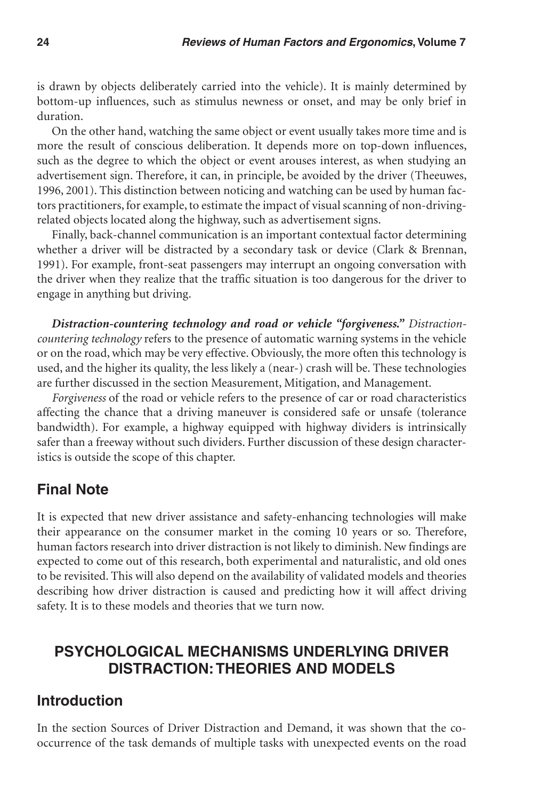is drawn by objects deliberately carried into the vehicle). It is mainly determined by bottom-up influences, such as stimulus newness or onset, and may be only brief in duration.

On the other hand, watching the same object or event usually takes more time and is more the result of conscious deliberation. It depends more on top-down influences, such as the degree to which the object or event arouses interest, as when studying an advertisement sign. Therefore, it can, in principle, be avoided by the driver (Theeuwes, 1996, 2001). This distinction between noticing and watching can be used by human factors practitioners, for example, to estimate the impact of visual scanning of non-drivingrelated objects located along the highway, such as advertisement signs.

Finally, back-channel communication is an important contextual factor determining whether a driver will be distracted by a secondary task or device (Clark & Brennan, 1991). For example, front-seat passengers may interrupt an ongoing conversation with the driver when they realize that the traffic situation is too dangerous for the driver to engage in anything but driving.

*Distraction-countering technology and road or vehicle "forgiveness." Distractioncountering technology* refers to the presence of automatic warning systems in the vehicle or on the road, which may be very effective. Obviously, the more often this technology is used, and the higher its quality, the less likely a (near-) crash will be. These technologies are further discussed in the section Measurement, Mitigation, and Management.

*Forgiveness* of the road or vehicle refers to the presence of car or road characteristics affecting the chance that a driving maneuver is considered safe or unsafe (tolerance bandwidth). For example, a highway equipped with highway dividers is intrinsically safer than a freeway without such dividers. Further discussion of these design characteristics is outside the scope of this chapter.

## **Final Note**

It is expected that new driver assistance and safety-enhancing technologies will make their appearance on the consumer market in the coming 10 years or so. Therefore, human factors research into driver distraction is not likely to diminish. New findings are expected to come out of this research, both experimental and naturalistic, and old ones to be revisited. This will also depend on the availability of validated models and theories describing how driver distraction is caused and predicting how it will affect driving safety. It is to these models and theories that we turn now.

# **Psychological Mechanisms Underlying Driver Distraction: Theories and Models**

## **Introduction**

In the section Sources of Driver Distraction and Demand, it was shown that the cooccurrence of the task demands of multiple tasks with unexpected events on the road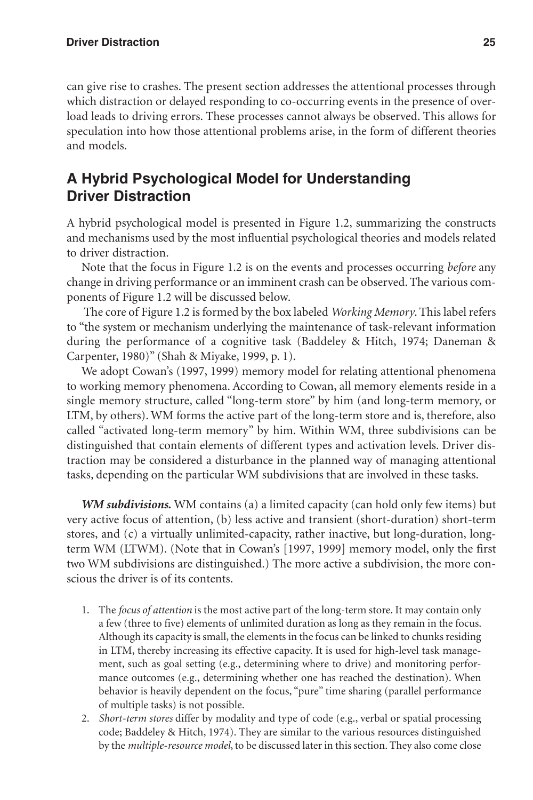can give rise to crashes. The present section addresses the attentional processes through which distraction or delayed responding to co-occurring events in the presence of overload leads to driving errors. These processes cannot always be observed. This allows for speculation into how those attentional problems arise, in the form of different theories and models.

# **A Hybrid Psychological Model for Understanding Driver Distraction**

A hybrid psychological model is presented in Figure 1.2, summarizing the constructs and mechanisms used by the most influential psychological theories and models related to driver distraction.

Note that the focus in Figure 1.2 is on the events and processes occurring *before* any change in driving performance or an imminent crash can be observed. The various components of Figure 1.2 will be discussed below.

 The core of Figure 1.2 is formed by the box labeled *Working Memory*. This label refers to "the system or mechanism underlying the maintenance of task-relevant information during the performance of a cognitive task (Baddeley & Hitch, 1974; Daneman & Carpenter, 1980)" (Shah & Miyake, 1999, p. 1).

We adopt Cowan's (1997, 1999) memory model for relating attentional phenomena to working memory phenomena. According to Cowan, all memory elements reside in a single memory structure, called "long-term store" by him (and long-term memory, or LTM, by others). WM forms the active part of the long-term store and is, therefore, also called "activated long-term memory" by him. Within WM, three subdivisions can be distinguished that contain elements of different types and activation levels. Driver distraction may be considered a disturbance in the planned way of managing attentional tasks, depending on the particular WM subdivisions that are involved in these tasks.

*WM subdivisions.* WM contains (a) a limited capacity (can hold only few items) but very active focus of attention, (b) less active and transient (short-duration) short-term stores, and (c) a virtually unlimited-capacity, rather inactive, but long-duration, longterm WM (LTWM). (Note that in Cowan's [1997, 1999] memory model, only the first two WM subdivisions are distinguished.) The more active a subdivision, the more conscious the driver is of its contents.

- 1. The *focus of attention* is the most active part of the long-term store. It may contain only a few (three to five) elements of unlimited duration as long as they remain in the focus. Although its capacity is small, the elements in the focus can be linked to chunks residing in LTM, thereby increasing its effective capacity. It is used for high-level task management, such as goal setting (e.g., determining where to drive) and monitoring performance outcomes (e.g., determining whether one has reached the destination). When behavior is heavily dependent on the focus, "pure" time sharing (parallel performance of multiple tasks) is not possible.
- 2. *Short-term stores* differ by modality and type of code (e.g., verbal or spatial processing code; Baddeley & Hitch, 1974). They are similar to the various resources distinguished by the *multiple-resource model*, to be discussed later in this section. They also come close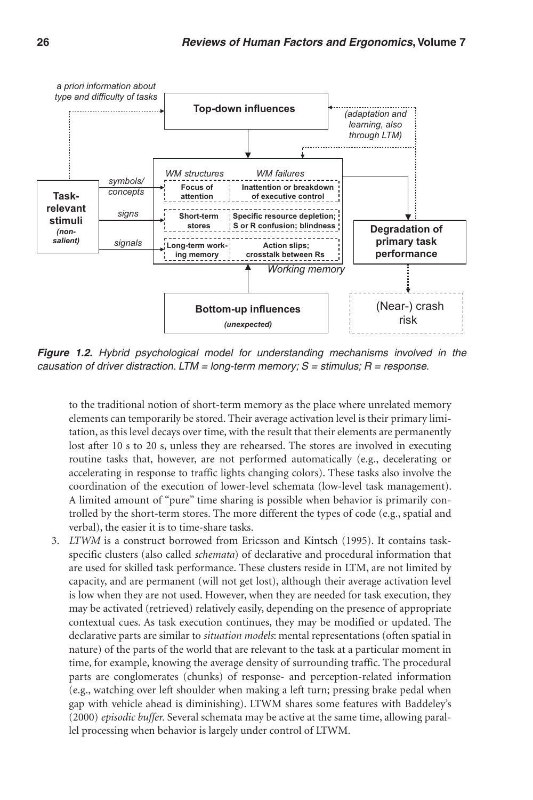

*Figure 1.2. Hybrid psychological model for understanding mechanisms involved in the causation of driver distraction. LTM = long-term memory; S = stimulus; R = response.*

to the traditional notion of short-term memory as the place where unrelated memory elements can temporarily be stored. Their average activation level is their primary limitation, as this level decays over time, with the result that their elements are permanently lost after 10 s to 20 s, unless they are rehearsed. The stores are involved in executing routine tasks that, however, are not performed automatically (e.g., decelerating or accelerating in response to traffic lights changing colors). These tasks also involve the coordination of the execution of lower-level schemata (low-level task management). A limited amount of "pure" time sharing is possible when behavior is primarily controlled by the short-term stores. The more different the types of code (e.g., spatial and verbal), the easier it is to time-share tasks.

3. *LTWM* is a construct borrowed from Ericsson and Kintsch (1995). It contains taskspecific clusters (also called *schemata*) of declarative and procedural information that are used for skilled task performance. These clusters reside in LTM, are not limited by capacity, and are permanent (will not get lost), although their average activation level is low when they are not used. However, when they are needed for task execution, they may be activated (retrieved) relatively easily, depending on the presence of appropriate contextual cues. As task execution continues, they may be modified or updated. The declarative parts are similar to *situation models*: mental representations (often spatial in nature) of the parts of the world that are relevant to the task at a particular moment in time, for example, knowing the average density of surrounding traffic. The procedural parts are conglomerates (chunks) of response- and perception-related information (e.g., watching over left shoulder when making a left turn; pressing brake pedal when gap with vehicle ahead is diminishing). LTWM shares some features with Baddeley's (2000) *episodic buffer.* Several schemata may be active at the same time, allowing parallel processing when behavior is largely under control of LTWM.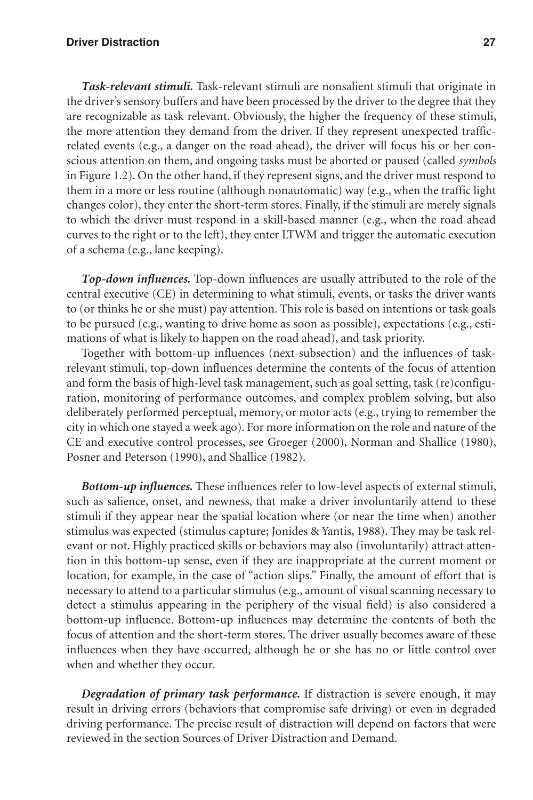#### **Driver Distraction 27**

*Task-relevant stimuli.* Task-relevant stimuli are nonsalient stimuli that originate in the driver's sensory buffers and have been processed by the driver to the degree that they are recognizable as task relevant. Obviously, the higher the frequency of these stimuli, the more attention they demand from the driver. If they represent unexpected trafficrelated events (e.g., a danger on the road ahead), the driver will focus his or her conscious attention on them, and ongoing tasks must be aborted or paused (called *symbols* in Figure 1.2). On the other hand, if they represent signs, and the driver must respond to them in a more or less routine (although nonautomatic) way (e.g., when the traffic light changes color), they enter the short-term stores. Finally, if the stimuli are merely signals to which the driver must respond in a skill-based manner (e.g., when the road ahead curves to the right or to the left), they enter LTWM and trigger the automatic execution of a schema (e.g., lane keeping).

*Top-down influences.* Top-down influences are usually attributed to the role of the central executive (CE) in determining to what stimuli, events, or tasks the driver wants to (or thinks he or she must) pay attention. This role is based on intentions or task goals to be pursued (e.g., wanting to drive home as soon as possible), expectations (e.g., estimations of what is likely to happen on the road ahead), and task priority.

Together with bottom-up influences (next subsection) and the influences of taskrelevant stimuli, top-down influences determine the contents of the focus of attention and form the basis of high-level task management, such as goal setting, task (re)configuration, monitoring of performance outcomes, and complex problem solving, but also deliberately performed perceptual, memory, or motor acts (e.g., trying to remember the city in which one stayed a week ago). For more information on the role and nature of the CE and executive control processes, see Groeger (2000), Norman and Shallice (1980), Posner and Peterson (1990), and Shallice (1982).

*Bottom-up influences.* These influences refer to low-level aspects of external stimuli, such as salience, onset, and newness, that make a driver involuntarily attend to these stimuli if they appear near the spatial location where (or near the time when) another stimulus was expected (stimulus capture; Jonides & Yantis, 1988). They may be task relevant or not. Highly practiced skills or behaviors may also (involuntarily) attract attention in this bottom-up sense, even if they are inappropriate at the current moment or location, for example, in the case of "action slips." Finally, the amount of effort that is necessary to attend to a particular stimulus (e.g., amount of visual scanning necessary to detect a stimulus appearing in the periphery of the visual field) is also considered a bottom-up influence. Bottom-up influences may determine the contents of both the focus of attention and the short-term stores. The driver usually becomes aware of these influences when they have occurred, although he or she has no or little control over when and whether they occur.

*Degradation of primary task performance.* If distraction is severe enough, it may result in driving errors (behaviors that compromise safe driving) or even in degraded driving performance. The precise result of distraction will depend on factors that were reviewed in the section Sources of Driver Distraction and Demand.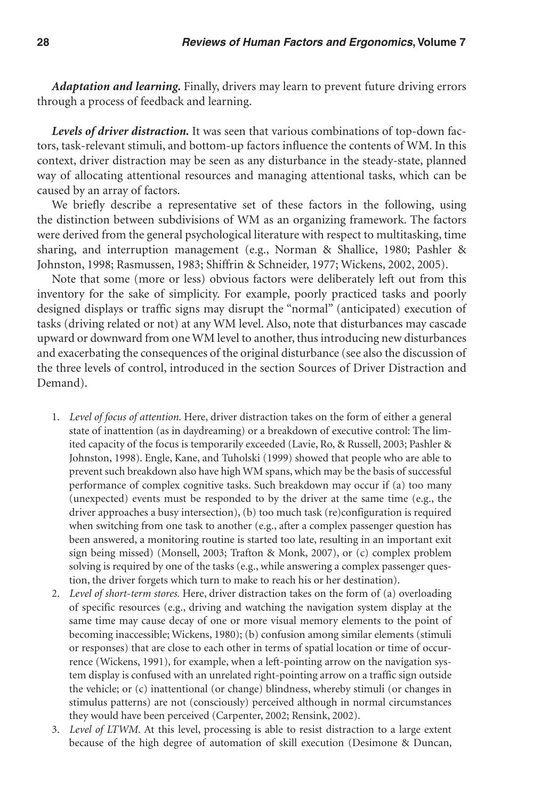*Adaptation and learning.* Finally, drivers may learn to prevent future driving errors through a process of feedback and learning.

*Levels of driver distraction.* It was seen that various combinations of top-down factors, task-relevant stimuli, and bottom-up factors influence the contents of WM. In this context, driver distraction may be seen as any disturbance in the steady-state, planned way of allocating attentional resources and managing attentional tasks, which can be caused by an array of factors.

We briefly describe a representative set of these factors in the following, using the distinction between subdivisions of WM as an organizing framework. The factors were derived from the general psychological literature with respect to multitasking, time sharing, and interruption management (e.g., Norman & Shallice, 1980; Pashler & Johnston, 1998; Rasmussen, 1983; Shiffrin & Schneider, 1977; Wickens, 2002, 2005).

Note that some (more or less) obvious factors were deliberately left out from this inventory for the sake of simplicity. For example, poorly practiced tasks and poorly designed displays or traffic signs may disrupt the "normal" (anticipated) execution of tasks (driving related or not) at any WM level. Also, note that disturbances may cascade upward or downward from one WM level to another, thus introducing new disturbances and exacerbating the consequences of the original disturbance (see also the discussion of the three levels of control, introduced in the section Sources of Driver Distraction and Demand).

- 1. *Level of focus of attention.* Here, driver distraction takes on the form of either a general state of inattention (as in daydreaming) or a breakdown of executive control: The limited capacity of the focus is temporarily exceeded (Lavie, Ro, & Russell, 2003; Pashler & Johnston, 1998). Engle, Kane, and Tuholski (1999) showed that people who are able to prevent such breakdown also have high WM spans, which may be the basis of successful performance of complex cognitive tasks. Such breakdown may occur if (a) too many (unexpected) events must be responded to by the driver at the same time (e.g., the driver approaches a busy intersection), (b) too much task (re)configuration is required when switching from one task to another (e.g., after a complex passenger question has been answered, a monitoring routine is started too late, resulting in an important exit sign being missed) (Monsell, 2003; Trafton & Monk, 2007), or (c) complex problem solving is required by one of the tasks (e.g., while answering a complex passenger question, the driver forgets which turn to make to reach his or her destination).
- 2. *Level of short-term stores.* Here, driver distraction takes on the form of (a) overloading of specific resources (e.g., driving and watching the navigation system display at the same time may cause decay of one or more visual memory elements to the point of becoming inaccessible; Wickens, 1980); (b) confusion among similar elements (stimuli or responses) that are close to each other in terms of spatial location or time of occurrence (Wickens, 1991), for example, when a left-pointing arrow on the navigation system display is confused with an unrelated right-pointing arrow on a traffic sign outside the vehicle; or (c) inattentional (or change) blindness, whereby stimuli (or changes in stimulus patterns) are not (consciously) perceived although in normal circumstances they would have been perceived (Carpenter, 2002; Rensink, 2002).
- 3. *Level of LTWM.* At this level, processing is able to resist distraction to a large extent because of the high degree of automation of skill execution (Desimone & Duncan,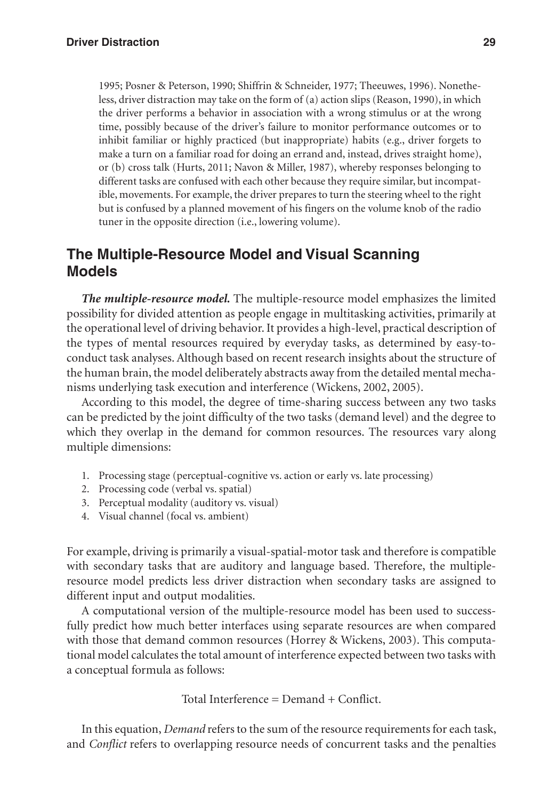1995; Posner & Peterson, 1990; Shiffrin & Schneider, 1977; Theeuwes, 1996). Nonetheless, driver distraction may take on the form of (a) action slips (Reason, 1990), in which the driver performs a behavior in association with a wrong stimulus or at the wrong time, possibly because of the driver's failure to monitor performance outcomes or to inhibit familiar or highly practiced (but inappropriate) habits (e.g., driver forgets to make a turn on a familiar road for doing an errand and, instead, drives straight home), or (b) cross talk (Hurts, 2011; Navon & Miller, 1987), whereby responses belonging to different tasks are confused with each other because they require similar, but incompatible, movements. For example, the driver prepares to turn the steering wheel to the right but is confused by a planned movement of his fingers on the volume knob of the radio tuner in the opposite direction (i.e., lowering volume).

# **The Multiple-Resource Model and Visual Scanning Models**

*The multiple-resource model.* The multiple-resource model emphasizes the limited possibility for divided attention as people engage in multitasking activities, primarily at the operational level of driving behavior. It provides a high-level, practical description of the types of mental resources required by everyday tasks, as determined by easy-toconduct task analyses. Although based on recent research insights about the structure of the human brain, the model deliberately abstracts away from the detailed mental mechanisms underlying task execution and interference (Wickens, 2002, 2005).

According to this model, the degree of time-sharing success between any two tasks can be predicted by the joint difficulty of the two tasks (demand level) and the degree to which they overlap in the demand for common resources. The resources vary along multiple dimensions:

- 1. Processing stage (perceptual-cognitive vs. action or early vs. late processing)
- 2. Processing code (verbal vs. spatial)
- 3. Perceptual modality (auditory vs. visual)
- 4. Visual channel (focal vs. ambient)

For example, driving is primarily a visual-spatial-motor task and therefore is compatible with secondary tasks that are auditory and language based. Therefore, the multipleresource model predicts less driver distraction when secondary tasks are assigned to different input and output modalities.

A computational version of the multiple-resource model has been used to successfully predict how much better interfaces using separate resources are when compared with those that demand common resources (Horrey & Wickens, 2003). This computational model calculates the total amount of interference expected between two tasks with a conceptual formula as follows:

Total Interference = Demand + Conflict.

In this equation, *Demand* refers to the sum of the resource requirements for each task, and *Conflict* refers to overlapping resource needs of concurrent tasks and the penalties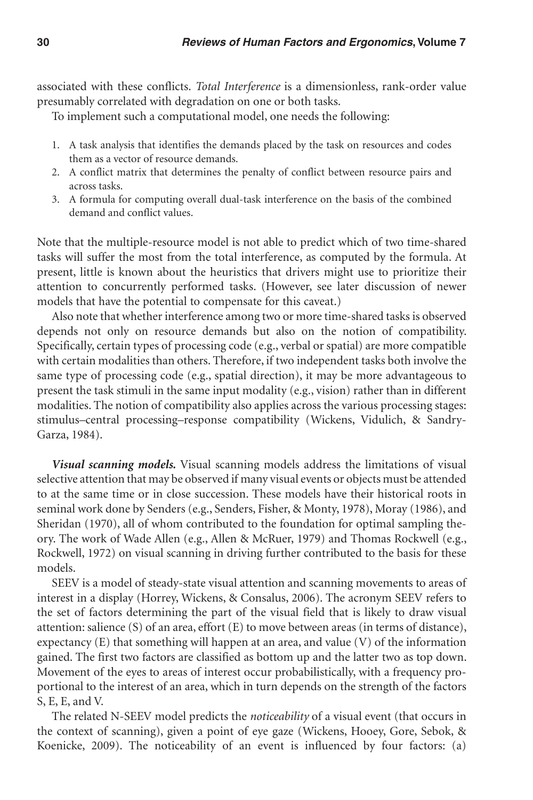associated with these conflicts. *Total Interference* is a dimensionless, rank-order value presumably correlated with degradation on one or both tasks.

To implement such a computational model, one needs the following:

- 1. A task analysis that identifies the demands placed by the task on resources and codes them as a vector of resource demands.
- 2. A conflict matrix that determines the penalty of conflict between resource pairs and across tasks.
- 3. A formula for computing overall dual-task interference on the basis of the combined demand and conflict values.

Note that the multiple-resource model is not able to predict which of two time-shared tasks will suffer the most from the total interference, as computed by the formula. At present, little is known about the heuristics that drivers might use to prioritize their attention to concurrently performed tasks. (However, see later discussion of newer models that have the potential to compensate for this caveat.)

Also note that whether interference among two or more time-shared tasks is observed depends not only on resource demands but also on the notion of compatibility. Specifically, certain types of processing code (e.g., verbal or spatial) are more compatible with certain modalities than others. Therefore, if two independent tasks both involve the same type of processing code (e.g., spatial direction), it may be more advantageous to present the task stimuli in the same input modality (e.g., vision) rather than in different modalities. The notion of compatibility also applies across the various processing stages: stimulus–central processing–response compatibility (Wickens, Vidulich, & Sandry-Garza, 1984).

*Visual scanning models.* Visual scanning models address the limitations of visual selective attention that may be observed if many visual events or objects must be attended to at the same time or in close succession. These models have their historical roots in seminal work done by Senders (e.g., Senders, Fisher, & Monty, 1978), Moray (1986), and Sheridan (1970), all of whom contributed to the foundation for optimal sampling theory. The work of Wade Allen (e.g., Allen & McRuer, 1979) and Thomas Rockwell (e.g., Rockwell, 1972) on visual scanning in driving further contributed to the basis for these models.

SEEV is a model of steady-state visual attention and scanning movements to areas of interest in a display (Horrey, Wickens, & Consalus, 2006). The acronym SEEV refers to the set of factors determining the part of the visual field that is likely to draw visual attention: salience (S) of an area, effort (E) to move between areas (in terms of distance), expectancy (E) that something will happen at an area, and value (V) of the information gained. The first two factors are classified as bottom up and the latter two as top down. Movement of the eyes to areas of interest occur probabilistically, with a frequency proportional to the interest of an area, which in turn depends on the strength of the factors S, E, E, and V.

The related N-SEEV model predicts the *noticeability* of a visual event (that occurs in the context of scanning), given a point of eye gaze (Wickens, Hooey, Gore, Sebok, & Koenicke, 2009). The noticeability of an event is influenced by four factors: (a)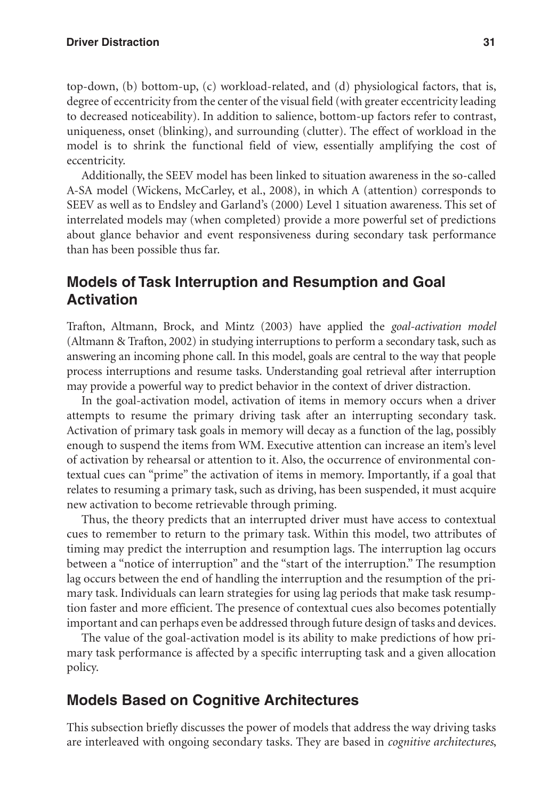top-down, (b) bottom-up, (c) workload-related, and (d) physiological factors, that is, degree of eccentricity from the center of the visual field (with greater eccentricity leading to decreased noticeability). In addition to salience, bottom-up factors refer to contrast, uniqueness, onset (blinking), and surrounding (clutter). The effect of workload in the model is to shrink the functional field of view, essentially amplifying the cost of eccentricity.

Additionally, the SEEV model has been linked to situation awareness in the so-called A-SA model (Wickens, McCarley, et al., 2008), in which A (attention) corresponds to SEEV as well as to Endsley and Garland's (2000) Level 1 situation awareness. This set of interrelated models may (when completed) provide a more powerful set of predictions about glance behavior and event responsiveness during secondary task performance than has been possible thus far.

## **Models of Task Interruption and Resumption and Goal Activation**

Trafton, Altmann, Brock, and Mintz (2003) have applied the *goal-activation model* (Altmann & Trafton, 2002) in studying interruptions to perform a secondary task, such as answering an incoming phone call. In this model, goals are central to the way that people process interruptions and resume tasks. Understanding goal retrieval after interruption may provide a powerful way to predict behavior in the context of driver distraction.

In the goal-activation model, activation of items in memory occurs when a driver attempts to resume the primary driving task after an interrupting secondary task. Activation of primary task goals in memory will decay as a function of the lag, possibly enough to suspend the items from WM. Executive attention can increase an item's level of activation by rehearsal or attention to it. Also, the occurrence of environmental contextual cues can "prime" the activation of items in memory. Importantly, if a goal that relates to resuming a primary task, such as driving, has been suspended, it must acquire new activation to become retrievable through priming.

Thus, the theory predicts that an interrupted driver must have access to contextual cues to remember to return to the primary task. Within this model, two attributes of timing may predict the interruption and resumption lags. The interruption lag occurs between a "notice of interruption" and the "start of the interruption." The resumption lag occurs between the end of handling the interruption and the resumption of the primary task. Individuals can learn strategies for using lag periods that make task resumption faster and more efficient. The presence of contextual cues also becomes potentially important and can perhaps even be addressed through future design of tasks and devices.

The value of the goal-activation model is its ability to make predictions of how primary task performance is affected by a specific interrupting task and a given allocation policy.

## **Models Based on Cognitive Architectures**

This subsection briefly discusses the power of models that address the way driving tasks are interleaved with ongoing secondary tasks. They are based in *cognitive architectures*,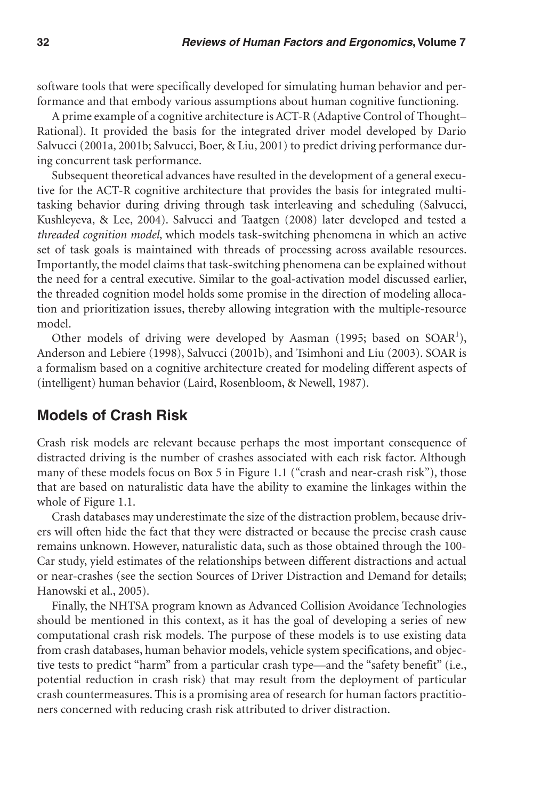software tools that were specifically developed for simulating human behavior and performance and that embody various assumptions about human cognitive functioning.

A prime example of a cognitive architecture is ACT-R (Adaptive Control of Thought– Rational). It provided the basis for the integrated driver model developed by Dario Salvucci (2001a, 2001b; Salvucci, Boer, & Liu, 2001) to predict driving performance during concurrent task performance.

Subsequent theoretical advances have resulted in the development of a general executive for the ACT-R cognitive architecture that provides the basis for integrated multitasking behavior during driving through task interleaving and scheduling (Salvucci, Kushleyeva, & Lee, 2004). Salvucci and Taatgen (2008) later developed and tested a *threaded cognition model*, which models task-switching phenomena in which an active set of task goals is maintained with threads of processing across available resources. Importantly, the model claims that task-switching phenomena can be explained without the need for a central executive. Similar to the goal-activation model discussed earlier, the threaded cognition model holds some promise in the direction of modeling allocation and prioritization issues, thereby allowing integration with the multiple-resource model.

Other models of driving were developed by Aasman (1995; based on SOAR<sup>1</sup>), Anderson and Lebiere (1998), Salvucci (2001b), and Tsimhoni and Liu (2003). SOAR is a formalism based on a cognitive architecture created for modeling different aspects of (intelligent) human behavior (Laird, Rosenbloom, & Newell, 1987).

#### **Models of Crash Risk**

Crash risk models are relevant because perhaps the most important consequence of distracted driving is the number of crashes associated with each risk factor. Although many of these models focus on Box 5 in Figure 1.1 ("crash and near-crash risk"), those that are based on naturalistic data have the ability to examine the linkages within the whole of Figure 1.1.

Crash databases may underestimate the size of the distraction problem, because drivers will often hide the fact that they were distracted or because the precise crash cause remains unknown. However, naturalistic data, such as those obtained through the 100- Car study, yield estimates of the relationships between different distractions and actual or near-crashes (see the section Sources of Driver Distraction and Demand for details; Hanowski et al., 2005).

Finally, the NHTSA program known as Advanced Collision Avoidance Technologies should be mentioned in this context, as it has the goal of developing a series of new computational crash risk models. The purpose of these models is to use existing data from crash databases, human behavior models, vehicle system specifications, and objective tests to predict "harm" from a particular crash type—and the "safety benefit" (i.e., potential reduction in crash risk) that may result from the deployment of particular crash countermeasures. This is a promising area of research for human factors practitioners concerned with reducing crash risk attributed to driver distraction.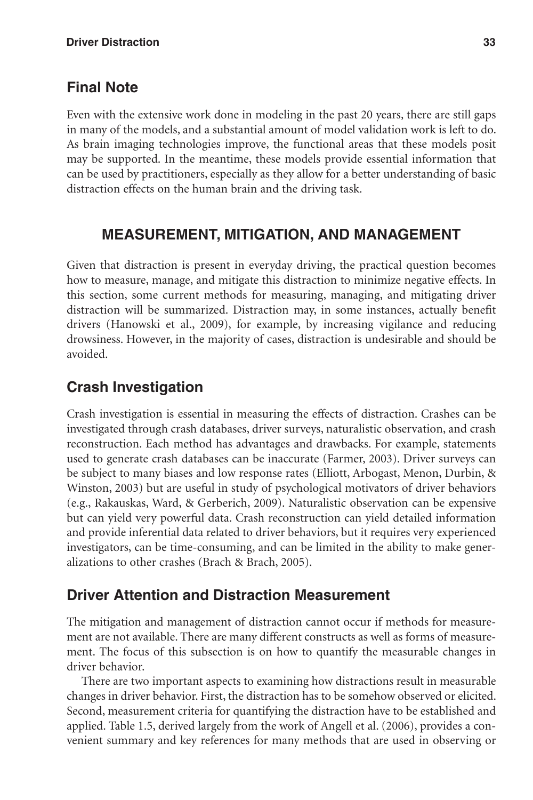# **Final Note**

Even with the extensive work done in modeling in the past 20 years, there are still gaps in many of the models, and a substantial amount of model validation work is left to do. As brain imaging technologies improve, the functional areas that these models posit may be supported. In the meantime, these models provide essential information that can be used by practitioners, especially as they allow for a better understanding of basic distraction effects on the human brain and the driving task.

# **Measurement, Mitigation, and Management**

Given that distraction is present in everyday driving, the practical question becomes how to measure, manage, and mitigate this distraction to minimize negative effects. In this section, some current methods for measuring, managing, and mitigating driver distraction will be summarized. Distraction may, in some instances, actually benefit drivers (Hanowski et al., 2009), for example, by increasing vigilance and reducing drowsiness. However, in the majority of cases, distraction is undesirable and should be avoided.

# **Crash Investigation**

Crash investigation is essential in measuring the effects of distraction. Crashes can be investigated through crash databases, driver surveys, naturalistic observation, and crash reconstruction. Each method has advantages and drawbacks. For example, statements used to generate crash databases can be inaccurate (Farmer, 2003). Driver surveys can be subject to many biases and low response rates (Elliott, Arbogast, Menon, Durbin, & Winston, 2003) but are useful in study of psychological motivators of driver behaviors (e.g., Rakauskas, Ward, & Gerberich, 2009). Naturalistic observation can be expensive but can yield very powerful data. Crash reconstruction can yield detailed information and provide inferential data related to driver behaviors, but it requires very experienced investigators, can be time-consuming, and can be limited in the ability to make generalizations to other crashes (Brach & Brach, 2005).

# **Driver Attention and Distraction Measurement**

The mitigation and management of distraction cannot occur if methods for measurement are not available. There are many different constructs as well as forms of measurement. The focus of this subsection is on how to quantify the measurable changes in driver behavior.

There are two important aspects to examining how distractions result in measurable changes in driver behavior. First, the distraction has to be somehow observed or elicited. Second, measurement criteria for quantifying the distraction have to be established and applied. Table 1.5, derived largely from the work of Angell et al. (2006), provides a convenient summary and key references for many methods that are used in observing or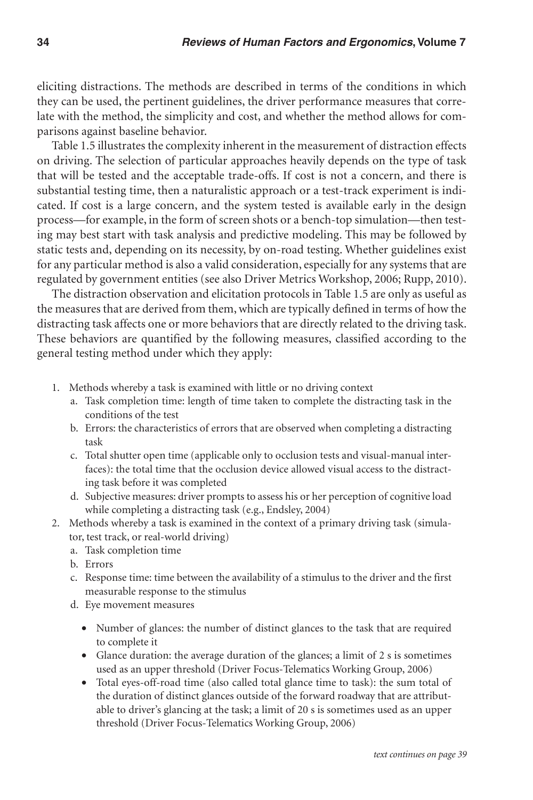eliciting distractions. The methods are described in terms of the conditions in which they can be used, the pertinent guidelines, the driver performance measures that correlate with the method, the simplicity and cost, and whether the method allows for comparisons against baseline behavior.

Table 1.5 illustrates the complexity inherent in the measurement of distraction effects on driving. The selection of particular approaches heavily depends on the type of task that will be tested and the acceptable trade-offs. If cost is not a concern, and there is substantial testing time, then a naturalistic approach or a test-track experiment is indicated. If cost is a large concern, and the system tested is available early in the design process—for example, in the form of screen shots or a bench-top simulation—then testing may best start with task analysis and predictive modeling. This may be followed by static tests and, depending on its necessity, by on-road testing. Whether guidelines exist for any particular method is also a valid consideration, especially for any systems that are regulated by government entities (see also Driver Metrics Workshop, 2006; Rupp, 2010).

The distraction observation and elicitation protocols in Table 1.5 are only as useful as the measures that are derived from them, which are typically defined in terms of how the distracting task affects one or more behaviors that are directly related to the driving task. These behaviors are quantified by the following measures, classified according to the general testing method under which they apply:

- 1. Methods whereby a task is examined with little or no driving context
	- a. Task completion time: length of time taken to complete the distracting task in the conditions of the test
	- b. Errors: the characteristics of errors that are observed when completing a distracting task
	- c. Total shutter open time (applicable only to occlusion tests and visual-manual interfaces): the total time that the occlusion device allowed visual access to the distracting task before it was completed
	- d. Subjective measures: driver prompts to assess his or her perception of cognitive load while completing a distracting task (e.g., Endsley, 2004)
- 2. Methods whereby a task is examined in the context of a primary driving task (simulator, test track, or real-world driving)
	- a. Task completion time
	- b. Errors
	- c. Response time: time between the availability of a stimulus to the driver and the first measurable response to the stimulus
	- d. Eye movement measures
		- Number of glances: the number of distinct glances to the task that are required to complete it
		- Glance duration: the average duration of the glances; a limit of 2 s is sometimes used as an upper threshold (Driver Focus-Telematics Working Group, 2006)
		- Total eyes-off-road time (also called total glance time to task): the sum total of the duration of distinct glances outside of the forward roadway that are attributable to driver's glancing at the task; a limit of 20 s is sometimes used as an upper threshold (Driver Focus-Telematics Working Group, 2006)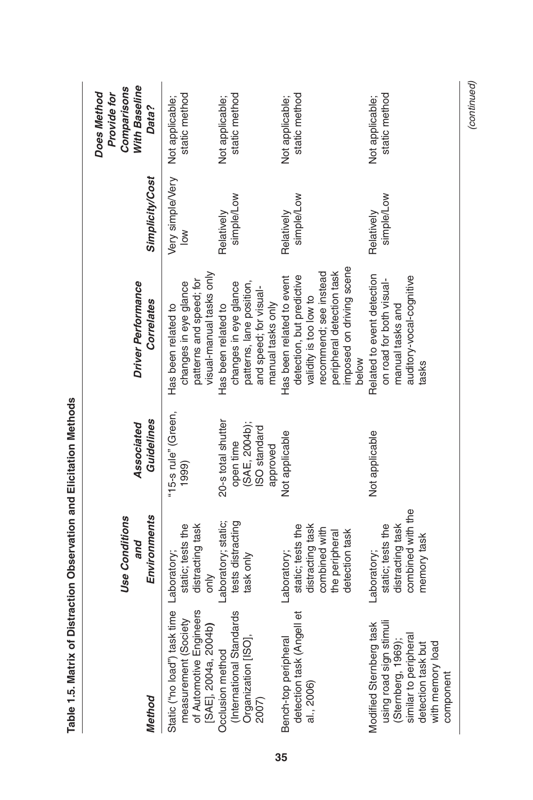| <b>Method</b>                                                                                                                                                         | Environments<br><b>Use Conditions</b><br>and                                                              | Guidelines<br>Associated                                                     | Driver Performance<br>Correlates                                                                                                                                             | <b>Simplicity/Cost</b>     | With Baseline<br>Comparisons<br>Does Method<br>Provide for<br>Data? |
|-----------------------------------------------------------------------------------------------------------------------------------------------------------------------|-----------------------------------------------------------------------------------------------------------|------------------------------------------------------------------------------|------------------------------------------------------------------------------------------------------------------------------------------------------------------------------|----------------------------|---------------------------------------------------------------------|
| Static ("no load") task time Laboratory;<br>measurement (Society<br>of Automotive Engineers<br>[SAE], 2004a, 2004b)<br>Occlusion method L<br>(International Standards | distracting task<br>static; tests the<br>only                                                             | "15-s rule" (Green,<br>1999)                                                 | visual-manual tasks only<br>patterns and speed; for<br>changes in eye glance<br>Has been related to                                                                          | Very simple/Very<br>$\geq$ | static method<br>Not applicable;                                    |
| Organization [ISO]<br>2007)                                                                                                                                           | Laboratory; static;<br>tests distracting<br>task only                                                     | 20-s total shutter<br>(SAE, 2004b);<br>ISO standard<br>open time<br>approved | patterns, lane position,<br>changes in eye glance<br>and speed; for visual-<br>manual tasks only<br>Has been related to                                                      | simple/Low<br>Relatively   | static method<br>Not applicable;                                    |
| pell et<br>Bench-top peripheral<br>detection task (Ang<br>al., 2006)                                                                                                  | static; tests the<br>distracting task<br>combined with<br>the peripheral<br>detection task<br>Laboratory; | Not applicable                                                               | imposed on driving scene<br>peripheral detection task<br>recommend; see instead<br>detection, but predictive<br>Has been related to event<br>validity is too low to<br>below | simple/Low<br>Relatively   | static method<br>Not applicable;                                    |
| using road sign stimuli<br>(Sternberg, 1969);<br>similar to peripheral<br>Modified Sternberg task<br>detection task but<br>with memory load<br>component              | combined with the<br>static; tests the<br>distracting task<br>memory task<br>Laboratory;                  | Not applicable                                                               | Related to event detection<br>auditory-vocal-cognitive<br>on road for both visual-<br>manual tasks and<br>tasks                                                              | simple/Low<br>Relatively   | static method<br>Not applicable;                                    |

Table 1.5. Matrix of Distraction Observation and Elicitation Methods **Table 1.5. Matrix of Distraction Observation and Elicitation Methods**

 $\overline{\phantom{a}}$ 

(continued) *(continued)*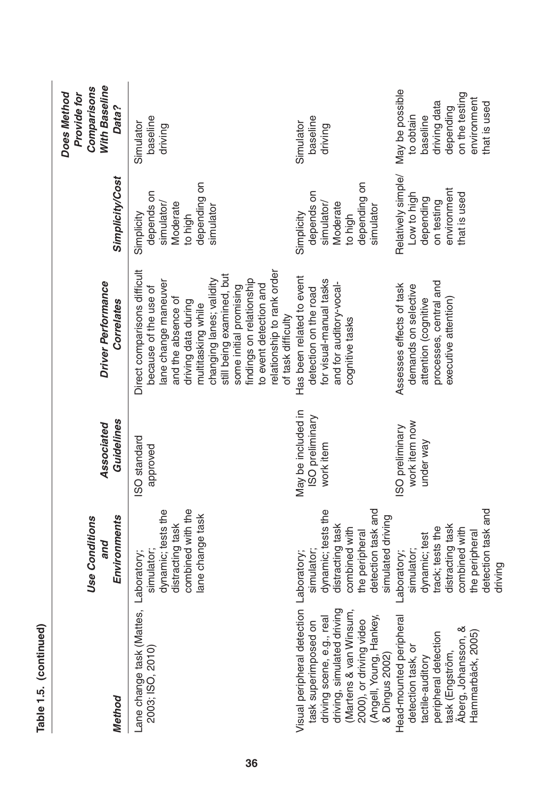| Method                                                                                                                                                                                                                          | Environments<br><b>Use Conditions</b><br>and                                                                                                           | Guidelines<br>Associated                           | Driver Performance<br><b>Correlates</b>                                                                                                                                                                                                                                                                                                       | <b>Simplicity/Cost</b>                                                                      | With Baseline<br>Comparisons<br>Does Method<br>Provide for<br>Data?                                                    |
|---------------------------------------------------------------------------------------------------------------------------------------------------------------------------------------------------------------------------------|--------------------------------------------------------------------------------------------------------------------------------------------------------|----------------------------------------------------|-----------------------------------------------------------------------------------------------------------------------------------------------------------------------------------------------------------------------------------------------------------------------------------------------------------------------------------------------|---------------------------------------------------------------------------------------------|------------------------------------------------------------------------------------------------------------------------|
| Lane change task (Mattes, Laboratory;<br>2003; ISO, 2010)                                                                                                                                                                       | combined with the<br>dynamic; tests the<br>lane change task<br>distracting task<br>simulator;                                                          | ISO standard<br>approved                           | Direct comparisons difficult<br>relationship to rank order<br>still being examined, but<br>findings on relationship<br>changing lanes; validity<br>lane change maneuver<br>to event detection and<br>because of the use of<br>some initial promising<br>and the absence of<br>driving data during<br>multitasking while<br>of task difficulty | depending on<br>depends on<br>simulator/<br>Moderate<br>simulator<br>Simplicity<br>to high  | baseline<br>Simulator<br>driving                                                                                       |
| Visual peripheral detection Laboratory;<br>driving, simulated driving<br>(Martens & van Winsum,<br>(Angell, Young, Hankey,<br>& Dingus 2002)<br>real<br>2000), or driving video<br>task superimposed on<br>driving scene, e.g., | detection task and<br>dynamic; tests the<br>simulated driving<br>distracting task<br>combined with<br>the peripheral<br>simulator;                     | May be included in<br>ISO preliminary<br>work item | Has been related to event<br>for visual-manual tasks<br>and for auditory-vocal-<br>detection on the road<br>cognitive tasks                                                                                                                                                                                                                   | depending on<br>depends on<br>Moderate<br>simulator/<br>simulator<br>Simplicity<br>to high  | baseline<br>Simulator<br>driving                                                                                       |
| eral<br>peripheral detection<br>Hammarbäck, 2005)<br>Head-mounted periph<br>Äberg, Johansson,<br>detection task, or<br>tactile-auditory<br>task (Engström,                                                                      | detection task and<br>distracting task<br>track; tests the<br>combined with<br>the peripheral<br>dynamic; test<br>simulator;<br>Laboratory;<br>driving | work item now<br>ISO preliminary<br>under way      | processes, central and<br>Assesses effects of task<br>demands on selective<br>executive attention)<br>attention (cognitive                                                                                                                                                                                                                    | Relatively simple/<br>environment<br>that is used<br>Low to high<br>depending<br>on testing | May be possible<br>on the testing<br>environment<br>driving data<br>that is used<br>depending<br>to obtain<br>baseline |

**Table 1.5. (continued)**

Table 1.5. (continued)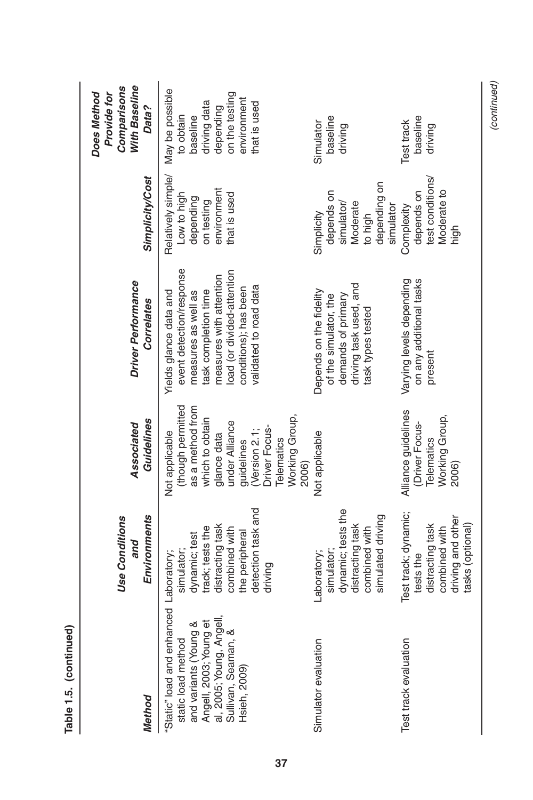| Method                                                                                                                                                                             | Environments<br><b>Use Conditions</b><br>and                                                                                            | Guidelines<br>Associated                                                                                                                                                                            | Driver Performance<br>Correlates                                                                                                                                                                              | <b>Simplicity/Cost</b>                                                                      | <b>With Baseline</b><br>Comparisons<br>Does Method<br>Provide for<br>Data?                                            |
|------------------------------------------------------------------------------------------------------------------------------------------------------------------------------------|-----------------------------------------------------------------------------------------------------------------------------------------|-----------------------------------------------------------------------------------------------------------------------------------------------------------------------------------------------------|---------------------------------------------------------------------------------------------------------------------------------------------------------------------------------------------------------------|---------------------------------------------------------------------------------------------|-----------------------------------------------------------------------------------------------------------------------|
| "Static" load and enhanced Laboratory;<br>and variants (Young &<br>Angell, 2003; Young et<br>al, 2005; Young, Angell,<br>Sullivan, Seaman, &<br>static load method<br>Hsieh, 2009) | detection task and<br>distracting task<br>track; tests the<br>combined with<br>the peripheral<br>dynamic; test<br>simulator;<br>driving | (though permitted<br>as a method from<br>Working Group,<br>which to obtain<br>under Alliance<br>Driver Focus-<br>Version 2.1;<br>Not applicable<br>glance data<br>guidelines<br>Telematics<br>2006) | event detection/response<br>load (or divided-attention<br>measures with attention<br>validated to road data<br>conditions); has been<br>Yields glance data and<br>task completion time<br>measures as well as | Relatively simple/<br>environment<br>that is used<br>Low to high<br>depending<br>on testing | May be possible<br>on the testing<br>environment<br>driving data<br>hat is used<br>depending<br>to obtain<br>baseline |
| Simulator evaluation                                                                                                                                                               | dynamic; tests the<br>simulated driving<br>distracting task<br>combined with<br>simulator;<br>Laboratory;                               | Not applicable                                                                                                                                                                                      | driving task used, and<br>Depends on the fidelity<br>of the simulator, the<br>demands of primary<br>task types tested                                                                                         | depending on<br>depends on<br>Moderate<br>simulator/<br>simulator<br>Simplicity<br>to high  | baseline<br>Simulator<br>driving                                                                                      |
| Test track evaluation                                                                                                                                                              | Test track; dynamic;<br>driving and other<br>distracting task<br>tasks (optional)<br>combined with<br>tests the                         | Alliance guidelines<br>Working Group,<br>(Driver Focus-<br>Telematics<br>2006)                                                                                                                      | Varying levels depending<br>on any additional tasks<br>present                                                                                                                                                | test conditions/<br>Moderate to<br>depends on<br>Complexity<br>high                         | baseline<br>Test track<br>driving                                                                                     |

Table 1.5. (continued) **Table 1.5. (continued)**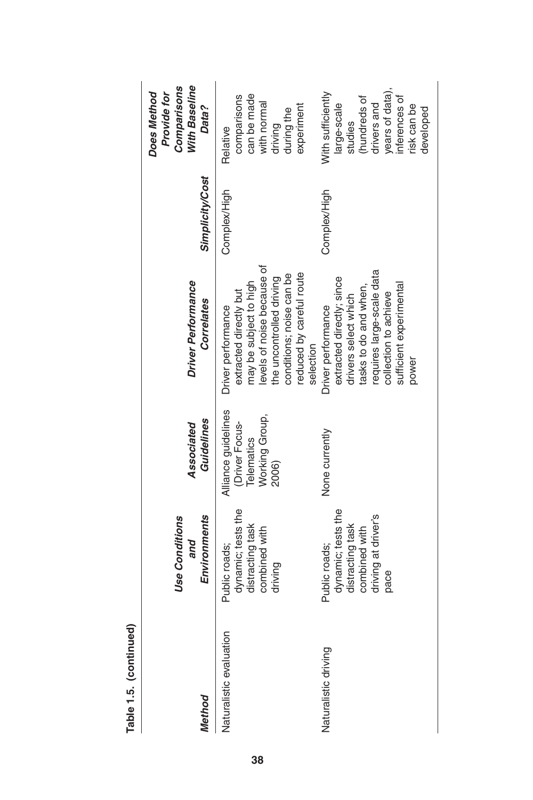| <b>Method</b>           | Environments<br><b>Use Conditions</b><br>and                                                            | Guidelines<br>Associated                                                       | Driver Performance<br>Correlates                                                                                                                                                                      | <b>Simplicity/Cost</b> | <b>With Baseline</b><br>Comparisons<br>Does Method<br>Provide for<br>Data?                                                                |
|-------------------------|---------------------------------------------------------------------------------------------------------|--------------------------------------------------------------------------------|-------------------------------------------------------------------------------------------------------------------------------------------------------------------------------------------------------|------------------------|-------------------------------------------------------------------------------------------------------------------------------------------|
| Naturalistic evaluation | dynamic; tests the<br>distracting task<br>combined with<br>Public roads;<br>driving                     | Alliance guidelines<br>Working Group,<br>(Driver Focus-<br>Telematics<br>2006) | levels of noise because of<br>reduced by careful route<br>conditions; noise can be<br>the uncontrolled driving<br>may be subject to high<br>extracted directly but<br>Driver performance<br>selection | Complex/High           | can be made<br>comparisons<br>with normal<br>experiment<br>during the<br>driving<br>Relative                                              |
| Naturalistic driving    | dynamic; tests the<br>driving at driver's<br>distracting task<br>combined with<br>Public roads;<br>pace | None currently                                                                 | requires large-scale data<br>extracted directly; since<br>sufficient experimental<br>tasks to do and when<br>collection to achieve<br>drivers select which<br>Driver performance<br>power             | Complex/High           | years of data)<br>With sufficiently<br>(hundreds of<br>inferences of<br>drivers and<br>large-scale<br>risk can be<br>developed<br>studies |

Table 1.5. (continued) **Table 1.5. (continued)**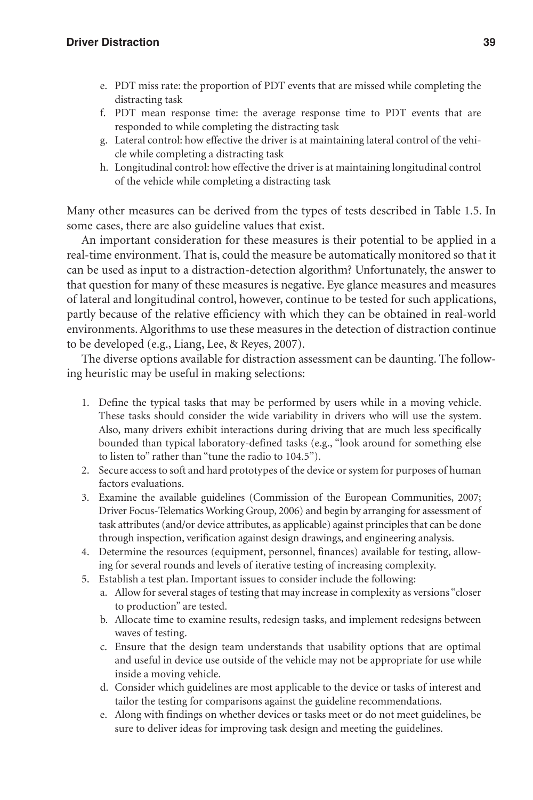- e. PDT miss rate: the proportion of PDT events that are missed while completing the distracting task
- f. PDT mean response time: the average response time to PDT events that are responded to while completing the distracting task
- g. Lateral control: how effective the driver is at maintaining lateral control of the vehicle while completing a distracting task
- h. Longitudinal control: how effective the driver is at maintaining longitudinal control of the vehicle while completing a distracting task

Many other measures can be derived from the types of tests described in Table 1.5. In some cases, there are also guideline values that exist.

An important consideration for these measures is their potential to be applied in a real-time environment. That is, could the measure be automatically monitored so that it can be used as input to a distraction-detection algorithm? Unfortunately, the answer to that question for many of these measures is negative. Eye glance measures and measures of lateral and longitudinal control, however, continue to be tested for such applications, partly because of the relative efficiency with which they can be obtained in real-world environments. Algorithms to use these measures in the detection of distraction continue to be developed (e.g., Liang, Lee, & Reyes, 2007).

The diverse options available for distraction assessment can be daunting. The following heuristic may be useful in making selections:

- 1. Define the typical tasks that may be performed by users while in a moving vehicle. These tasks should consider the wide variability in drivers who will use the system. Also, many drivers exhibit interactions during driving that are much less specifically bounded than typical laboratory-defined tasks (e.g., "look around for something else to listen to" rather than "tune the radio to 104.5").
- 2. Secure access to soft and hard prototypes of the device or system for purposes of human factors evaluations.
- 3. Examine the available guidelines (Commission of the European Communities, 2007; Driver Focus-Telematics Working Group, 2006) and begin by arranging for assessment of task attributes (and/or device attributes, as applicable) against principles that can be done through inspection, verification against design drawings, and engineering analysis.
- 4. Determine the resources (equipment, personnel, finances) available for testing, allowing for several rounds and levels of iterative testing of increasing complexity.
- 5. Establish a test plan. Important issues to consider include the following:
	- a. Allow for several stages of testing that may increase in complexity as versions "closer to production" are tested.
	- b. Allocate time to examine results, redesign tasks, and implement redesigns between waves of testing.
	- c. Ensure that the design team understands that usability options that are optimal and useful in device use outside of the vehicle may not be appropriate for use while inside a moving vehicle.
	- d. Consider which guidelines are most applicable to the device or tasks of interest and tailor the testing for comparisons against the guideline recommendations.
	- e. Along with findings on whether devices or tasks meet or do not meet guidelines, be sure to deliver ideas for improving task design and meeting the guidelines.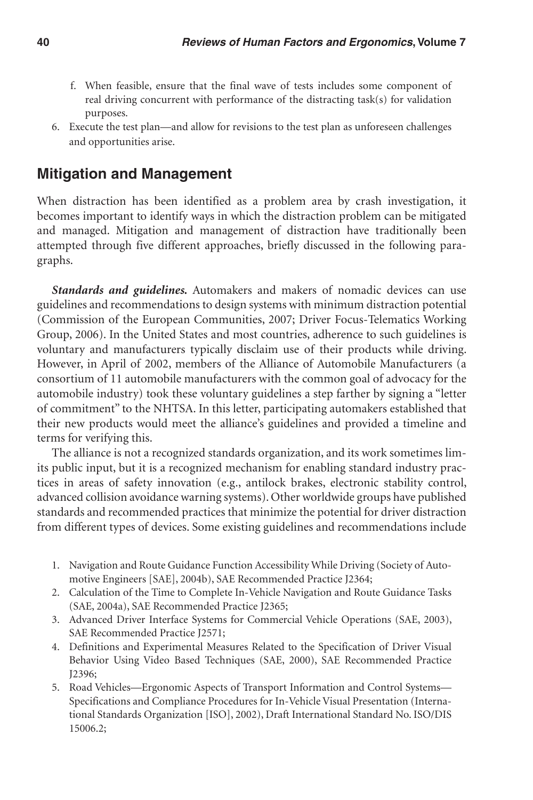- f. When feasible, ensure that the final wave of tests includes some component of real driving concurrent with performance of the distracting task(s) for validation purposes.
- 6. Execute the test plan—and allow for revisions to the test plan as unforeseen challenges and opportunities arise.

#### **Mitigation and Management**

When distraction has been identified as a problem area by crash investigation, it becomes important to identify ways in which the distraction problem can be mitigated and managed. Mitigation and management of distraction have traditionally been attempted through five different approaches, briefly discussed in the following paragraphs.

*Standards and guidelines.* Automakers and makers of nomadic devices can use guidelines and recommendations to design systems with minimum distraction potential (Commission of the European Communities, 2007; Driver Focus-Telematics Working Group, 2006). In the United States and most countries, adherence to such guidelines is voluntary and manufacturers typically disclaim use of their products while driving. However, in April of 2002, members of the Alliance of Automobile Manufacturers (a consortium of 11 automobile manufacturers with the common goal of advocacy for the automobile industry) took these voluntary guidelines a step farther by signing a "letter of commitment" to the NHTSA. In this letter, participating automakers established that their new products would meet the alliance's guidelines and provided a timeline and terms for verifying this.

The alliance is not a recognized standards organization, and its work sometimes limits public input, but it is a recognized mechanism for enabling standard industry practices in areas of safety innovation (e.g., antilock brakes, electronic stability control, advanced collision avoidance warning systems). Other worldwide groups have published standards and recommended practices that minimize the potential for driver distraction from different types of devices. Some existing guidelines and recommendations include

- 1. Navigation and Route Guidance Function Accessibility While Driving (Society of Automotive Engineers [SAE], 2004b), SAE Recommended Practice J2364;
- 2. Calculation of the Time to Complete In-Vehicle Navigation and Route Guidance Tasks (SAE, 2004a), SAE Recommended Practice J2365;
- 3. Advanced Driver Interface Systems for Commercial Vehicle Operations (SAE, 2003), SAE Recommended Practice J2571;
- 4. Definitions and Experimental Measures Related to the Specification of Driver Visual Behavior Using Video Based Techniques (SAE, 2000), SAE Recommended Practice J2396;
- 5. Road Vehicles—Ergonomic Aspects of Transport Information and Control Systems— Specifications and Compliance Procedures for In-Vehicle Visual Presentation (International Standards Organization [ISO], 2002), Draft International Standard No. ISO/DIS 15006.2;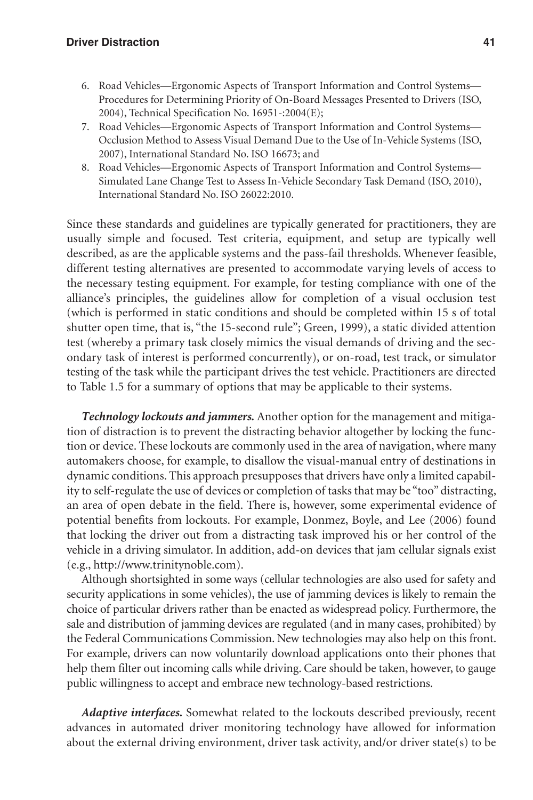- 6. Road Vehicles—Ergonomic Aspects of Transport Information and Control Systems— Procedures for Determining Priority of On-Board Messages Presented to Drivers (ISO, 2004), Technical Specification No. 16951-:2004(E);
- 7. Road Vehicles—Ergonomic Aspects of Transport Information and Control Systems— Occlusion Method to Assess Visual Demand Due to the Use of In-Vehicle Systems (ISO, 2007), International Standard No. ISO 16673; and
- 8. Road Vehicles—Ergonomic Aspects of Transport Information and Control Systems— Simulated Lane Change Test to Assess In-Vehicle Secondary Task Demand (ISO, 2010), International Standard No. ISO 26022:2010.

Since these standards and guidelines are typically generated for practitioners, they are usually simple and focused. Test criteria, equipment, and setup are typically well described, as are the applicable systems and the pass-fail thresholds. Whenever feasible, different testing alternatives are presented to accommodate varying levels of access to the necessary testing equipment. For example, for testing compliance with one of the alliance's principles, the guidelines allow for completion of a visual occlusion test (which is performed in static conditions and should be completed within 15 s of total shutter open time, that is, "the 15-second rule"; Green, 1999), a static divided attention test (whereby a primary task closely mimics the visual demands of driving and the secondary task of interest is performed concurrently), or on-road, test track, or simulator testing of the task while the participant drives the test vehicle. Practitioners are directed to Table 1.5 for a summary of options that may be applicable to their systems.

*Technology lockouts and jammers.* Another option for the management and mitigation of distraction is to prevent the distracting behavior altogether by locking the function or device. These lockouts are commonly used in the area of navigation, where many automakers choose, for example, to disallow the visual-manual entry of destinations in dynamic conditions. This approach presupposes that drivers have only a limited capability to self-regulate the use of devices or completion of tasks that may be "too" distracting, an area of open debate in the field. There is, however, some experimental evidence of potential benefits from lockouts. For example, Donmez, Boyle, and Lee (2006) found that locking the driver out from a distracting task improved his or her control of the vehicle in a driving simulator. In addition, add-on devices that jam cellular signals exist (e.g., http://www.trinitynoble.com).

Although shortsighted in some ways (cellular technologies are also used for safety and security applications in some vehicles), the use of jamming devices is likely to remain the choice of particular drivers rather than be enacted as widespread policy. Furthermore, the sale and distribution of jamming devices are regulated (and in many cases, prohibited) by the Federal Communications Commission. New technologies may also help on this front. For example, drivers can now voluntarily download applications onto their phones that help them filter out incoming calls while driving. Care should be taken, however, to gauge public willingness to accept and embrace new technology-based restrictions.

*Adaptive interfaces.* Somewhat related to the lockouts described previously, recent advances in automated driver monitoring technology have allowed for information about the external driving environment, driver task activity, and/or driver state(s) to be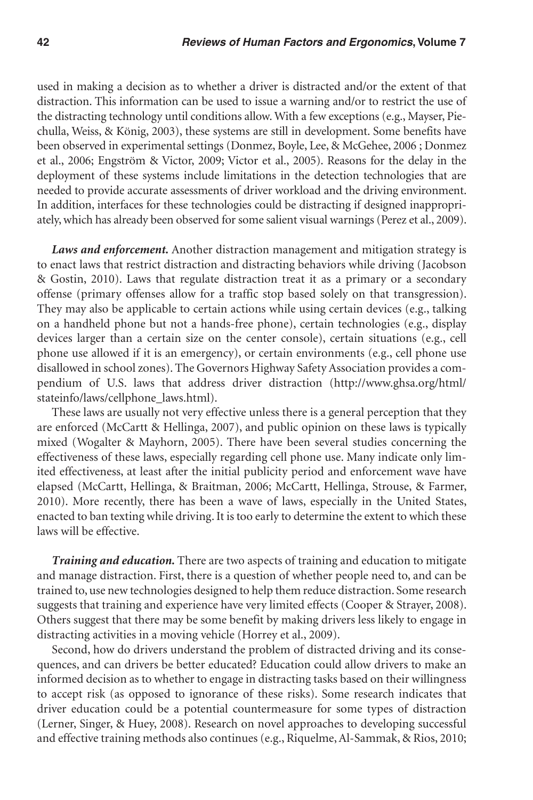used in making a decision as to whether a driver is distracted and/or the extent of that distraction. This information can be used to issue a warning and/or to restrict the use of the distracting technology until conditions allow. With a few exceptions (e.g., Mayser, Piechulla, Weiss, & König, 2003), these systems are still in development. Some benefits have been observed in experimental settings (Donmez, Boyle, Lee, & McGehee, 2006 ; Donmez et al., 2006; Engström & Victor, 2009; Victor et al., 2005). Reasons for the delay in the deployment of these systems include limitations in the detection technologies that are needed to provide accurate assessments of driver workload and the driving environment. In addition, interfaces for these technologies could be distracting if designed inappropriately, which has already been observed for some salient visual warnings (Perez et al., 2009).

*Laws and enforcement.* Another distraction management and mitigation strategy is to enact laws that restrict distraction and distracting behaviors while driving (Jacobson & Gostin, 2010). Laws that regulate distraction treat it as a primary or a secondary offense (primary offenses allow for a traffic stop based solely on that transgression). They may also be applicable to certain actions while using certain devices (e.g., talking on a handheld phone but not a hands-free phone), certain technologies (e.g., display devices larger than a certain size on the center console), certain situations (e.g., cell phone use allowed if it is an emergency), or certain environments (e.g., cell phone use disallowed in school zones). The Governors Highway Safety Association provides a compendium of U.S. laws that address driver distraction (http://www.ghsa.org/html/ stateinfo/laws/cellphone\_laws.html).

These laws are usually not very effective unless there is a general perception that they are enforced (McCartt & Hellinga, 2007), and public opinion on these laws is typically mixed (Wogalter & Mayhorn, 2005). There have been several studies concerning the effectiveness of these laws, especially regarding cell phone use. Many indicate only limited effectiveness, at least after the initial publicity period and enforcement wave have elapsed (McCartt, Hellinga, & Braitman, 2006; McCartt, Hellinga, Strouse, & Farmer, 2010). More recently, there has been a wave of laws, especially in the United States, enacted to ban texting while driving. It is too early to determine the extent to which these laws will be effective.

*Training and education.* There are two aspects of training and education to mitigate and manage distraction. First, there is a question of whether people need to, and can be trained to, use new technologies designed to help them reduce distraction. Some research suggests that training and experience have very limited effects (Cooper & Strayer, 2008). Others suggest that there may be some benefit by making drivers less likely to engage in distracting activities in a moving vehicle (Horrey et al., 2009).

Second, how do drivers understand the problem of distracted driving and its consequences, and can drivers be better educated? Education could allow drivers to make an informed decision as to whether to engage in distracting tasks based on their willingness to accept risk (as opposed to ignorance of these risks). Some research indicates that driver education could be a potential countermeasure for some types of distraction (Lerner, Singer, & Huey, 2008). Research on novel approaches to developing successful and effective training methods also continues (e.g., Riquelme, Al-Sammak, & Rios, 2010;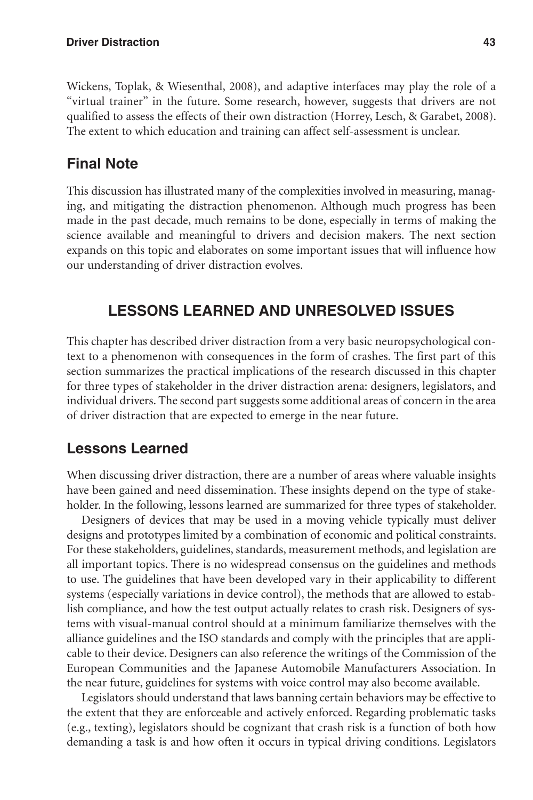Wickens, Toplak, & Wiesenthal, 2008), and adaptive interfaces may play the role of a "virtual trainer" in the future. Some research, however, suggests that drivers are not qualified to assess the effects of their own distraction (Horrey, Lesch, & Garabet, 2008). The extent to which education and training can affect self-assessment is unclear.

# **Final Note**

This discussion has illustrated many of the complexities involved in measuring, managing, and mitigating the distraction phenomenon. Although much progress has been made in the past decade, much remains to be done, especially in terms of making the science available and meaningful to drivers and decision makers. The next section expands on this topic and elaborates on some important issues that will influence how our understanding of driver distraction evolves.

# **Lessons Learned and Unresolved Issues**

This chapter has described driver distraction from a very basic neuropsychological context to a phenomenon with consequences in the form of crashes. The first part of this section summarizes the practical implications of the research discussed in this chapter for three types of stakeholder in the driver distraction arena: designers, legislators, and individual drivers. The second part suggests some additional areas of concern in the area of driver distraction that are expected to emerge in the near future.

# **Lessons Learned**

When discussing driver distraction, there are a number of areas where valuable insights have been gained and need dissemination. These insights depend on the type of stakeholder. In the following, lessons learned are summarized for three types of stakeholder.

Designers of devices that may be used in a moving vehicle typically must deliver designs and prototypes limited by a combination of economic and political constraints. For these stakeholders, guidelines, standards, measurement methods, and legislation are all important topics. There is no widespread consensus on the guidelines and methods to use. The guidelines that have been developed vary in their applicability to different systems (especially variations in device control), the methods that are allowed to establish compliance, and how the test output actually relates to crash risk. Designers of systems with visual-manual control should at a minimum familiarize themselves with the alliance guidelines and the ISO standards and comply with the principles that are applicable to their device. Designers can also reference the writings of the Commission of the European Communities and the Japanese Automobile Manufacturers Association. In the near future, guidelines for systems with voice control may also become available.

Legislators should understand that laws banning certain behaviors may be effective to the extent that they are enforceable and actively enforced. Regarding problematic tasks (e.g., texting), legislators should be cognizant that crash risk is a function of both how demanding a task is and how often it occurs in typical driving conditions. Legislators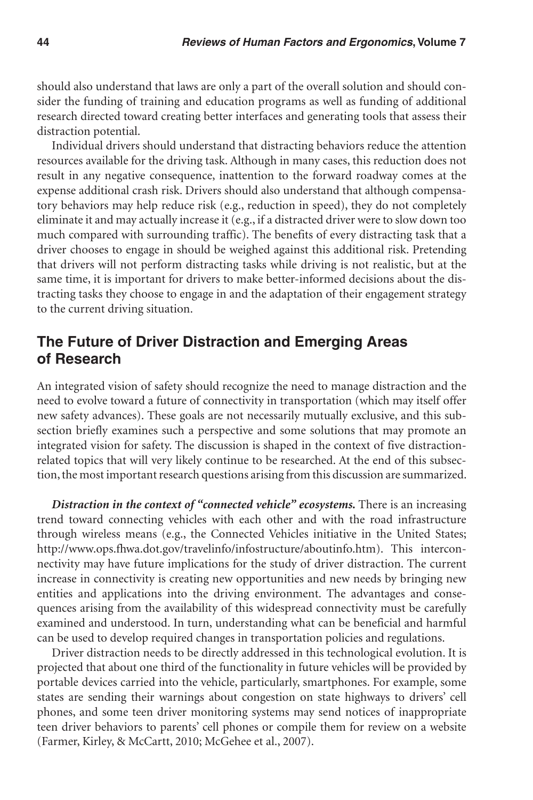should also understand that laws are only a part of the overall solution and should consider the funding of training and education programs as well as funding of additional research directed toward creating better interfaces and generating tools that assess their distraction potential.

Individual drivers should understand that distracting behaviors reduce the attention resources available for the driving task. Although in many cases, this reduction does not result in any negative consequence, inattention to the forward roadway comes at the expense additional crash risk. Drivers should also understand that although compensatory behaviors may help reduce risk (e.g., reduction in speed), they do not completely eliminate it and may actually increase it (e.g., if a distracted driver were to slow down too much compared with surrounding traffic). The benefits of every distracting task that a driver chooses to engage in should be weighed against this additional risk. Pretending that drivers will not perform distracting tasks while driving is not realistic, but at the same time, it is important for drivers to make better-informed decisions about the distracting tasks they choose to engage in and the adaptation of their engagement strategy to the current driving situation.

## **The Future of Driver Distraction and Emerging Areas of Research**

An integrated vision of safety should recognize the need to manage distraction and the need to evolve toward a future of connectivity in transportation (which may itself offer new safety advances). These goals are not necessarily mutually exclusive, and this subsection briefly examines such a perspective and some solutions that may promote an integrated vision for safety. The discussion is shaped in the context of five distractionrelated topics that will very likely continue to be researched. At the end of this subsection, the most important research questions arising from this discussion are summarized.

*Distraction in the context of "connected vehicle" ecosystems.* There is an increasing trend toward connecting vehicles with each other and with the road infrastructure through wireless means (e.g., the Connected Vehicles initiative in the United States; http://www.ops.fhwa.dot.gov/travelinfo/infostructure/aboutinfo.htm). This interconnectivity may have future implications for the study of driver distraction. The current increase in connectivity is creating new opportunities and new needs by bringing new entities and applications into the driving environment. The advantages and consequences arising from the availability of this widespread connectivity must be carefully examined and understood. In turn, understanding what can be beneficial and harmful can be used to develop required changes in transportation policies and regulations.

Driver distraction needs to be directly addressed in this technological evolution. It is projected that about one third of the functionality in future vehicles will be provided by portable devices carried into the vehicle, particularly, smartphones. For example, some states are sending their warnings about congestion on state highways to drivers' cell phones, and some teen driver monitoring systems may send notices of inappropriate teen driver behaviors to parents' cell phones or compile them for review on a website (Farmer, Kirley, & McCartt, 2010; McGehee et al., 2007).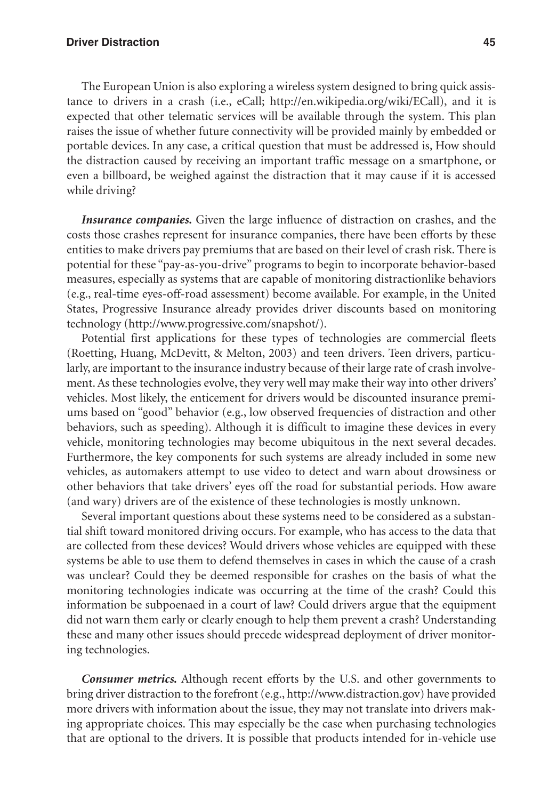#### **Driver Distraction 45**

The European Union is also exploring a wireless system designed to bring quick assistance to drivers in a crash (i.e., eCall; http://en.wikipedia.org/wiki/ECall), and it is expected that other telematic services will be available through the system. This plan raises the issue of whether future connectivity will be provided mainly by embedded or portable devices. In any case, a critical question that must be addressed is, How should the distraction caused by receiving an important traffic message on a smartphone, or even a billboard, be weighed against the distraction that it may cause if it is accessed while driving?

*Insurance companies.* Given the large influence of distraction on crashes, and the costs those crashes represent for insurance companies, there have been efforts by these entities to make drivers pay premiums that are based on their level of crash risk. There is potential for these "pay-as-you-drive" programs to begin to incorporate behavior-based measures, especially as systems that are capable of monitoring distractionlike behaviors (e.g., real-time eyes-off-road assessment) become available. For example, in the United States, Progressive Insurance already provides driver discounts based on monitoring technology (http://www.progressive.com/snapshot/).

Potential first applications for these types of technologies are commercial fleets (Roetting, Huang, McDevitt, & Melton, 2003) and teen drivers. Teen drivers, particularly, are important to the insurance industry because of their large rate of crash involvement. As these technologies evolve, they very well may make their way into other drivers' vehicles. Most likely, the enticement for drivers would be discounted insurance premiums based on "good" behavior (e.g., low observed frequencies of distraction and other behaviors, such as speeding). Although it is difficult to imagine these devices in every vehicle, monitoring technologies may become ubiquitous in the next several decades. Furthermore, the key components for such systems are already included in some new vehicles, as automakers attempt to use video to detect and warn about drowsiness or other behaviors that take drivers' eyes off the road for substantial periods. How aware (and wary) drivers are of the existence of these technologies is mostly unknown.

Several important questions about these systems need to be considered as a substantial shift toward monitored driving occurs. For example, who has access to the data that are collected from these devices? Would drivers whose vehicles are equipped with these systems be able to use them to defend themselves in cases in which the cause of a crash was unclear? Could they be deemed responsible for crashes on the basis of what the monitoring technologies indicate was occurring at the time of the crash? Could this information be subpoenaed in a court of law? Could drivers argue that the equipment did not warn them early or clearly enough to help them prevent a crash? Understanding these and many other issues should precede widespread deployment of driver monitoring technologies.

*Consumer metrics.* Although recent efforts by the U.S. and other governments to bring driver distraction to the forefront (e.g., http://www.distraction.gov) have provided more drivers with information about the issue, they may not translate into drivers making appropriate choices. This may especially be the case when purchasing technologies that are optional to the drivers. It is possible that products intended for in-vehicle use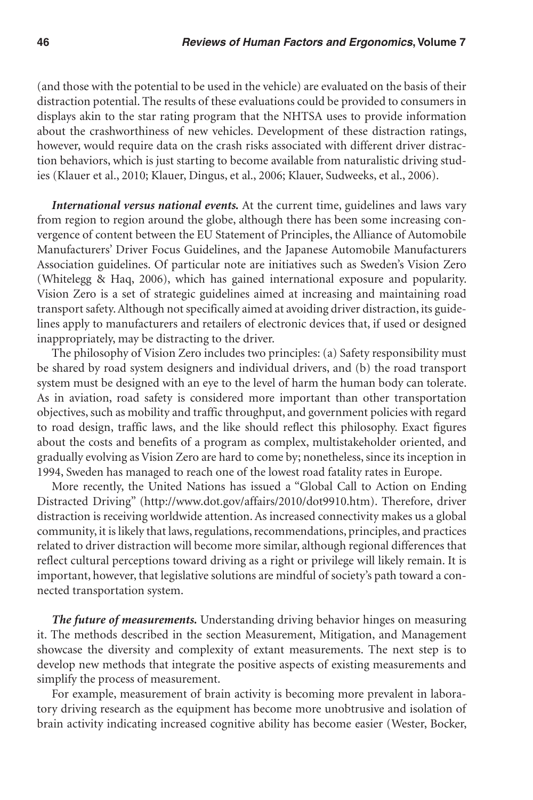(and those with the potential to be used in the vehicle) are evaluated on the basis of their distraction potential. The results of these evaluations could be provided to consumers in displays akin to the star rating program that the NHTSA uses to provide information about the crashworthiness of new vehicles. Development of these distraction ratings, however, would require data on the crash risks associated with different driver distraction behaviors, which is just starting to become available from naturalistic driving studies (Klauer et al., 2010; Klauer, Dingus, et al., 2006; Klauer, Sudweeks, et al., 2006).

*International versus national events.* At the current time, guidelines and laws vary from region to region around the globe, although there has been some increasing convergence of content between the EU Statement of Principles, the Alliance of Automobile Manufacturers' Driver Focus Guidelines, and the Japanese Automobile Manufacturers Association guidelines. Of particular note are initiatives such as Sweden's Vision Zero (Whitelegg & Haq, 2006), which has gained international exposure and popularity. Vision Zero is a set of strategic guidelines aimed at increasing and maintaining road transport safety. Although not specifically aimed at avoiding driver distraction, its guidelines apply to manufacturers and retailers of electronic devices that, if used or designed inappropriately, may be distracting to the driver.

The philosophy of Vision Zero includes two principles: (a) Safety responsibility must be shared by road system designers and individual drivers, and (b) the road transport system must be designed with an eye to the level of harm the human body can tolerate. As in aviation, road safety is considered more important than other transportation objectives, such as mobility and traffic throughput, and government policies with regard to road design, traffic laws, and the like should reflect this philosophy. Exact figures about the costs and benefits of a program as complex, multistakeholder oriented, and gradually evolving as Vision Zero are hard to come by; nonetheless, since its inception in 1994, Sweden has managed to reach one of the lowest road fatality rates in Europe.

More recently, the United Nations has issued a "Global Call to Action on Ending Distracted Driving" (http://www.dot.gov/affairs/2010/dot9910.htm). Therefore, driver distraction is receiving worldwide attention. As increased connectivity makes us a global community, it is likely that laws, regulations, recommendations, principles, and practices related to driver distraction will become more similar, although regional differences that reflect cultural perceptions toward driving as a right or privilege will likely remain. It is important, however, that legislative solutions are mindful of society's path toward a connected transportation system.

*The future of measurements.* Understanding driving behavior hinges on measuring it. The methods described in the section Measurement, Mitigation, and Management showcase the diversity and complexity of extant measurements. The next step is to develop new methods that integrate the positive aspects of existing measurements and simplify the process of measurement.

For example, measurement of brain activity is becoming more prevalent in laboratory driving research as the equipment has become more unobtrusive and isolation of brain activity indicating increased cognitive ability has become easier (Wester, Bocker,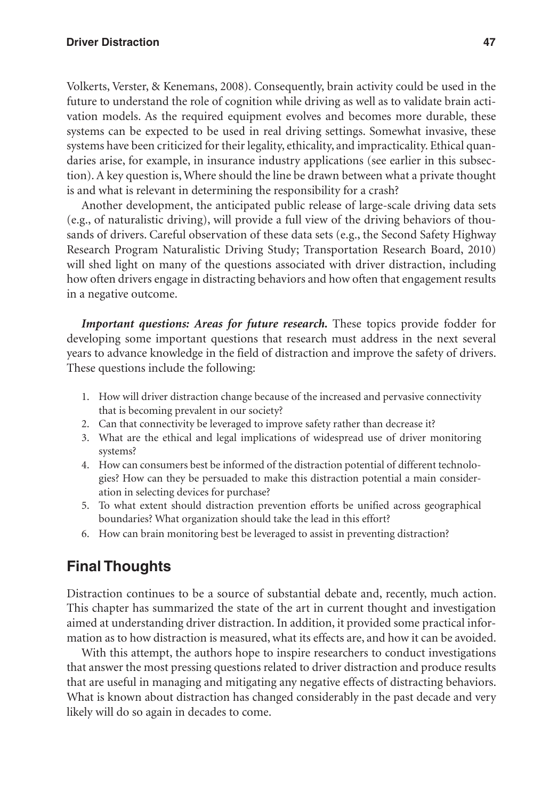Volkerts, Verster, & Kenemans, 2008). Consequently, brain activity could be used in the future to understand the role of cognition while driving as well as to validate brain activation models. As the required equipment evolves and becomes more durable, these systems can be expected to be used in real driving settings. Somewhat invasive, these systems have been criticized for their legality, ethicality, and impracticality. Ethical quandaries arise, for example, in insurance industry applications (see earlier in this subsection). A key question is, Where should the line be drawn between what a private thought is and what is relevant in determining the responsibility for a crash?

Another development, the anticipated public release of large-scale driving data sets (e.g., of naturalistic driving), will provide a full view of the driving behaviors of thousands of drivers. Careful observation of these data sets (e.g., the Second Safety Highway Research Program Naturalistic Driving Study; Transportation Research Board, 2010) will shed light on many of the questions associated with driver distraction, including how often drivers engage in distracting behaviors and how often that engagement results in a negative outcome.

*Important questions: Areas for future research.* These topics provide fodder for developing some important questions that research must address in the next several years to advance knowledge in the field of distraction and improve the safety of drivers. These questions include the following:

- 1. How will driver distraction change because of the increased and pervasive connectivity that is becoming prevalent in our society?
- 2. Can that connectivity be leveraged to improve safety rather than decrease it?
- 3. What are the ethical and legal implications of widespread use of driver monitoring systems?
- 4. How can consumers best be informed of the distraction potential of different technologies? How can they be persuaded to make this distraction potential a main consideration in selecting devices for purchase?
- 5. To what extent should distraction prevention efforts be unified across geographical boundaries? What organization should take the lead in this effort?
- 6. How can brain monitoring best be leveraged to assist in preventing distraction?

# **Final Thoughts**

Distraction continues to be a source of substantial debate and, recently, much action. This chapter has summarized the state of the art in current thought and investigation aimed at understanding driver distraction. In addition, it provided some practical information as to how distraction is measured, what its effects are, and how it can be avoided.

With this attempt, the authors hope to inspire researchers to conduct investigations that answer the most pressing questions related to driver distraction and produce results that are useful in managing and mitigating any negative effects of distracting behaviors. What is known about distraction has changed considerably in the past decade and very likely will do so again in decades to come.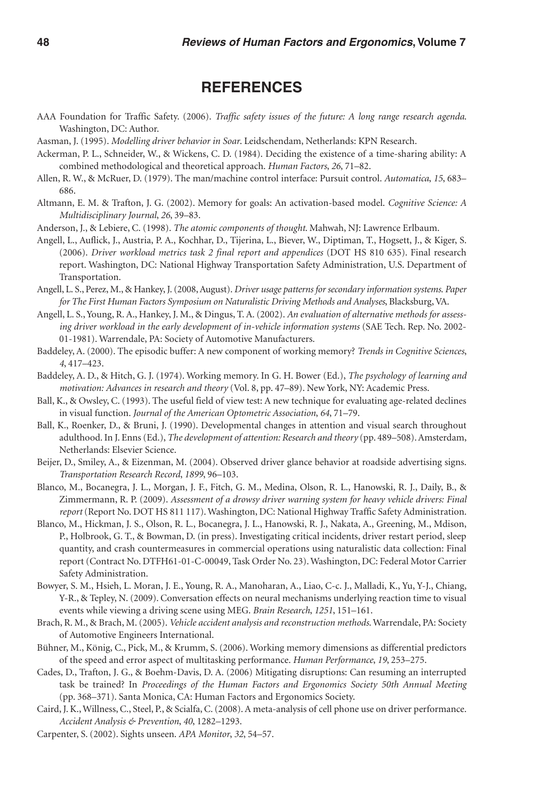#### **References**

- AAA Foundation for Traffic Safety. (2006). *Traffic safety issues of the future: A long range research agenda*. Washington, DC: Author.
- Aasman, J. (1995). *Modelling driver behavior in Soar*. Leidschendam, Netherlands: KPN Research.
- Ackerman, P. L., Schneider, W., & Wickens, C. D. (1984). Deciding the existence of a time-sharing ability: A combined methodological and theoretical approach. *Human Factors*, *26*, 71–82.
- Allen, R. W., & McRuer, D. (1979). The man/machine control interface: Pursuit control. *Automatica*, *15*, 683– 686.
- Altmann, E. M. & Trafton, J. G. (2002). Memory for goals: An activation-based model. *Cognitive Science: A Multidisciplinary Journal*, *26*, 39–83.
- Anderson, J., & Lebiere, C. (1998). *The atomic components of thought*. Mahwah, NJ: Lawrence Erlbaum.
- Angell, L., Auflick, J., Austria, P. A., Kochhar, D., Tijerina, L., Biever, W., Diptiman, T., Hogsett, J., & Kiger, S. (2006). *Driver workload metrics task 2 final report and appendices* (DOT HS 810 635). Final research report. Washington, DC: National Highway Transportation Safety Administration, U.S. Department of Transportation.
- Angell, L. S., Perez, M., & Hankey, J. (2008, August). *Driver usage patterns for secondary information systems*. *Paper for The First Human Factors Symposium on Naturalistic Driving Methods and Analyses*, Blacksburg, VA.
- Angell, L. S., Young, R. A., Hankey, J. M., & Dingus, T. A. (2002). *An evaluation of alternative methods for assessing driver workload in the early development of in-vehicle information systems* (SAE Tech. Rep. No. 2002- 01-1981). Warrendale, PA: Society of Automotive Manufacturers.
- Baddeley, A. (2000). The episodic buffer: A new component of working memory? *Trends in Cognitive Sciences*, *4*, 417–423.
- Baddeley, A. D., & Hitch, G. J. (1974). Working memory. In G. H. Bower (Ed.), *The psychology of learning and motivation: Advances in research and theory* (Vol. 8, pp. 47–89). New York, NY: Academic Press.
- Ball, K., & Owsley, C. (1993). The useful field of view test: A new technique for evaluating age-related declines in visual function. *Journal of the American Optometric Association*, *64*, 71–79.
- Ball, K., Roenker, D., & Bruni, J. (1990). Developmental changes in attention and visual search throughout adulthood. In J. Enns (Ed.), *The development of attention: Research and theory* (pp. 489–508). Amsterdam, Netherlands: Elsevier Science.
- Beijer, D., Smiley, A., & Eizenman, M. (2004). Observed driver glance behavior at roadside advertising signs. *Transportation Research Record*, *1899*, 96–103.
- Blanco, M., Bocanegra, J. L., Morgan, J. F., Fitch, G. M., Medina, Olson, R. L., Hanowski, R. J., Daily, B., & Zimmermann, R. P. (2009). *Assessment of a drowsy driver warning system for heavy vehicle drivers: Final report* (Report No. DOT HS 811 117). Washington, DC: National Highway Traffic Safety Administration.
- Blanco, M., Hickman, J. S., Olson, R. L., Bocanegra, J. L., Hanowski, R. J., Nakata, A., Greening, M., Mdison, P., Holbrook, G. T., & Bowman, D. (in press). Investigating critical incidents, driver restart period, sleep quantity, and crash countermeasures in commercial operations using naturalistic data collection: Final report (Contract No. DTFH61-01-C-00049, Task Order No. 23). Washington, DC: Federal Motor Carrier Safety Administration.
- Bowyer, S. M., Hsieh, L. Moran, J. E., Young, R. A., Manoharan, A., Liao, C-c. J., Malladi, K., Yu, Y-J., Chiang, Y-R., & Tepley, N. (2009). Conversation effects on neural mechanisms underlying reaction time to visual events while viewing a driving scene using MEG. *Brain Research*, *1251*, 151–161.
- Brach, R. M., & Brach, M. (2005). *Vehicle accident analysis and reconstruction methods*. Warrendale, PA: Society of Automotive Engineers International.
- Bühner, M., König, C., Pick, M., & Krumm, S. (2006). Working memory dimensions as differential predictors of the speed and error aspect of multitasking performance. *Human Performance*, *19*, 253–275.
- Cades, D., Trafton, J. G., & Boehm-Davis, D. A. (2006) Mitigating disruptions: Can resuming an interrupted task be trained? In *Proceedings of the Human Factors and Ergonomics Society 50th Annual Meeting* (pp. 368–371). Santa Monica, CA: Human Factors and Ergonomics Society.
- Caird, J. K., Willness, C., Steel, P., & Scialfa, C. (2008). A meta-analysis of cell phone use on driver performance. *Accident Analysis & Prevention*, *40*, 1282–1293.
- Carpenter, S. (2002). Sights unseen. *APA Monitor*, *32*, 54–57.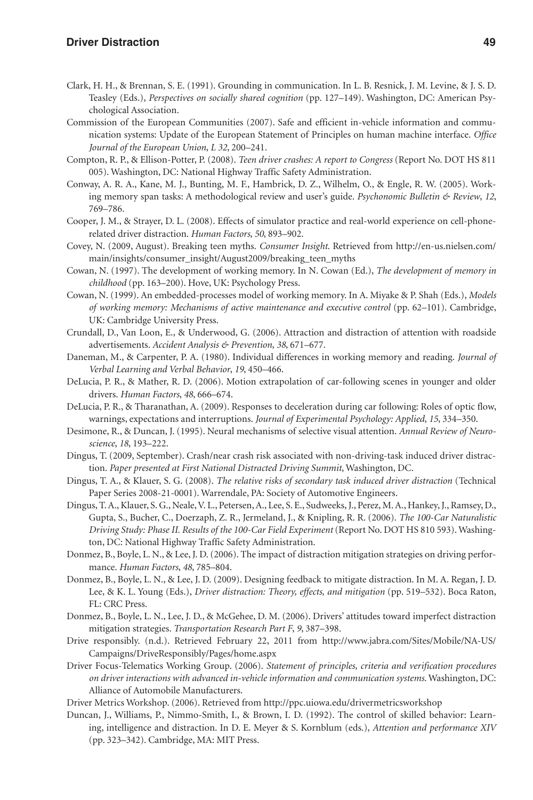- Clark, H. H., & Brennan, S. E. (1991). Grounding in communication. In L. B. Resnick, J. M. Levine, & J. S. D. Teasley (Eds.), *Perspectives on socially shared cognition* (pp. 127–149). Washington, DC: American Psychological Association.
- Commission of the European Communities (2007). Safe and efficient in-vehicle information and communication systems: Update of the European Statement of Principles on human machine interface. *Office Journal of the European Union*, *L 32*, 200–241.
- Compton, R. P., & Ellison-Potter, P. (2008). *Teen driver crashes: A report to Congress* (Report No. DOT HS 811 005). Washington, DC: National Highway Traffic Safety Administration.
- Conway, A. R. A., Kane, M. J., Bunting, M. F., Hambrick, D. Z., Wilhelm, O., & Engle, R. W. (2005). Working memory span tasks: A methodological review and user's guide. *Psychonomic Bulletin & Review*, *12*, 769–786.
- Cooper, J. M., & Strayer, D. L. (2008). Effects of simulator practice and real-world experience on cell-phonerelated driver distraction. *Human Factors*, *50*, 893–902.
- Covey, N. (2009, August). Breaking teen myths. *Consumer Insight*. Retrieved from http://en-us.nielsen.com/ main/insights/consumer\_insight/August2009/breaking\_teen\_myths
- Cowan, N. (1997). The development of working memory. In N. Cowan (Ed.), *The development of memory in childhood* (pp. 163–200). Hove, UK: Psychology Press.
- Cowan, N. (1999). An embedded-processes model of working memory. In A. Miyake & P. Shah (Eds.), *Models of working memory: Mechanisms of active maintenance and executive control* (pp. 62–101). Cambridge, UK: Cambridge University Press.
- Crundall, D., Van Loon, E., & Underwood, G. (2006). Attraction and distraction of attention with roadside advertisements. *Accident Analysis & Prevention*, *38*, 671–677.
- Daneman, M., & Carpenter, P. A. (1980). Individual differences in working memory and reading. *Journal of Verbal Learning and Verbal Behavior*, *19*, 450–466.
- DeLucia, P. R., & Mather, R. D. (2006). Motion extrapolation of car-following scenes in younger and older drivers. *Human Factors*, *48*, 666–674.
- DeLucia, P. R., & Tharanathan, A. (2009). Responses to deceleration during car following: Roles of optic flow, warnings, expectations and interruptions. *Journal of Experimental Psychology: Applied*, *15*, 334–350.
- Desimone, R., & Duncan, J. (1995). Neural mechanisms of selective visual attention. *Annual Review of Neuroscience*, *18*, 193–222.
- Dingus, T. (2009, September). Crash/near crash risk associated with non-driving-task induced driver distraction. *Paper presented at First National Distracted Driving Summit*, Washington, DC.
- Dingus, T. A., & Klauer, S. G. (2008). *The relative risks of secondary task induced driver distraction* (Technical Paper Series 2008-21-0001). Warrendale, PA: Society of Automotive Engineers.
- Dingus, T. A., Klauer, S. G., Neale, V. L., Petersen, A., Lee, S. E., Sudweeks, J., Perez, M. A., Hankey, J., Ramsey, D., Gupta, S., Bucher, C., Doerzaph, Z. R., Jermeland, J., & Knipling, R. R. (2006). *The 100-Car Naturalistic Driving Study: Phase II. Results of the 100-Car Field Experiment* (Report No. DOT HS 810 593). Washington, DC: National Highway Traffic Safety Administration.
- Donmez, B., Boyle, L. N., & Lee, J. D. (2006). The impact of distraction mitigation strategies on driving performance. *Human Factors*, *48*, 785–804.
- Donmez, B., Boyle, L. N., & Lee, J. D. (2009). Designing feedback to mitigate distraction. In M. A. Regan, J. D. Lee, & K. L. Young (Eds.), *Driver distraction: Theory, effects, and mitigation* (pp. 519–532). Boca Raton, FL: CRC Press.
- Donmez, B., Boyle, L. N., Lee, J. D., & McGehee, D. M. (2006). Drivers' attitudes toward imperfect distraction mitigation strategies. *Transportation Research Part F*, *9*, 387–398.
- Drive responsibly. (n.d.). Retrieved February 22, 2011 from http://www.jabra.com/Sites/Mobile/NA-US/ Campaigns/DriveResponsibly/Pages/home.aspx
- Driver Focus-Telematics Working Group. (2006). *Statement of principles, criteria and verification procedures on driver interactions with advanced in-vehicle information and communication systems*. Washington, DC: Alliance of Automobile Manufacturers.
- Driver Metrics Workshop. (2006). Retrieved from http://ppc.uiowa.edu/drivermetricsworkshop
- Duncan, J., Williams, P., Nimmo-Smith, I., & Brown, I. D. (1992). The control of skilled behavior: Learning, intelligence and distraction. In D. E. Meyer & S. Kornblum (eds.), *Attention and performance XIV* (pp. 323–342). Cambridge, MA: MIT Press.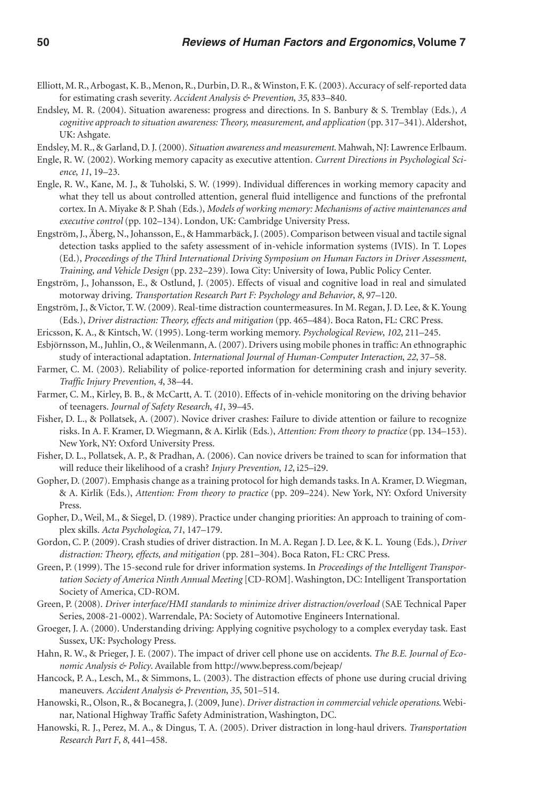- Elliott, M. R., Arbogast, K. B., Menon, R., Durbin, D. R., & Winston, F. K. (2003). Accuracy of self-reported data for estimating crash severity. *Accident Analysis & Prevention*, *35*, 833–840.
- Endsley, M. R. (2004). Situation awareness: progress and directions. In S. Banbury & S. Tremblay (Eds.), *A cognitive approach to situation awareness: Theory, measurement, and application* (pp. 317–341). Aldershot, UK: Ashgate.
- Endsley, M. R., & Garland, D. J. (2000). *Situation awareness and measurement*. Mahwah, NJ: Lawrence Erlbaum.
- Engle, R. W. (2002). Working memory capacity as executive attention. *Current Directions in Psychological Science*, *11*, 19–23.
- Engle, R. W., Kane, M. J., & Tuholski, S. W. (1999). Individual differences in working memory capacity and what they tell us about controlled attention, general fluid intelligence and functions of the prefrontal cortex. In A. Miyake & P. Shah (Eds.), *Models of working memory: Mechanisms of active maintenances and executive control* (pp. 102–134). London, UK: Cambridge University Press.
- Engström, J., Äberg, N., Johansson, E., & Hammarbäck, J. (2005). Comparison between visual and tactile signal detection tasks applied to the safety assessment of in-vehicle information systems (IVIS). In T. Lopes (Ed.), *Proceedings of the Third International Driving Symposium on Human Factors in Driver Assessment, Training, and Vehicle Design* (pp. 232–239). Iowa City: University of Iowa, Public Policy Center.
- Engström, J., Johansson, E., & Ostlund, J. (2005). Effects of visual and cognitive load in real and simulated motorway driving. *Transportation Research Part F: Psychology and Behavior*, *8*, 97–120.
- Engström, J., & Victor, T. W. (2009). Real-time distraction countermeasures. In M. Regan, J. D. Lee, & K. Young (Eds.), *Driver distraction: Theory, effects and mitigation* (pp. 465–484). Boca Raton, FL: CRC Press.
- Ericsson, K. A., & Kintsch, W. (1995). Long-term working memory. *Psychological Review*, *102*, 211–245.
- Esbjörnsson, M., Juhlin, O., & Weilenmann, A. (2007). Drivers using mobile phones in traffic: An ethnographic study of interactional adaptation. *International Journal of Human-Computer Interaction*, *22*, 37–58.
- Farmer, C. M. (2003). Reliability of police-reported information for determining crash and injury severity. *Traffic Injury Prevention*, *4*, 38–44.
- Farmer, C. M., Kirley, B. B., & McCartt, A. T. (2010). Effects of in-vehicle monitoring on the driving behavior of teenagers. *Journal of Safety Research*, *41*, 39–45.
- Fisher, D. L., & Pollatsek, A. (2007). Novice driver crashes: Failure to divide attention or failure to recognize risks. In A. F. Kramer, D. Wiegmann, & A. Kirlik (Eds.), *Attention: From theory to practice* (pp. 134–153). New York, NY: Oxford University Press.
- Fisher, D. L., Pollatsek, A. P., & Pradhan, A. (2006). Can novice drivers be trained to scan for information that will reduce their likelihood of a crash? *Injury Prevention*, *12*, i25–i29.
- Gopher, D. (2007). Emphasis change as a training protocol for high demands tasks. In A. Kramer, D. Wiegman, & A. Kirlik (Eds.), *Attention: From theory to practice* (pp. 209–224). New York, NY: Oxford University Press.
- Gopher, D., Weil, M., & Siegel, D. (1989). Practice under changing priorities: An approach to training of complex skills. *Acta Psychologica*, *71*, 147–179.
- Gordon, C. P. (2009). Crash studies of driver distraction. In M. A. Regan J. D. Lee, & K. L. Young (Eds.), *Driver distraction: Theory, effects, and mitigation* (pp. 281–304). Boca Raton, FL: CRC Press.
- Green, P. (1999). The 15-second rule for driver information systems. In *Proceedings of the Intelligent Transportation Society of America Ninth Annual Meeting* [CD-ROM]. Washington, DC: Intelligent Transportation Society of America, CD-ROM.
- Green, P. (2008). *Driver interface/HMI standards to minimize driver distraction/overload* (SAE Technical Paper Series, 2008-21-0002). Warrendale, PA: Society of Automotive Engineers International.
- Groeger, J. A. (2000). Understanding driving: Applying cognitive psychology to a complex everyday task. East Sussex, UK: Psychology Press.
- Hahn, R. W., & Prieger, J. E. (2007). The impact of driver cell phone use on accidents. *The B.E. Journal of Economic Analysis & Policy*. Available from http://www.bepress.com/bejeap/
- Hancock, P. A., Lesch, M., & Simmons, L. (2003). The distraction effects of phone use during crucial driving maneuvers. *Accident Analysis & Prevention*, *35*, 501–514.
- Hanowski, R., Olson, R., & Bocanegra, J. (2009, June). *Driver distraction in commercial vehicle operations*. Webinar, National Highway Traffic Safety Administration, Washington, DC.
- Hanowski, R. J., Perez, M. A., & Dingus, T. A. (2005). Driver distraction in long-haul drivers. *Transportation Research Part F*, *8*, 441–458.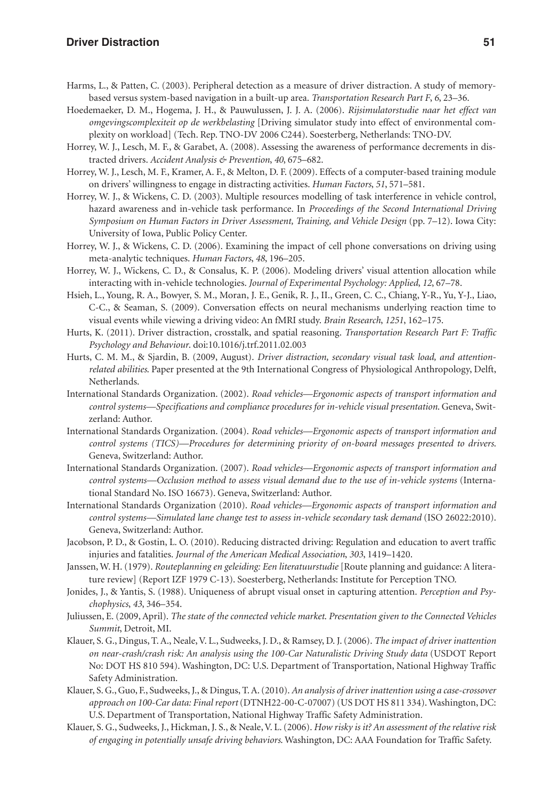#### **Driver Distraction 51**

- Harms, L., & Patten, C. (2003). Peripheral detection as a measure of driver distraction. A study of memorybased versus system-based navigation in a built-up area. *Transportation Research Part F*, *6*, 23–36.
- Hoedemaeker, D. M., Hogema, J. H., & Pauwulussen, J. J. A. (2006). *Rijsimulatorstudie naar het effect van omgevingscomplexiteit op de werkbelasting* [Driving simulator study into effect of environmental complexity on workload] (Tech. Rep. TNO-DV 2006 C244). Soesterberg, Netherlands: TNO-DV.
- Horrey, W. J., Lesch, M. F., & Garabet, A. (2008). Assessing the awareness of performance decrements in distracted drivers. *Accident Analysis & Prevention*, *40*, 675–682.
- Horrey, W. J., Lesch, M. F., Kramer, A. F., & Melton, D. F. (2009). Effects of a computer-based training module on drivers' willingness to engage in distracting activities. *Human Factors*, *51*, 571–581.
- Horrey, W. J., & Wickens, C. D. (2003). Multiple resources modelling of task interference in vehicle control, hazard awareness and in-vehicle task performance. In *Proceedings of the Second International Driving Symposium on Human Factors in Driver Assessment, Training, and Vehicle Design* (pp. 7–12). Iowa City: University of Iowa, Public Policy Center.
- Horrey, W. J., & Wickens, C. D. (2006). Examining the impact of cell phone conversations on driving using meta-analytic techniques. *Human Factors*, *48*, 196–205.
- Horrey, W. J., Wickens, C. D., & Consalus, K. P. (2006). Modeling drivers' visual attention allocation while interacting with in-vehicle technologies. *Journal of Experimental Psychology: Applied*, *12*, 67–78.
- Hsieh, L., Young, R. A., Bowyer, S. M., Moran, J. E., Genik, R. J., II., Green, C. C., Chiang, Y-R., Yu, Y-J., Liao, C-C., & Seaman, S. (2009). Conversation effects on neural mechanisms underlying reaction time to visual events while viewing a driving video: An fMRI study. *Brain Research*, *1251*, 162–175.
- Hurts, K. (2011). Driver distraction, crosstalk, and spatial reasoning. *Transportation Research Part F: Traffic Psychology and Behaviour*. doi:10.1016/j.trf.2011.02.003
- Hurts, C. M. M., & Sjardin, B. (2009, August). *Driver distraction, secondary visual task load, and attentionrelated abilities*. Paper presented at the 9th International Congress of Physiological Anthropology, Delft, Netherlands.
- International Standards Organization. (2002). *Road vehicles—Ergonomic aspects of transport information and control systems—Specifications and compliance procedures for in-vehicle visual presentation*. Geneva, Switzerland: Author.
- International Standards Organization. (2004). *Road vehicles—Ergonomic aspects of transport information and control systems (TICS)—Procedures for determining priority of on-board messages presented to drivers*. Geneva, Switzerland: Author.
- International Standards Organization. (2007). *Road vehicles—Ergonomic aspects of transport information and control systems—Occlusion method to assess visual demand due to the use of in-vehicle systems* (International Standard No. ISO 16673). Geneva, Switzerland: Author.
- International Standards Organization (2010). *Road vehicles—Ergonomic aspects of transport information and control systems—Simulated lane change test to assess in-vehicle secondary task demand* (ISO 26022:2010). Geneva, Switzerland: Author.
- Jacobson, P. D., & Gostin, L. O. (2010). Reducing distracted driving: Regulation and education to avert traffic injuries and fatalities. *Journal of the American Medical Association*, *303*, 1419–1420.
- Janssen, W. H. (1979). *Routeplanning en geleiding: Een literatuurstudie* [Route planning and guidance: A literature review] (Report IZF 1979 C-13). Soesterberg, Netherlands: Institute for Perception TNO.
- Jonides, J., & Yantis, S. (1988). Uniqueness of abrupt visual onset in capturing attention. *Perception and Psychophysics*, *43*, 346–354.
- Juliussen, E. (2009, April). *The state of the connected vehicle market*. *Presentation given to the Connected Vehicles Summit*, Detroit, MI.
- Klauer, S. G., Dingus, T. A., Neale, V. L., Sudweeks, J. D., & Ramsey, D. J. (2006). *The impact of driver inattention on near-crash/crash risk: An analysis using the 100-Car Naturalistic Driving Study data* (USDOT Report No: DOT HS 810 594). Washington, DC: U.S. Department of Transportation, National Highway Traffic Safety Administration.
- Klauer, S. G., Guo, F., Sudweeks, J., & Dingus, T. A. (2010). *An analysis of driver inattention using a case-crossover approach on 100-Car data: Final report* (DTNH22-00-C-07007) (US DOT HS 811 334). Washington, DC: U.S. Department of Transportation, National Highway Traffic Safety Administration.
- Klauer, S. G., Sudweeks, J., Hickman, J. S., & Neale, V. L. (2006). *How risky is it? An assessment of the relative risk of engaging in potentially unsafe driving behaviors*. Washington, DC: AAA Foundation for Traffic Safety.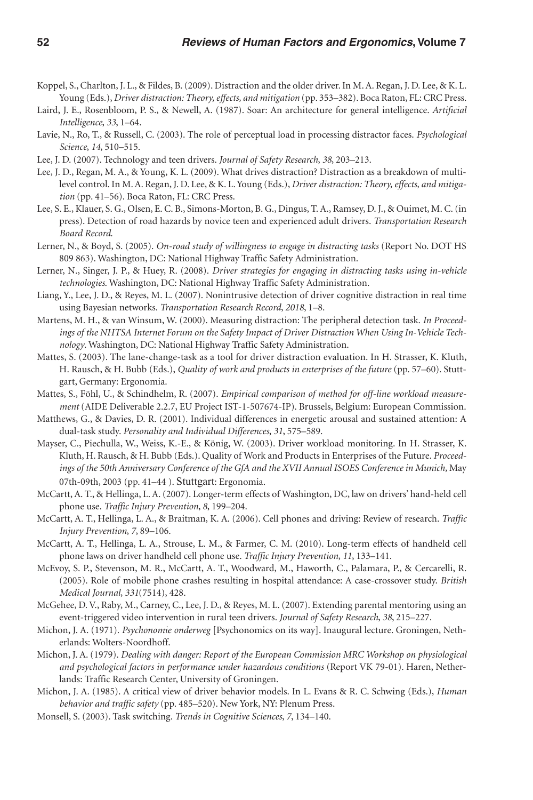- Koppel, S., Charlton, J. L., & Fildes, B. (2009). Distraction and the older driver. In M. A. Regan, J. D. Lee, & K. L. Young (Eds.), *Driver distraction: Theory, effects, and mitigation* (pp. 353–382). Boca Raton, FL: CRC Press.
- Laird, J. E., Rosenbloom, P. S., & Newell, A. (1987). Soar: An architecture for general intelligence. *Artificial Intelligence*, *33*, 1–64.
- Lavie, N., Ro, T., & Russell, C. (2003). The role of perceptual load in processing distractor faces. *Psychological Science*, *14*, 510–515.
- Lee, J. D. (2007). Technology and teen drivers. *Journal of Safety Research*, *38*, 203–213.
- Lee, J. D., Regan, M. A., & Young, K. L. (2009). What drives distraction? Distraction as a breakdown of multilevel control. In M. A. Regan, J. D. Lee, & K. L. Young (Eds.), *Driver distraction: Theory, effects, and mitigation* (pp. 41–56). Boca Raton, FL: CRC Press.
- Lee, S. E., Klauer, S. G., Olsen, E. C. B., Simons-Morton, B. G., Dingus, T. A., Ramsey, D. J., & Ouimet, M. C. (in press). Detection of road hazards by novice teen and experienced adult drivers. *Transportation Research Board Record*.
- Lerner, N., & Boyd, S. (2005). *On-road study of willingness to engage in distracting tasks* (Report No. DOT HS 809 863). Washington, DC: National Highway Traffic Safety Administration.
- Lerner, N., Singer, J. P., & Huey, R. (2008). *Driver strategies for engaging in distracting tasks using in-vehicle technologies*. Washington, DC: National Highway Traffic Safety Administration.
- Liang, Y., Lee, J. D., & Reyes, M. L. (2007). Nonintrusive detection of driver cognitive distraction in real time using Bayesian networks. *Transportation Research Record*, *2018*, 1–8.
- Martens, M. H., & van Winsum, W. (2000). Measuring distraction: The peripheral detection task. *In Proceedings of the NHTSA Internet Forum on the Safety Impact of Driver Distraction When Using In-Vehicle Technology*. Washington, DC: National Highway Traffic Safety Administration.
- Mattes, S. (2003). The lane-change-task as a tool for driver distraction evaluation. In H. Strasser, K. Kluth, H. Rausch, & H. Bubb (Eds.), *Quality of work and products in enterprises of the future* (pp. 57–60). Stuttgart, Germany: Ergonomia.
- Mattes, S., Föhl, U., & Schindhelm, R. (2007). *Empirical comparison of method for off-line workload measurement* (AIDE Deliverable 2.2.7, EU Project IST-1-507674-IP). Brussels, Belgium: European Commission.
- Matthews, G., & Davies, D. R. (2001). Individual differences in energetic arousal and sustained attention: A dual-task study. *Personality and Individual Differences*, *31*, 575–589.
- Mayser, C., Piechulla, W., Weiss, K.-E., & König, W. (2003). Driver workload monitoring. In H. Strasser, K. Kluth, H. Rausch, & H. Bubb (Eds.). Quality of Work and Products in Enterprises of the Future. *Proceedings of the 50th Anniversary Conference of the GfA and the XVII Annual ISOES Conference in Munich,* May 07th-09th, 2003 (pp. 41–44 ). Stuttgart: Ergonomia.
- McCartt, A. T., & Hellinga, L. A. (2007). Longer-term effects of Washington, DC, law on drivers' hand-held cell phone use. *Traffic Injury Prevention*, *8*, 199–204.
- McCartt, A. T., Hellinga, L. A., & Braitman, K. A. (2006). Cell phones and driving: Review of research. *Traffic Injury Prevention*, *7*, 89–106.
- McCartt, A. T., Hellinga, L. A., Strouse, L. M., & Farmer, C. M. (2010). Long-term effects of handheld cell phone laws on driver handheld cell phone use. *Traffic Injury Prevention*, *11*, 133–141.
- McEvoy, S. P., Stevenson, M. R., McCartt, A. T., Woodward, M., Haworth, C., Palamara, P., & Cercarelli, R. (2005). Role of mobile phone crashes resulting in hospital attendance: A case-crossover study. *British Medical Journal*, *331*(7514), 428.
- McGehee, D. V., Raby, M., Carney, C., Lee, J. D., & Reyes, M. L. (2007). Extending parental mentoring using an event-triggered video intervention in rural teen drivers. *Journal of Safety Research*, *38*, 215–227.
- Michon, J. A. (1971). *Psychonomie onderweg* [Psychonomics on its way]. Inaugural lecture. Groningen, Netherlands: Wolters-Noordhoff.
- Michon, J. A. (1979). *Dealing with danger: Report of the European Commission MRC Workshop on physiological and psychological factors in performance under hazardous conditions* (Report VK 79-01). Haren, Netherlands: Traffic Research Center, University of Groningen.
- Michon, J. A. (1985). A critical view of driver behavior models. In L. Evans & R. C. Schwing (Eds.), *Human behavior and traffic safety* (pp. 485–520). New York, NY: Plenum Press.
- Monsell, S. (2003). Task switching. *Trends in Cognitive Sciences*, *7*, 134–140.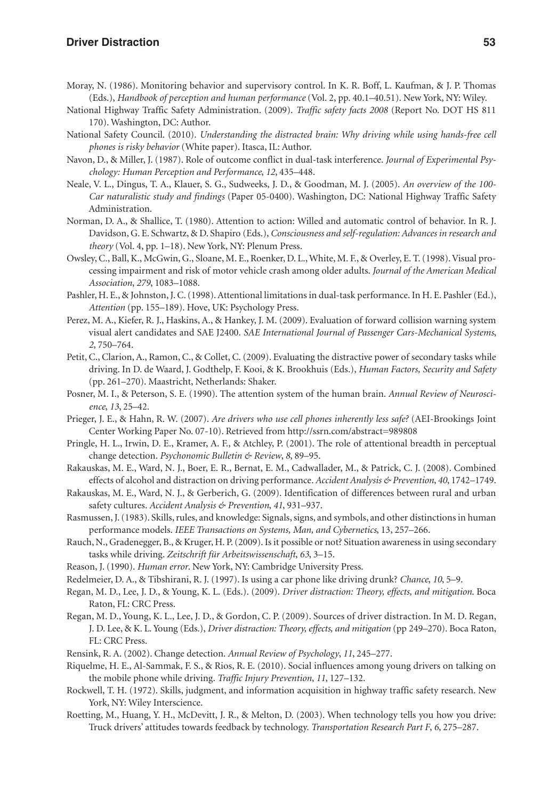#### **Driver Distraction 53**

- Moray, N. (1986). Monitoring behavior and supervisory control. In K. R. Boff, L. Kaufman, & J. P. Thomas (Eds.), *Handbook of perception and human performance* (Vol. 2, pp. 40.1–40.51). New York, NY: Wiley.
- National Highway Traffic Safety Administration. (2009). *Traffic safety facts 2008* (Report No. DOT HS 811 170). Washington, DC: Author.
- National Safety Council. (2010). *Understanding the distracted brain: Why driving while using hands-free cell phones is risky behavior* (White paper). Itasca, IL: Author.
- Navon, D., & Miller, J. (1987). Role of outcome conflict in dual-task interference. *Journal of Experimental Psychology: Human Perception and Performance*, *12*, 435–448.
- Neale, V. L., Dingus, T. A., Klauer, S. G., Sudweeks, J. D., & Goodman, M. J. (2005). *An overview of the 100- Car naturalistic study and findings* (Paper 05-0400). Washington, DC: National Highway Traffic Safety Administration.
- Norman, D. A., & Shallice, T. (1980). Attention to action: Willed and automatic control of behavior. In R. J. Davidson, G. E. Schwartz, & D. Shapiro (Eds.), *Consciousness and self-regulation: Advances in research and theory* (Vol. 4, pp. 1–18). New York, NY: Plenum Press.
- Owsley, C., Ball, K., McGwin, G., Sloane, M. E., Roenker, D. L., White, M. F., & Overley, E. T. (1998). Visual processing impairment and risk of motor vehicle crash among older adults. *Journal of the American Medical Association*, *279*, 1083–1088.
- Pashler, H. E., & Johnston, J. C. (1998). Attentional limitations in dual-task performance. In H. E. Pashler (Ed.), *Attention* (pp. 155–189). Hove, UK: Psychology Press.
- Perez, M. A., Kiefer, R. J., Haskins, A., & Hankey, J. M. (2009). Evaluation of forward collision warning system visual alert candidates and SAE J2400. *SAE International Journal of Passenger Cars-Mechanical Systems*, *2*, 750–764.
- Petit, C., Clarion, A., Ramon, C., & Collet, C. (2009). Evaluating the distractive power of secondary tasks while driving. In D. de Waard, J. Godthelp, F. Kooi, & K. Brookhuis (Eds.), *Human Factors, Security and Safety* (pp. 261–270). Maastricht, Netherlands: Shaker.
- Posner, M. I., & Peterson, S. E. (1990). The attention system of the human brain. *Annual Review of Neuroscience*, *13*, 25–42.
- Prieger, J. E., & Hahn, R. W. (2007). *Are drivers who use cell phones inherently less safe?* (AEI-Brookings Joint Center Working Paper No. 07-10). Retrieved from http://ssrn.com/abstract=989808
- Pringle, H. L., Irwin, D. E., Kramer, A. F., & Atchley, P. (2001). The role of attentional breadth in perceptual change detection. *Psychonomic Bulletin & Review*, *8*, 89–95.
- Rakauskas, M. E., Ward, N. J., Boer, E. R., Bernat, E. M., Cadwallader, M., & Patrick, C. J. (2008). Combined effects of alcohol and distraction on driving performance. *Accident Analysis & Prevention*, *40*, 1742–1749.
- Rakauskas, M. E., Ward, N. J., & Gerberich, G. (2009). Identification of differences between rural and urban safety cultures. *Accident Analysis & Prevention*, *41*, 931–937.
- Rasmussen, J. (1983). Skills, rules, and knowledge: Signals, signs, and symbols, and other distinctions in human performance models. *IEEE Transactions on Systems, Man, and Cybernetics*, 13, 257–266.
- Rauch, N., Gradenegger, B., & Kruger, H. P. (2009). Is it possible or not? Situation awareness in using secondary tasks while driving. *Zeitschrift für Arbeitswissenschaft*, *63*, 3–15.
- Reason, J. (1990). *Human error*. New York, NY: Cambridge University Press.
- Redelmeier, D. A., & Tibshirani, R. J. (1997). Is using a car phone like driving drunk? *Chance*, *10*, 5–9.
- Regan, M. D., Lee, J. D., & Young, K. L. (Eds.). (2009). *Driver distraction: Theory, effects, and mitigation*. Boca Raton, FL: CRC Press.
- Regan, M. D., Young, K. L., Lee, J. D., & Gordon, C. P. (2009). Sources of driver distraction. In M. D. Regan, J. D. Lee, & K. L. Young (Eds.), *Driver distraction: Theory, effects, and mitigation* (pp 249–270). Boca Raton, FL: CRC Press.
- Rensink, R. A. (2002). Change detection. *Annual Review of Psychology*, *11*, 245–277.
- Riquelme, H. E., Al-Sammak, F. S., & Rios, R. E. (2010). Social influences among young drivers on talking on the mobile phone while driving. *Traffic Injury Prevention*, *11*, 127–132.
- Rockwell, T. H. (1972). Skills, judgment, and information acquisition in highway traffic safety research. New York, NY: Wiley Interscience.
- Roetting, M., Huang, Y. H., McDevitt, J. R., & Melton, D. (2003). When technology tells you how you drive: Truck drivers' attitudes towards feedback by technology. *Transportation Research Part F*, *6*, 275–287.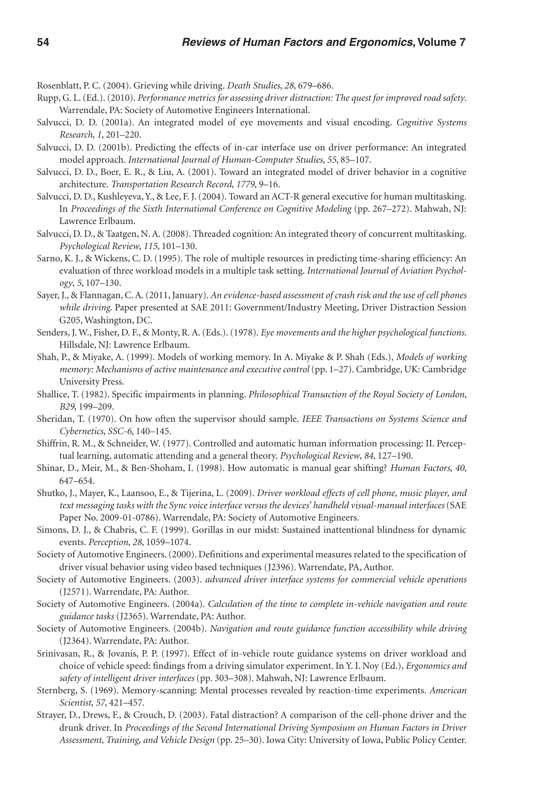Rosenblatt, P. C. (2004). Grieving while driving. *Death Studies*, *28*, 679–686.

- Rupp, G. L. (Ed.). (2010). *Performance metrics for assessing driver distraction: The quest for improved road safety*. Warrendale, PA: Society of Automotive Engineers International.
- Salvucci, D. D. (2001a). An integrated model of eye movements and visual encoding. *Cognitive Systems Research*, *1*, 201–220.
- Salvucci, D. D. (2001b). Predicting the effects of in-car interface use on driver performance: An integrated model approach. *International Journal of Human-Computer Studies*, *55*, 85–107.
- Salvucci, D. D., Boer, E. R., & Liu, A. (2001). Toward an integrated model of driver behavior in a cognitive architecture. *Transportation Research Record*, *1779*, 9–16.
- Salvucci, D. D., Kushleyeva, Y., & Lee, F. J. (2004). Toward an ACT-R general executive for human multitasking. In *Proceedings of the Sixth International Conference on Cognitive Modeling* (pp. 267–272). Mahwah, NJ: Lawrence Erlbaum.
- Salvucci, D. D., & Taatgen, N. A. (2008). Threaded cognition: An integrated theory of concurrent multitasking. *Psychological Review*, *115*, 101–130.
- Sarno, K. J., & Wickens, C. D. (1995). The role of multiple resources in predicting time-sharing efficiency: An evaluation of three workload models in a multiple task setting. *International Journal of Aviation Psychology*, *5*, 107–130.
- Sayer, J., & Flannagan, C. A. (2011, January). *An evidence-based assessment of crash risk and the use of cell phones while driving*. Paper presented at SAE 2011: Government/Industry Meeting, Driver Distraction Session G205, Washington, DC.
- Senders, J. W., Fisher, D. F., & Monty, R. A. (Eds.). (1978). *Eye movements and the higher psychological functions*. Hillsdale, NJ: Lawrence Erlbaum.
- Shah, P., & Miyake, A. (1999). Models of working memory. In A. Miyake & P. Shah (Eds.), *Models of working memory: Mechanisms of active maintenance and executive control* (pp. 1–27). Cambridge, UK: Cambridge University Press.
- Shallice, T. (1982). Specific impairments in planning. *Philosophical Transaction of the Royal Society of London*, *B29*, 199–209.
- Sheridan, T. (1970). On how often the supervisor should sample. *IEEE Transactions on Systems Science and Cybernetics*, *SSC-6*, 140–145.
- Shiffrin, R. M., & Schneider, W. (1977). Controlled and automatic human information processing: II. Perceptual learning, automatic attending and a general theory. *Psychological Review*, *84*, 127–190.
- Shinar, D., Meir, M., & Ben-Shoham, I. (1998). How automatic is manual gear shifting? *Human Factors*, *40*, 647–654.
- Shutko, J., Mayer, K., Laansoo, E., & Tijerina, L. (2009). *Driver workload effects of cell phone, music player, and text messaging tasks with the Sync voice interface versus the devices' handheld visual-manual interfaces* (SAE Paper No. 2009-01-0786). Warrendale, PA: Society of Automotive Engineers.
- Simons, D. J., & Chabris, C. F. (1999). Gorillas in our midst: Sustained inattentional blindness for dynamic events. *Perception*, *28*, 1059–1074.
- Society of Automotive Engineers. (2000). Definitions and experimental measures related to the specification of driver visual behavior using video based techniques (J2396). Warrendate, PA, Author.
- Society of Automotive Engineers. (2003). *advanced driver interface systems for commercial vehicle operations* (J2571). Warrendate, PA: Author.
- Society of Automotive Engineers. (2004a). *Calculation of the time to complete in-vehicle navigation and route guidance tasks* (J2365). Warrendate, PA: Author.
- Society of Automotive Engineers. (2004b). *Navigation and route guidance function accessibility while driving* (J2364). Warrendate, PA: Author.
- Srinivasan, R., & Jovanis, P. P. (1997). Effect of in-vehicle route guidance systems on driver workload and choice of vehicle speed: findings from a driving simulator experiment. In Y. I. Noy (Ed.), *Ergonomics and safety of intelligent driver interfaces* (pp. 303–308). Mahwah, NJ: Lawrence Erlbaum.
- Sternberg, S. (1969). Memory-scanning: Mental processes revealed by reaction-time experiments. *American Scientist*, *57*, 421–457.
- Strayer, D., Drews, F., & Crouch, D. (2003). Fatal distraction? A comparison of the cell-phone driver and the drunk driver. In *Proceedings of the Second International Driving Symposium on Human Factors in Driver Assessment, Training, and Vehicle Design* (pp. 25–30). Iowa City: University of Iowa, Public Policy Center.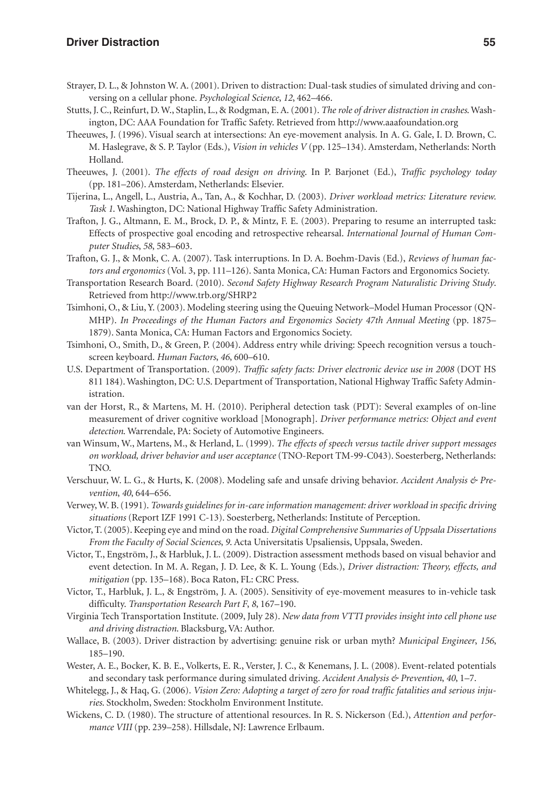- Strayer, D. L., & Johnston W. A. (2001). Driven to distraction: Dual-task studies of simulated driving and conversing on a cellular phone. *Psychological Science*, *12*, 462–466.
- Stutts, J. C., Reinfurt, D. W., Staplin, L., & Rodgman, E. A. (2001). *The role of driver distraction in crashes*. Washington, DC: AAA Foundation for Traffic Safety. Retrieved from http://www.aaafoundation.org
- Theeuwes, J. (1996). Visual search at intersections: An eye-movement analysis. In A. G. Gale, I. D. Brown, C. M. Haslegrave, & S. P. Taylor (Eds.), *Vision in vehicles V* (pp. 125–134). Amsterdam, Netherlands: North Holland.
- Theeuwes, J. (2001). *The effects of road design on driving*. In P. Barjonet (Ed.), *Traffic psychology today* (pp. 181–206). Amsterdam, Netherlands: Elsevier.
- Tijerina, L., Angell, L., Austria, A., Tan, A., & Kochhar, D. (2003). *Driver workload metrics: Literature review. Task 1*. Washington, DC: National Highway Traffic Safety Administration.
- Trafton, J. G., Altmann, E. M., Brock, D. P., & Mintz, F. E. (2003). Preparing to resume an interrupted task: Effects of prospective goal encoding and retrospective rehearsal. *International Journal of Human Computer Studies*, *58*, 583–603.
- Trafton, G. J., & Monk, C. A. (2007). Task interruptions. In D. A. Boehm-Davis (Ed.), *Reviews of human factors and ergonomics* (Vol. 3, pp. 111–126). Santa Monica, CA: Human Factors and Ergonomics Society.
- Transportation Research Board. (2010). *Second Safety Highway Research Program Naturalistic Driving Study*. Retrieved from http://www.trb.org/SHRP2
- Tsimhoni, O., & Liu, Y. (2003). Modeling steering using the Queuing Network–Model Human Processor (QN-MHP). *In Proceedings of the Human Factors and Ergonomics Society 47th Annual Meeting* (pp. 1875– 1879). Santa Monica, CA: Human Factors and Ergonomics Society.
- Tsimhoni, O., Smith, D., & Green, P. (2004). Address entry while driving: Speech recognition versus a touchscreen keyboard. *Human Factors*, *46*, 600–610.
- U.S. Department of Transportation. (2009). *Traffic safety facts: Driver electronic device use in 2008* (DOT HS 811 184). Washington, DC: U.S. Department of Transportation, National Highway Traffic Safety Administration.
- van der Horst, R., & Martens, M. H. (2010). Peripheral detection task (PDT): Several examples of on-line measurement of driver cognitive workload [Monograph]. *Driver performance metrics: Object and event detection*. Warrendale, PA: Society of Automotive Engineers.
- van Winsum, W., Martens, M., & Herland, L. (1999). *The effects of speech versus tactile driver support messages on workload, driver behavior and user acceptance* (TNO-Report TM-99-C043). Soesterberg, Netherlands: TNO.
- Verschuur, W. L. G., & Hurts, K. (2008). Modeling safe and unsafe driving behavior. *Accident Analysis & Prevention*, *40*, 644–656.
- Verwey, W. B. (1991). *Towards guidelines for in-care information management: driver workload in specific driving situations* (Report IZF 1991 C-13). Soesterberg, Netherlands: Institute of Perception.
- Victor, T. (2005). Keeping eye and mind on the road. *Digital Comprehensive Summaries of Uppsala Dissertations From the Faculty of Social Sciences*, *9*. Acta Universitatis Upsaliensis, Uppsala, Sweden.
- Victor, T., Engström, J., & Harbluk, J. L. (2009). Distraction assessment methods based on visual behavior and event detection. In M. A. Regan, J. D. Lee, & K. L. Young (Eds.), *Driver distraction: Theory, effects, and mitigation* (pp. 135–168). Boca Raton, FL: CRC Press.
- Victor, T., Harbluk, J. L., & Engström, J. A. (2005). Sensitivity of eye-movement measures to in-vehicle task difficulty. *Transportation Research Part F*, *8*, 167–190.
- Virginia Tech Transportation Institute. (2009, July 28). *New data from VTTI provides insight into cell phone use and driving distraction*. Blacksburg, VA: Author.
- Wallace, B. (2003). Driver distraction by advertising: genuine risk or urban myth? *Municipal Engineer*, *156*, 185–190.
- Wester, A. E., Bocker, K. B. E., Volkerts, E. R., Verster, J. C., & Kenemans, J. L. (2008). Event-related potentials and secondary task performance during simulated driving. *Accident Analysis & Prevention*, *40*, 1–7.
- Whitelegg, J., & Haq, G. (2006). *Vision Zero: Adopting a target of zero for road traffic fatalities and serious injuries*. Stockholm, Sweden: Stockholm Environment Institute.
- Wickens, C. D. (1980). The structure of attentional resources. In R. S. Nickerson (Ed.), *Attention and performance VIII* (pp. 239–258). Hillsdale, NJ: Lawrence Erlbaum.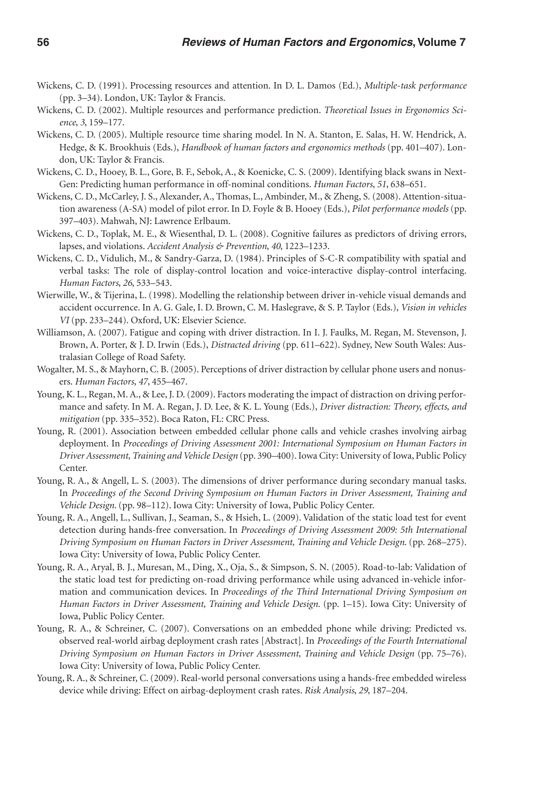- Wickens, C. D. (1991). Processing resources and attention. In D. L. Damos (Ed.), *Multiple-task performance* (pp. 3–34). London, UK: Taylor & Francis.
- Wickens, C. D. (2002). Multiple resources and performance prediction. *Theoretical Issues in Ergonomics Science*, *3*, 159–177.
- Wickens, C. D. (2005). Multiple resource time sharing model. In N. A. Stanton, E. Salas, H. W. Hendrick, A. Hedge, & K. Brookhuis (Eds.), *Handbook of human factors and ergonomics methods* (pp. 401–407). London, UK: Taylor & Francis.
- Wickens, C. D., Hooey, B. L., Gore, B. F., Sebok, A., & Koenicke, C. S. (2009). Identifying black swans in Next-Gen: Predicting human performance in off-nominal conditions. *Human Factors*, *51*, 638–651.
- Wickens, C. D., McCarley, J. S., Alexander, A., Thomas, L., Ambinder, M., & Zheng, S. (2008). Attention-situation awareness (A-SA) model of pilot error. In D. Foyle & B. Hooey (Eds.), *Pilot performance models* (pp. 397–403). Mahwah, NJ: Lawrence Erlbaum.
- Wickens, C. D., Toplak, M. E., & Wiesenthal, D. L. (2008). Cognitive failures as predictors of driving errors, lapses, and violations. *Accident Analysis & Prevention*, *40*, 1223–1233.
- Wickens, C. D., Vidulich, M., & Sandry-Garza, D. (1984). Principles of S-C-R compatibility with spatial and verbal tasks: The role of display-control location and voice-interactive display-control interfacing. *Human Factors*, *26*, 533–543.
- Wierwille, W., & Tijerina, L. (1998). Modelling the relationship between driver in-vehicle visual demands and accident occurrence. In A. G. Gale, I. D. Brown, C. M. Haslegrave, & S. P. Taylor (Eds.), *Vision in vehicles VI* (pp. 233–244). Oxford, UK: Elsevier Science.
- Williamson, A. (2007). Fatigue and coping with driver distraction. In I. J. Faulks, M. Regan, M. Stevenson, J. Brown, A. Porter, & J. D. Irwin (Eds.), *Distracted driving* (pp. 611–622). Sydney, New South Wales: Australasian College of Road Safety.
- Wogalter, M. S., & Mayhorn, C. B. (2005). Perceptions of driver distraction by cellular phone users and nonusers. *Human Factors*, *47*, 455–467.
- Young, K. L., Regan, M. A., & Lee, J. D. (2009). Factors moderating the impact of distraction on driving performance and safety. In M. A. Regan, J. D. Lee, & K. L. Young (Eds.), *Driver distraction: Theory, effects, and mitigation* (pp. 335–352). Boca Raton, FL: CRC Press.
- Young, R. (2001). Association between embedded cellular phone calls and vehicle crashes involving airbag deployment. In *Proceedings of Driving Assessment 2001: International Symposium on Human Factors in Driver Assessment, Training and Vehicle Design* (pp. 390–400). Iowa City: University of Iowa, Public Policy Center.
- Young, R. A., & Angell, L. S. (2003). The dimensions of driver performance during secondary manual tasks. In *Proceedings of the Second Driving Symposium on Human Factors in Driver Assessment, Training and Vehicle Design*. (pp. 98–112). Iowa City: University of Iowa, Public Policy Center.
- Young, R. A., Angell, L., Sullivan, J., Seaman, S., & Hsieh, L. (2009). Validation of the static load test for event detection during hands-free conversation. In *Proceedings of Driving Assessment 2009: 5th International Driving Symposium on Human Factors in Driver Assessment, Training and Vehicle Design*. (pp. 268–275). Iowa City: University of Iowa, Public Policy Center.
- Young, R. A., Aryal, B. J., Muresan, M., Ding, X., Oja, S., & Simpson, S. N. (2005). Road-to-lab: Validation of the static load test for predicting on-road driving performance while using advanced in-vehicle information and communication devices. In *Proceedings of the Third International Driving Symposium on Human Factors in Driver Assessment, Training and Vehicle Design*. (pp. 1–15). Iowa City: University of Iowa, Public Policy Center.
- Young, R. A., & Schreiner, C. (2007). Conversations on an embedded phone while driving: Predicted vs. observed real-world airbag deployment crash rates [Abstract]. In *Proceedings of the Fourth International Driving Symposium on Human Factors in Driver Assessment, Training and Vehicle Design* (pp. 75–76). Iowa City: University of Iowa, Public Policy Center.
- Young, R. A., & Schreiner, C. (2009). Real-world personal conversations using a hands-free embedded wireless device while driving: Effect on airbag-deployment crash rates. *Risk Analysis*, *29*, 187–204.